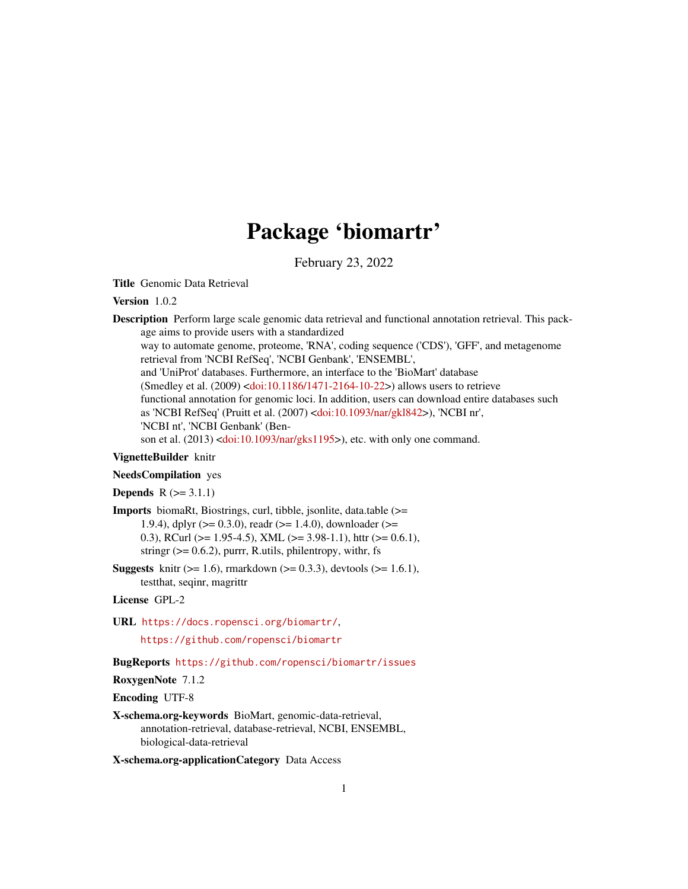# Package 'biomartr'

February 23, 2022

<span id="page-0-0"></span>Title Genomic Data Retrieval

Version 1.0.2

Description Perform large scale genomic data retrieval and functional annotation retrieval. This package aims to provide users with a standardized

way to automate genome, proteome, 'RNA', coding sequence ('CDS'), 'GFF', and metagenome retrieval from 'NCBI RefSeq', 'NCBI Genbank', 'ENSEMBL',

and 'UniProt' databases. Furthermore, an interface to the 'BioMart' database (Smedley et al. (2009) [<doi:10.1186/1471-2164-10-22>](https://doi.org/10.1186/1471-2164-10-22)) allows users to retrieve functional annotation for genomic loci. In addition, users can download entire databases such as 'NCBI RefSeq' (Pruitt et al. (2007) [<doi:10.1093/nar/gkl842>](https://doi.org/10.1093/nar/gkl842)), 'NCBI nr', 'NCBI nt', 'NCBI Genbank' (Ben-

son et al. (2013) [<doi:10.1093/nar/gks1195>](https://doi.org/10.1093/nar/gks1195)), etc. with only one command.

# VignetteBuilder knitr

# NeedsCompilation yes

**Depends**  $R$  ( $>= 3.1.1$ )

Imports biomaRt, Biostrings, curl, tibble, jsonlite, data.table (>= 1.9.4), dplyr ( $> = 0.3.0$ ), readr ( $> = 1.4.0$ ), downloader ( $> =$ 0.3), RCurl ( $> = 1.95-4.5$ ), XML ( $> = 3.98-1.1$ ), httr ( $> = 0.6.1$ ), stringr  $(>= 0.6.2)$ , purrr, R.utils, philentropy, with r, fs

**Suggests** knitr ( $> = 1.6$ ), rmarkdown ( $> = 0.3.3$ ), devtools ( $> = 1.6.1$ ), testthat, seqinr, magrittr

License GPL-2

URL <https://docs.ropensci.org/biomartr/>,

<https://github.com/ropensci/biomartr>

# BugReports <https://github.com/ropensci/biomartr/issues>

RoxygenNote 7.1.2

Encoding UTF-8

X-schema.org-keywords BioMart, genomic-data-retrieval, annotation-retrieval, database-retrieval, NCBI, ENSEMBL, biological-data-retrieval

X-schema.org-applicationCategory Data Access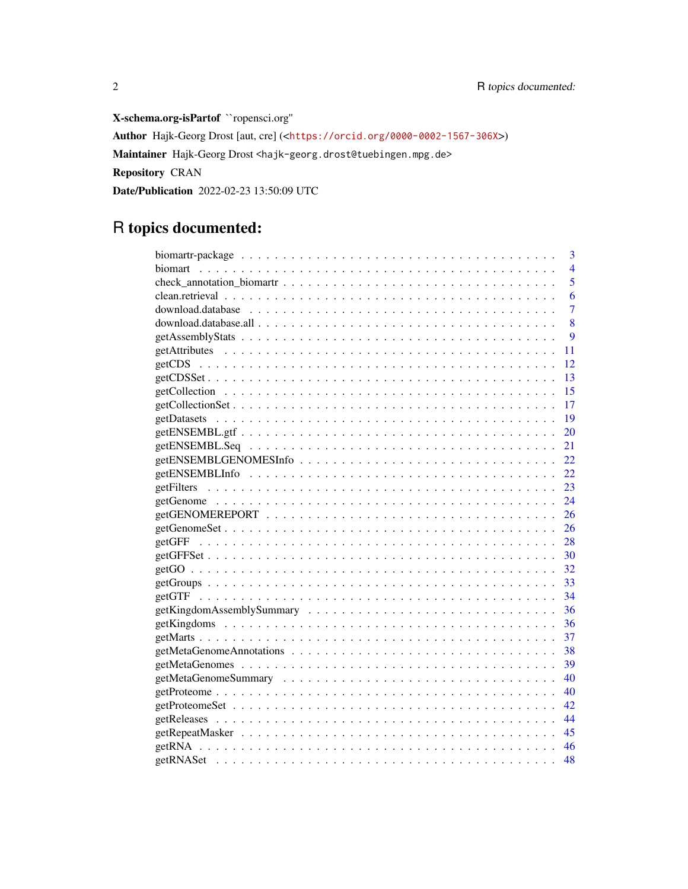X-schema.org-isPartof ``ropensci.org'' Author Hajk-Georg Drost [aut, cre] (<<https://orcid.org/0000-0002-1567-306X>>) Maintainer Hajk-Georg Drost <hajk-georg.drost@tuebingen.mpg.de> Repository CRAN Date/Publication 2022-02-23 13:50:09 UTC

# R topics documented:

| 3                                                                                                       |
|---------------------------------------------------------------------------------------------------------|
| $\overline{4}$                                                                                          |
| 5                                                                                                       |
| 6                                                                                                       |
| $\overline{7}$                                                                                          |
| 8                                                                                                       |
| 9                                                                                                       |
| 11                                                                                                      |
| 12                                                                                                      |
| 13                                                                                                      |
| 15                                                                                                      |
| 17                                                                                                      |
| 19                                                                                                      |
| 20                                                                                                      |
| 21                                                                                                      |
| 22                                                                                                      |
| 22.                                                                                                     |
| 23                                                                                                      |
| 24                                                                                                      |
| 26                                                                                                      |
| 26                                                                                                      |
| 28                                                                                                      |
| 30                                                                                                      |
|                                                                                                         |
|                                                                                                         |
| 34                                                                                                      |
| $getKingdomAssemblySummary \ldots \ldots \ldots \ldots \ldots \ldots \ldots \ldots \ldots \ldots$<br>36 |
| 36                                                                                                      |
| 37                                                                                                      |
| 38                                                                                                      |
| 39                                                                                                      |
| 40                                                                                                      |
| 40                                                                                                      |
| 42                                                                                                      |
| 44                                                                                                      |
| 45                                                                                                      |
| 46                                                                                                      |
| 48                                                                                                      |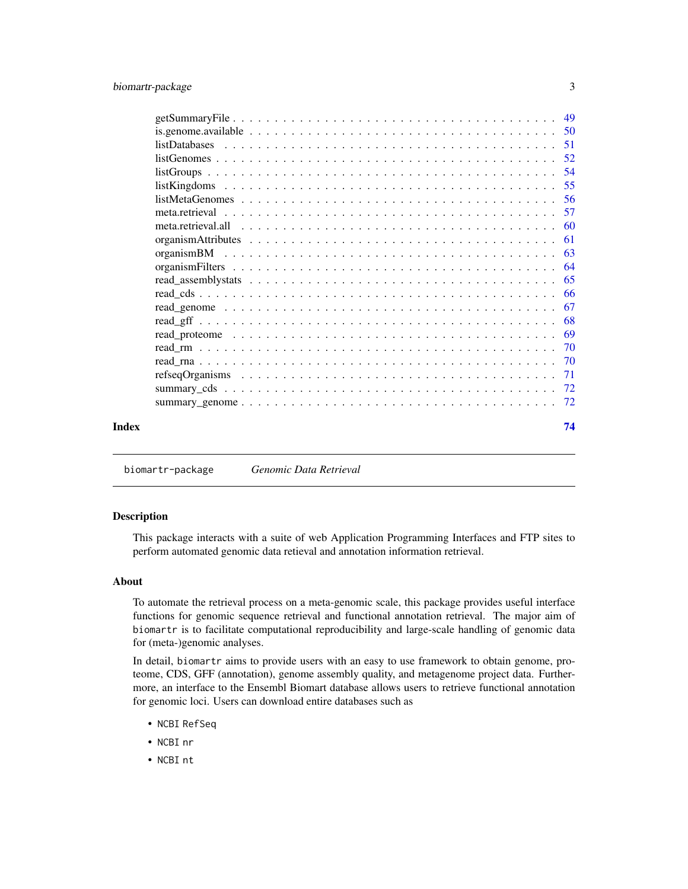<span id="page-2-0"></span>

|       | 54 |
|-------|----|
|       |    |
|       |    |
|       |    |
|       |    |
|       |    |
|       |    |
|       |    |
|       |    |
|       |    |
|       |    |
|       |    |
|       |    |
|       |    |
|       |    |
|       |    |
|       |    |
|       |    |
| Index | 74 |

biomartr-package *Genomic Data Retrieval*

#### Description

This package interacts with a suite of web Application Programming Interfaces and FTP sites to perform automated genomic data retieval and annotation information retrieval.

# About

To automate the retrieval process on a meta-genomic scale, this package provides useful interface functions for genomic sequence retrieval and functional annotation retrieval. The major aim of biomartr is to facilitate computational reproducibility and large-scale handling of genomic data for (meta-)genomic analyses.

In detail, biomartr aims to provide users with an easy to use framework to obtain genome, proteome, CDS, GFF (annotation), genome assembly quality, and metagenome project data. Furthermore, an interface to the Ensembl Biomart database allows users to retrieve functional annotation for genomic loci. Users can download entire databases such as

- NCBI RefSeq
- NCBI nr
- NCBI nt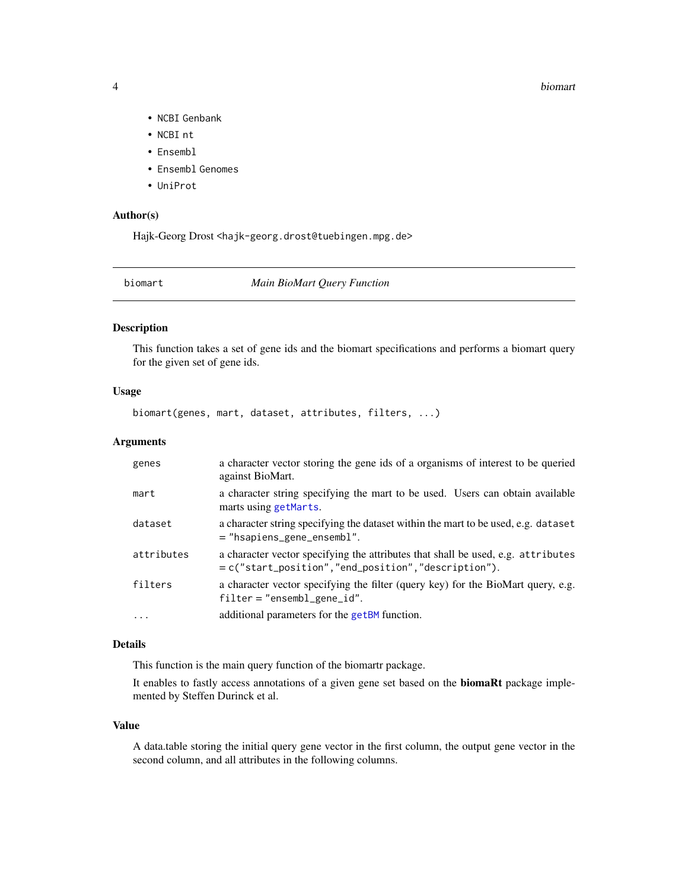#### 4 biomart

- NCBI Genbank
- NCBI nt
- Ensembl
- Ensembl Genomes
- UniProt

#### Author(s)

Hajk-Georg Drost <hajk-georg.drost@tuebingen.mpg.de>

<span id="page-3-1"></span>biomart *Main BioMart Query Function*

# Description

This function takes a set of gene ids and the biomart specifications and performs a biomart query for the given set of gene ids.

#### Usage

biomart(genes, mart, dataset, attributes, filters, ...)

#### Arguments

| genes      | a character vector storing the gene ids of a organisms of interest to be queried<br>against BioMart.                                                         |
|------------|--------------------------------------------------------------------------------------------------------------------------------------------------------------|
| mart       | a character string specifying the mart to be used. Users can obtain available<br>marts using getMarts.                                                       |
| dataset    | a character string specifying the dataset within the mart to be used, e.g. dataset<br>= "hsapiens_gene_ensembl".                                             |
| attributes | a character vector specifying the attributes that shall be used, e.g. attributes<br>$= c("start_{position", "end_{position", "description", "description").$ |
| filters    | a character vector specifying the filter (query key) for the BioMart query, e.g.<br>$filter = "ensemble\_gene_id".$                                          |
| .          | additional parameters for the getBM function.                                                                                                                |

# Details

This function is the main query function of the biomartr package.

It enables to fastly access annotations of a given gene set based on the biomaRt package implemented by Steffen Durinck et al.

#### Value

A data.table storing the initial query gene vector in the first column, the output gene vector in the second column, and all attributes in the following columns.

<span id="page-3-0"></span>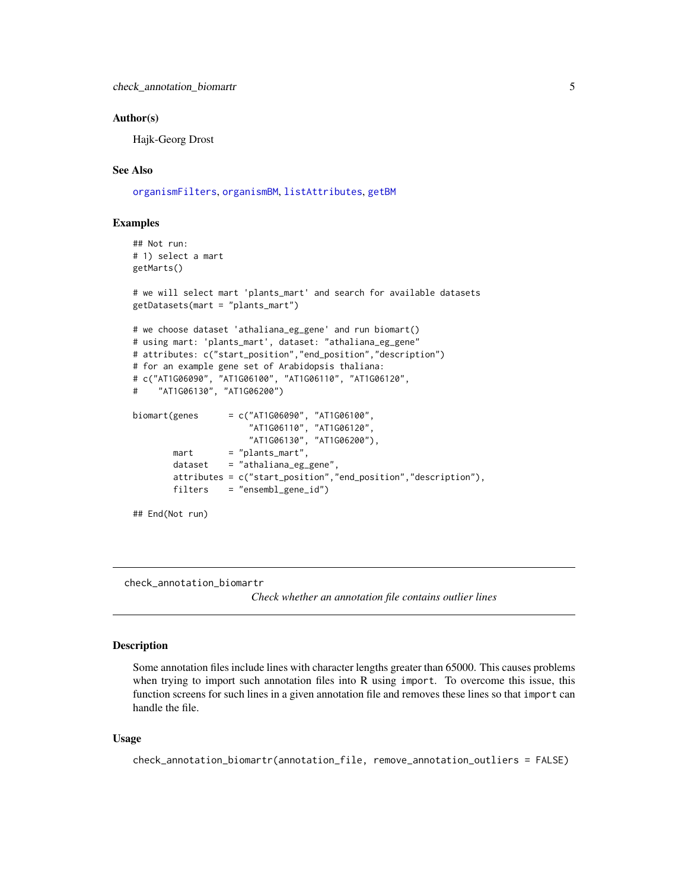#### <span id="page-4-0"></span>Author(s)

Hajk-Georg Drost

# See Also

[organismFilters](#page-63-1), [organismBM](#page-62-1), [listAttributes](#page-0-0), [getBM](#page-0-0)

# Examples

```
## Not run:
# 1) select a mart
getMarts()
# we will select mart 'plants_mart' and search for available datasets
getDatasets(mart = "plants_mart")
# we choose dataset 'athaliana_eg_gene' and run biomart()
# using mart: 'plants_mart', dataset: "athaliana_eg_gene"
# attributes: c("start_position","end_position","description")
# for an example gene set of Arabidopsis thaliana:
# c("AT1G06090", "AT1G06100", "AT1G06110", "AT1G06120",
# "AT1G06130", "AT1G06200")
biomart(genes = c("AT1G06090", "AT1G06100",
                       "AT1G06110", "AT1G06120",
                      "AT1G06130", "AT1G06200"),
       mart = "plants_matrix",dataset = "athaliana_eg_gene",
       attributes = c("start_position","end_position","description"),
       filters = "ensembl_gene_id")
## End(Not run)
```
check\_annotation\_biomartr

*Check whether an annotation file contains outlier lines*

#### Description

Some annotation files include lines with character lengths greater than 65000. This causes problems when trying to import such annotation files into R using import. To overcome this issue, this function screens for such lines in a given annotation file and removes these lines so that import can handle the file.

#### Usage

```
check_annotation_biomartr(annotation_file, remove_annotation_outliers = FALSE)
```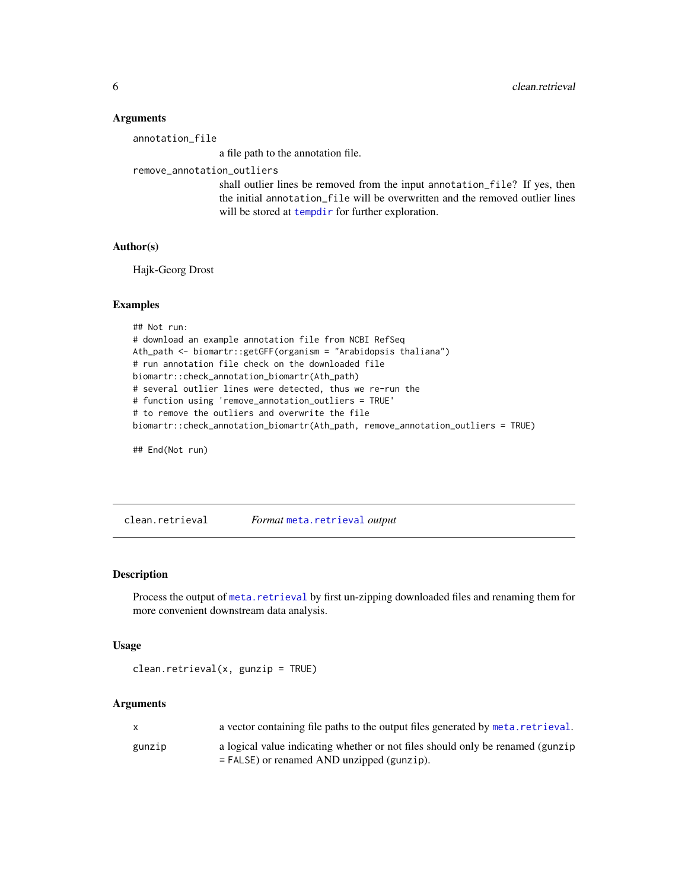#### <span id="page-5-0"></span>**Arguments**

annotation\_file

a file path to the annotation file.

remove\_annotation\_outliers

shall outlier lines be removed from the input annotation\_file? If yes, then the initial annotation\_file will be overwritten and the removed outlier lines will be stored at [tempdir](#page-0-0) for further exploration.

# Author(s)

Hajk-Georg Drost

#### Examples

```
## Not run:
# download an example annotation file from NCBI RefSeq
Ath_path <- biomartr::getGFF(organism = "Arabidopsis thaliana")
# run annotation file check on the downloaded file
biomartr::check_annotation_biomartr(Ath_path)
# several outlier lines were detected, thus we re-run the
# function using 'remove_annotation_outliers = TRUE'
# to remove the outliers and overwrite the file
biomartr::check_annotation_biomartr(Ath_path, remove_annotation_outliers = TRUE)
```
## End(Not run)

clean.retrieval *Format* [meta.retrieval](#page-56-1) *output*

# Description

Process the output of [meta.retrieval](#page-56-1) by first un-zipping downloaded files and renaming them for more convenient downstream data analysis.

#### Usage

```
clean.retrieval(x, gunzip = TRUE)
```

| $\mathsf{x}$ | a vector containing file paths to the output files generated by meta. retrieval.                                               |
|--------------|--------------------------------------------------------------------------------------------------------------------------------|
| gunzip       | a logical value indicating whether or not files should only be renamed (gunzip<br>$=$ FALSE) or renamed AND unzipped (gunzip). |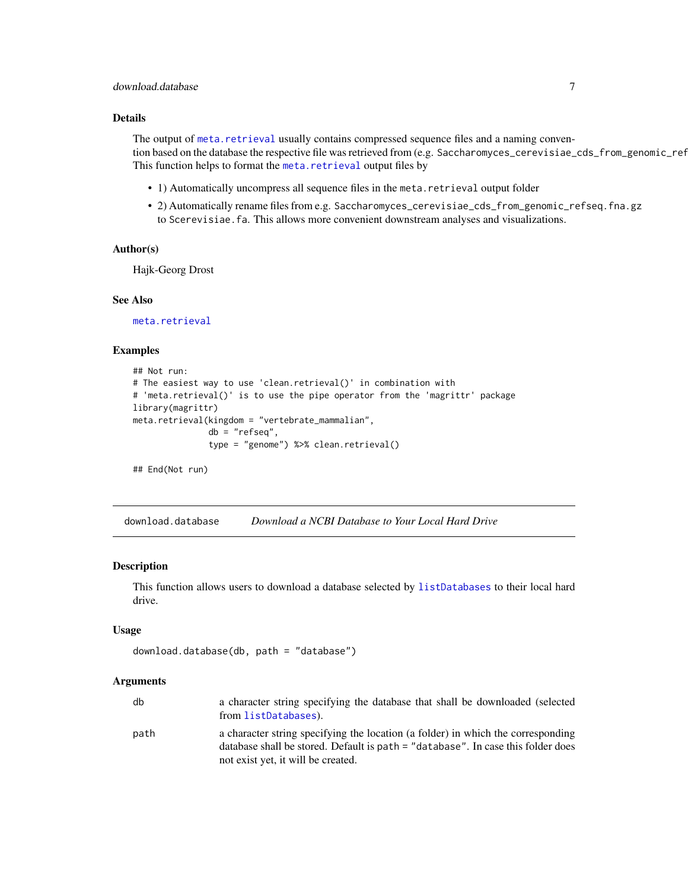# <span id="page-6-0"></span>download.database 7

# Details

The output of [meta.retrieval](#page-56-1) usually contains compressed sequence files and a naming convention based on the database the respective file was retrieved from (e.g. Saccharomyces\_cerevisiae\_cds\_from\_genomic\_ref This function helps to format the [meta.retrieval](#page-56-1) output files by

- 1) Automatically uncompress all sequence files in the meta.retrieval output folder
- 2) Automatically rename files from e.g. Saccharomyces\_cerevisiae\_cds\_from\_genomic\_refseq.fna.gz to Scerevisiae.fa. This allows more convenient downstream analyses and visualizations.

#### Author(s)

Hajk-Georg Drost

#### See Also

[meta.retrieval](#page-56-1)

# Examples

```
## Not run:
# The easiest way to use 'clean.retrieval()' in combination with
# 'meta.retrieval()' is to use the pipe operator from the 'magrittr' package
library(magrittr)
meta.retrieval(kingdom = "vertebrate_mammalian",
               db = "refseq",
               type = "genome") %>% clean.retrieval()
```
## End(Not run)

<span id="page-6-1"></span>download.database *Download a NCBI Database to Your Local Hard Drive*

#### Description

This function allows users to download a database selected by [listDatabases](#page-50-1) to their local hard drive.

#### Usage

```
download.database(db, path = "database")
```

| db   | a character string specifying the database that shall be downloaded (selected<br>from listDatabases).                                                                |
|------|----------------------------------------------------------------------------------------------------------------------------------------------------------------------|
| path | a character string specifying the location (a folder) in which the corresponding<br>database shall be stored. Default is path = "database". In case this folder does |
|      | not exist yet, it will be created.                                                                                                                                   |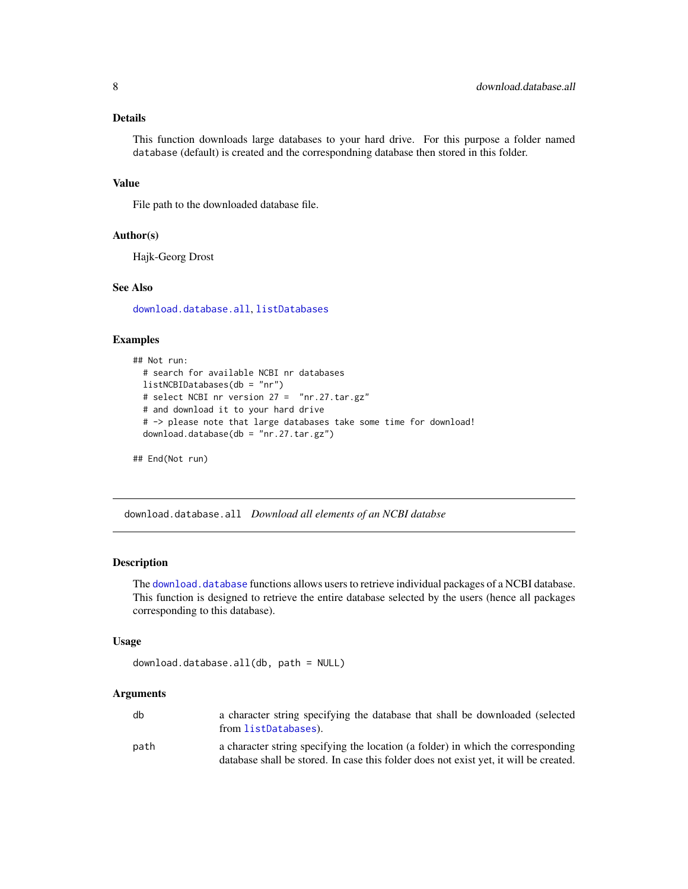# <span id="page-7-0"></span>Details

This function downloads large databases to your hard drive. For this purpose a folder named database (default) is created and the correspondning database then stored in this folder.

#### Value

File path to the downloaded database file.

# Author(s)

Hajk-Georg Drost

#### See Also

[download.database.all](#page-7-1), [listDatabases](#page-50-1)

# Examples

```
## Not run:
 # search for available NCBI nr databases
 listNCBIDatabases(db = "nr")
 # select NCBI nr version 27 = "nr.27.tar.gz"
 # and download it to your hard drive
 # -> please note that large databases take some time for download!
 download.database(db = "nr.27.tar.gz")
```

```
## End(Not run)
```
<span id="page-7-1"></span>download.database.all *Download all elements of an NCBI databse*

# Description

The [download.database](#page-6-1) functions allows users to retrieve individual packages of a NCBI database. This function is designed to retrieve the entire database selected by the users (hence all packages corresponding to this database).

#### Usage

```
download.database.all(db, path = NULL)
```

| db   | a character string specifying the database that shall be downloaded (selected<br>from listDatabases).                                                                     |
|------|---------------------------------------------------------------------------------------------------------------------------------------------------------------------------|
| path | a character string specifying the location (a folder) in which the corresponding<br>database shall be stored. In case this folder does not exist yet, it will be created. |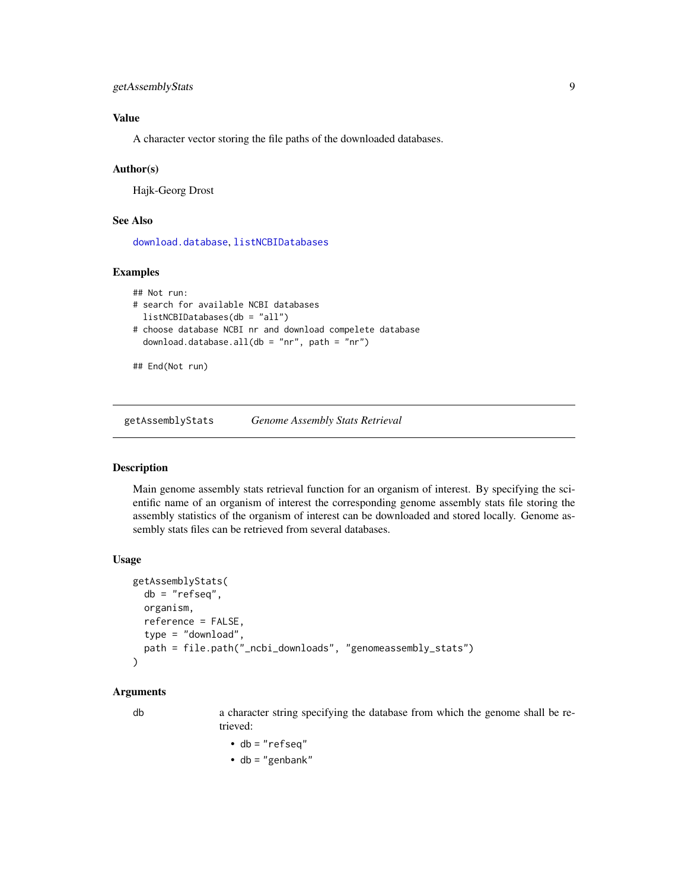```
getAssemblyStats 9
```
# Value

A character vector storing the file paths of the downloaded databases.

#### Author(s)

Hajk-Georg Drost

# See Also

[download.database](#page-6-1), [listNCBIDatabases](#page-50-2)

# Examples

```
## Not run:
# search for available NCBI databases
 listNCBIDatabases(db = "all")
# choose database NCBI nr and download compelete database
 download.database.all(db = "nr", path = "nr")
```
## End(Not run)

<span id="page-8-1"></span>getAssemblyStats *Genome Assembly Stats Retrieval*

#### Description

Main genome assembly stats retrieval function for an organism of interest. By specifying the scientific name of an organism of interest the corresponding genome assembly stats file storing the assembly statistics of the organism of interest can be downloaded and stored locally. Genome assembly stats files can be retrieved from several databases.

#### Usage

```
getAssemblyStats(
  db = "refseq",
 organism,
  reference = FALSE,
  type = "download",
 path = file.path("_ncbi_downloads", "genomeassembly_stats")
)
```
#### Arguments

db a character string specifying the database from which the genome shall be retrieved:

$$
\bullet \ db = "refseq"
$$

• db = "genbank"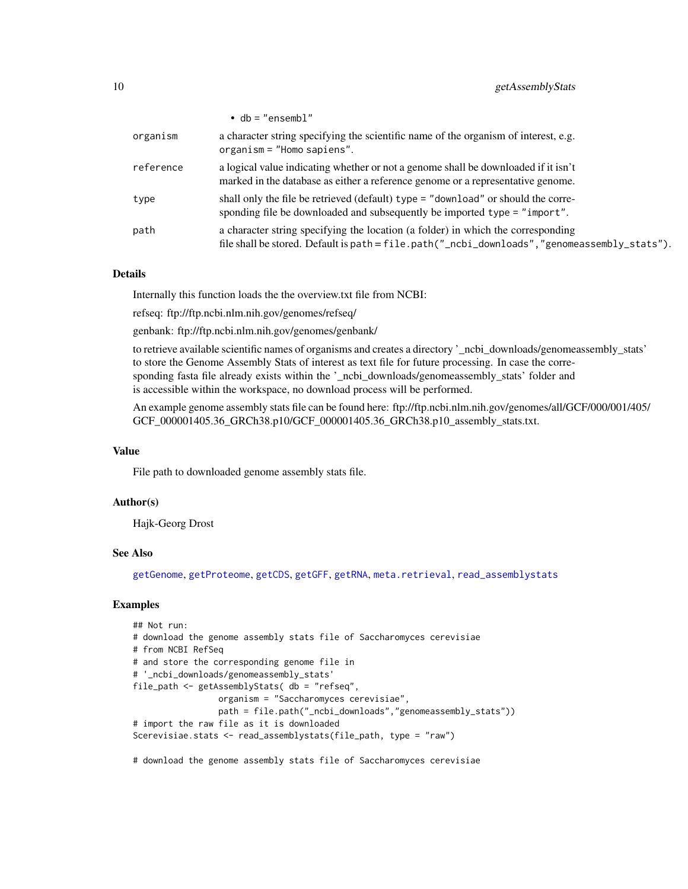|           | $\bullet$ db = "ensembl"                                                                                                                                                         |
|-----------|----------------------------------------------------------------------------------------------------------------------------------------------------------------------------------|
| organism  | a character string specifying the scientific name of the organism of interest, e.g.<br>organism = "Homo sapiens".                                                                |
| reference | a logical value indicating whether or not a genome shall be downloaded if it isn't<br>marked in the database as either a reference genome or a representative genome.            |
| type      | shall only the file be retrieved (default) type = "download" or should the corre-<br>sponding file be downloaded and subsequently be imported type = "import".                   |
| path      | a character string specifying the location (a folder) in which the corresponding<br>file shall be stored. Default is path = file.path("_ncbi_downloads","genomeassembly_stats"). |

### Details

Internally this function loads the the overview.txt file from NCBI:

refseq: ftp://ftp.ncbi.nlm.nih.gov/genomes/refseq/

genbank: ftp://ftp.ncbi.nlm.nih.gov/genomes/genbank/

to retrieve available scientific names of organisms and creates a directory '\_ncbi\_downloads/genomeassembly\_stats' to store the Genome Assembly Stats of interest as text file for future processing. In case the corresponding fasta file already exists within the '\_ncbi\_downloads/genomeassembly\_stats' folder and is accessible within the workspace, no download process will be performed.

An example genome assembly stats file can be found here: ftp://ftp.ncbi.nlm.nih.gov/genomes/all/GCF/000/001/405/ GCF\_000001405.36\_GRCh38.p10/GCF\_000001405.36\_GRCh38.p10\_assembly\_stats.txt.

# Value

File path to downloaded genome assembly stats file.

#### Author(s)

Hajk-Georg Drost

#### See Also

[getGenome](#page-23-1), [getProteome](#page-39-1), [getCDS](#page-11-1), [getGFF](#page-27-1), [getRNA](#page-45-1), [meta.retrieval](#page-56-1), [read\\_assemblystats](#page-64-1)

# Examples

```
## Not run:
# download the genome assembly stats file of Saccharomyces cerevisiae
# from NCBI RefSeq
# and store the corresponding genome file in
# '_ncbi_downloads/genomeassembly_stats'
file_path <- getAssemblyStats( db = "refseq",
                 organism = "Saccharomyces cerevisiae",
                 path = file.path("_ncbi_downloads","genomeassembly_stats"))
# import the raw file as it is downloaded
Scerevisiae.stats <- read_assemblystats(file_path, type = "raw")
```
# download the genome assembly stats file of Saccharomyces cerevisiae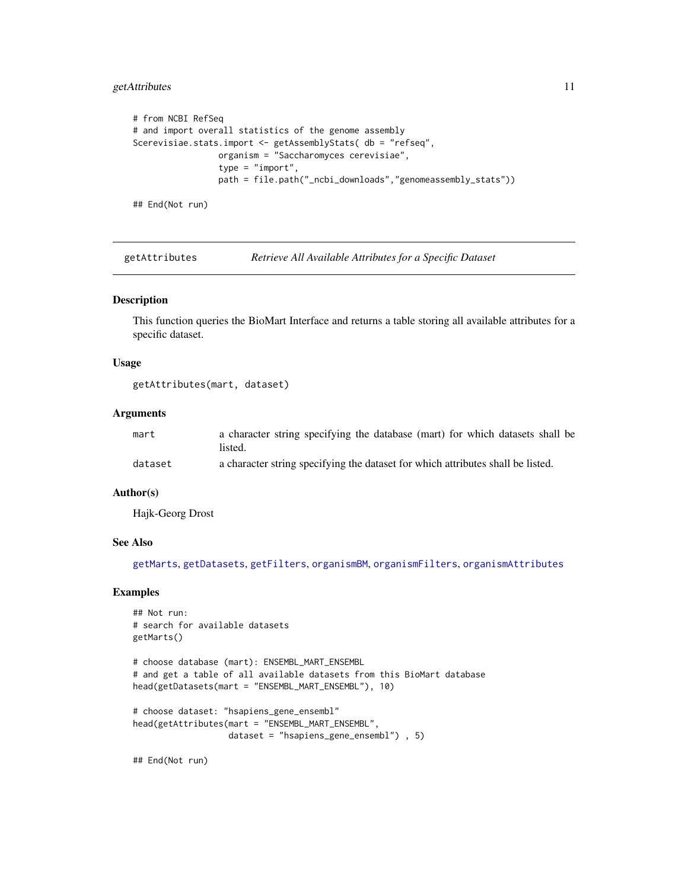# <span id="page-10-0"></span>getAttributes 11

```
# from NCBI RefSeq
# and import overall statistics of the genome assembly
Scerevisiae.stats.import <- getAssemblyStats( db = "refseq",
                 organism = "Saccharomyces cerevisiae",
                 type = "import",
                 path = file.path("_ncbi_downloads","genomeassembly_stats"))
```
## End(Not run)

<span id="page-10-1"></span>getAttributes *Retrieve All Available Attributes for a Specific Dataset*

#### Description

This function queries the BioMart Interface and returns a table storing all available attributes for a specific dataset.

#### Usage

```
getAttributes(mart, dataset)
```
# Arguments

| mart    | a character string specifying the database (mart) for which datasets shall be<br>listed. |
|---------|------------------------------------------------------------------------------------------|
| dataset | a character string specifying the dataset for which attributes shall be listed.          |

# Author(s)

Hajk-Georg Drost

#### See Also

[getMarts](#page-36-1), [getDatasets](#page-18-1), [getFilters](#page-22-1), [organismBM](#page-62-1), [organismFilters](#page-63-1), [organismAttributes](#page-60-1)

#### Examples

```
## Not run:
# search for available datasets
getMarts()
```

```
# choose database (mart): ENSEMBL_MART_ENSEMBL
# and get a table of all available datasets from this BioMart database
head(getDatasets(mart = "ENSEMBL_MART_ENSEMBL"), 10)
```

```
# choose dataset: "hsapiens_gene_ensembl"
head(getAttributes(mart = "ENSEMBL_MART_ENSEMBL",
                   dataset = "hsapiens_gene_ensembl") , 5)
```
## End(Not run)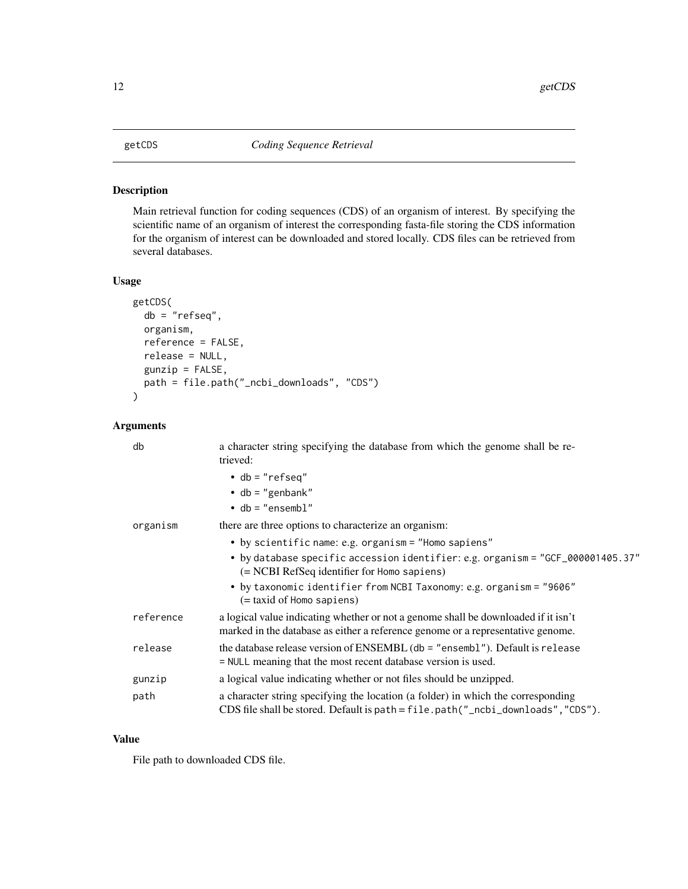#### <span id="page-11-1"></span><span id="page-11-0"></span>Description

Main retrieval function for coding sequences (CDS) of an organism of interest. By specifying the scientific name of an organism of interest the corresponding fasta-file storing the CDS information for the organism of interest can be downloaded and stored locally. CDS files can be retrieved from several databases.

### Usage

```
getCDS(
  db = "refseq",
  organism,
  reference = FALSE,
  release = NULL,
  gunzip = FALSE,
 path = file.path("_ncbi_downloads", "CDS")
)
```
# Arguments

| db        | a character string specifying the database from which the genome shall be re-<br>trieved:                                                                             |
|-----------|-----------------------------------------------------------------------------------------------------------------------------------------------------------------------|
|           | $\bullet$ db = "refseq"                                                                                                                                               |
|           | $\bullet$ db = "genbank"                                                                                                                                              |
|           | $\bullet$ db = "ensembl"                                                                                                                                              |
| organism  | there are three options to characterize an organism:                                                                                                                  |
|           | • by scientific name: e.g. organism = "Homo sapiens"                                                                                                                  |
|           | • by database specific accession identifier: e.g. organism = "GCF_000001405.37"<br>$(= NCBI RefSeq$ identifier for Homo sapiens)                                      |
|           | • by taxonomic identifier from NCBI Taxonomy: e.g. organism = "9606"<br>(= taxid of Homo sapiens)                                                                     |
| reference | a logical value indicating whether or not a genome shall be downloaded if it isn't<br>marked in the database as either a reference genome or a representative genome. |
| release   | the database release version of ENSEMBL ( $db =$ "ensembl"). Default is release<br>= NULL meaning that the most recent database version is used.                      |
| gunzip    | a logical value indicating whether or not files should be unzipped.                                                                                                   |
| path      | a character string specifying the location (a folder) in which the corresponding<br>CDS file shall be stored. Default is path = file.path("_ncbi_downloads","CDS").   |

#### Value

File path to downloaded CDS file.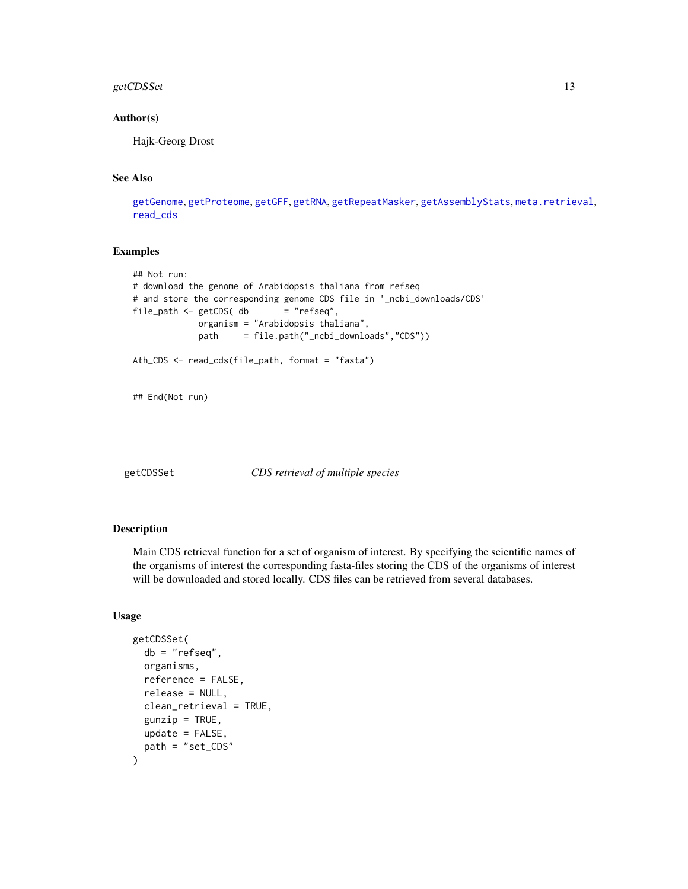# <span id="page-12-0"></span>getCDSSet 13

#### Author(s)

Hajk-Georg Drost

# See Also

[getGenome](#page-23-1), [getProteome](#page-39-1), [getGFF](#page-27-1), [getRNA](#page-45-1), [getRepeatMasker](#page-44-1), [getAssemblyStats](#page-8-1), [meta.retrieval](#page-56-1), [read\\_cds](#page-65-1)

#### Examples

```
## Not run:
# download the genome of Arabidopsis thaliana from refseq
# and store the corresponding genome CDS file in '_ncbi_downloads/CDS'
file_path <- getCDS (db = "refseq",
            organism = "Arabidopsis thaliana",
            path = file.path("_ncbi_downloads","CDS"))
Ath_CDS <- read_cds(file_path, format = "fasta")
## End(Not run)
```
<span id="page-12-1"></span>getCDSSet *CDS retrieval of multiple species*

# Description

Main CDS retrieval function for a set of organism of interest. By specifying the scientific names of the organisms of interest the corresponding fasta-files storing the CDS of the organisms of interest will be downloaded and stored locally. CDS files can be retrieved from several databases.

#### Usage

```
getCDSSet(
  db = "refseq",organisms,
  reference = FALSE,
  release = NULL,
  clean_retrieval = TRUE,
  gunzip = TRUE,
  update = FALSE,path = "set_CDS"
)
```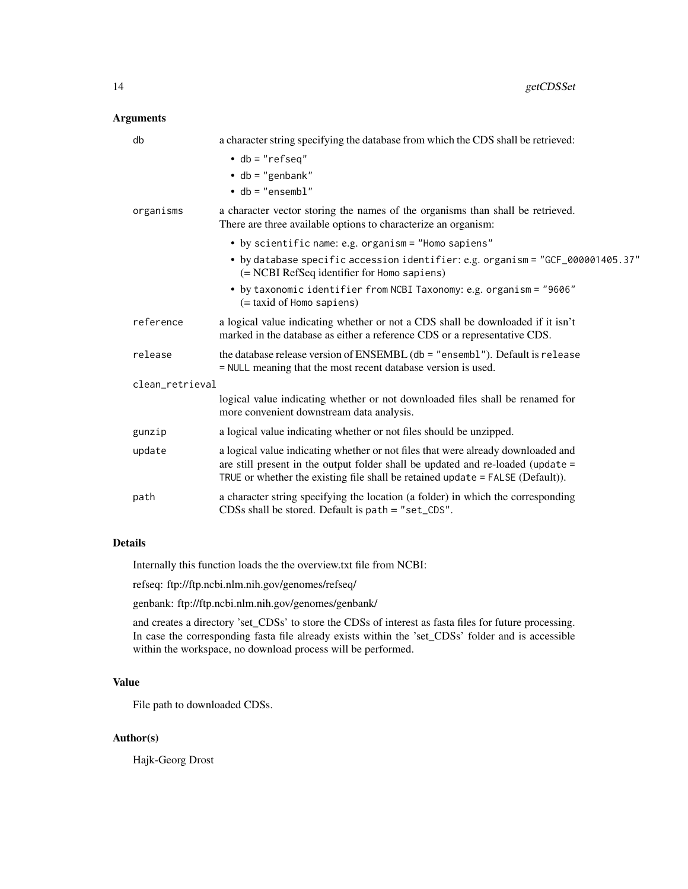# Arguments

| db              | a character string specifying the database from which the CDS shall be retrieved:                                                                                                                                                                       |
|-----------------|---------------------------------------------------------------------------------------------------------------------------------------------------------------------------------------------------------------------------------------------------------|
|                 | $\cdot$ db = "refseq"                                                                                                                                                                                                                                   |
|                 | $\bullet$ db = "genbank"                                                                                                                                                                                                                                |
|                 | $\bullet$ db = "ensembl"                                                                                                                                                                                                                                |
| organisms       | a character vector storing the names of the organisms than shall be retrieved.<br>There are three available options to characterize an organism:                                                                                                        |
|                 | • by scientific name: e.g. organism = "Homo sapiens"                                                                                                                                                                                                    |
|                 | • by database specific accession identifier: e.g. organism = "GCF_000001405.37"<br>(= NCBI RefSeq identifier for Homo sapiens)                                                                                                                          |
|                 | • by taxonomic identifier from NCBI Taxonomy: e.g. organism = "9606"<br>$(=$ taxid of Homo sapiens)                                                                                                                                                     |
| reference       | a logical value indicating whether or not a CDS shall be downloaded if it isn't<br>marked in the database as either a reference CDS or a representative CDS.                                                                                            |
| release         | the database release version of ENSEMBL (db = "ensembl"). Default is release<br>= NULL meaning that the most recent database version is used.                                                                                                           |
| clean_retrieval |                                                                                                                                                                                                                                                         |
|                 | logical value indicating whether or not downloaded files shall be renamed for<br>more convenient downstream data analysis.                                                                                                                              |
| gunzip          | a logical value indicating whether or not files should be unzipped.                                                                                                                                                                                     |
| update          | a logical value indicating whether or not files that were already downloaded and<br>are still present in the output folder shall be updated and re-loaded (update =<br>TRUE or whether the existing file shall be retained update $=$ FALSE (Default)). |
| path            | a character string specifying the location (a folder) in which the corresponding<br>CDSs shall be stored. Default is path = "set_CDS".                                                                                                                  |

#### Details

Internally this function loads the the overview.txt file from NCBI:

refseq: ftp://ftp.ncbi.nlm.nih.gov/genomes/refseq/

genbank: ftp://ftp.ncbi.nlm.nih.gov/genomes/genbank/

and creates a directory 'set\_CDSs' to store the CDSs of interest as fasta files for future processing. In case the corresponding fasta file already exists within the 'set\_CDSs' folder and is accessible within the workspace, no download process will be performed.

# Value

File path to downloaded CDSs.

# Author(s)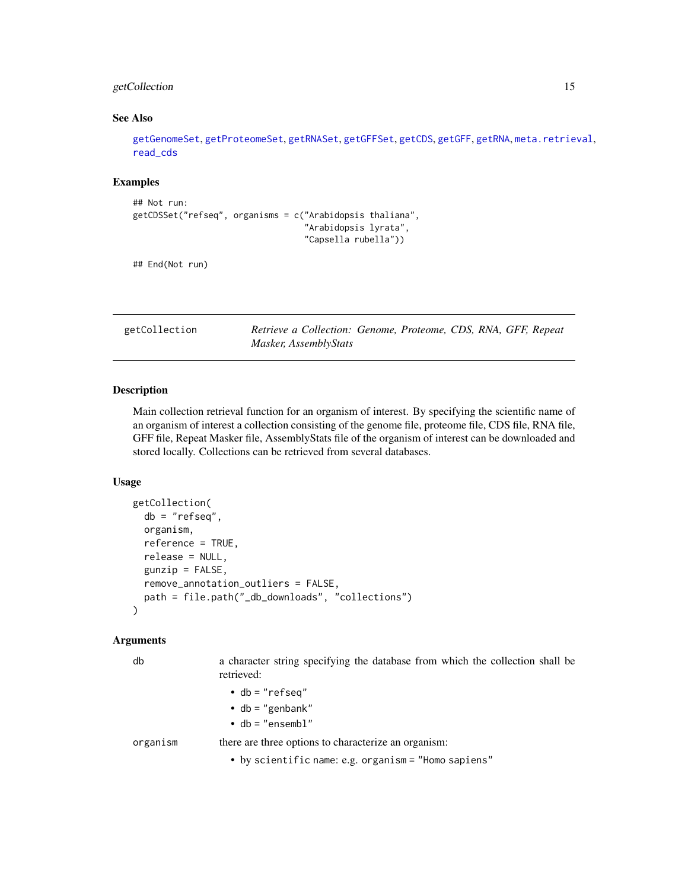# <span id="page-14-0"></span>getCollection 15

#### See Also

[getGenomeSet](#page-25-1), [getProteomeSet](#page-41-1), [getRNASet](#page-47-1), [getGFFSet](#page-29-1), [getCDS](#page-11-1), [getGFF](#page-27-1), [getRNA](#page-45-1), [meta.retrieval](#page-56-1), [read\\_cds](#page-65-1)

#### Examples

```
## Not run:
getCDSSet("refseq", organisms = c("Arabidopsis thaliana",
                                  "Arabidopsis lyrata",
                                   "Capsella rubella"))
```
## End(Not run)

<span id="page-14-1"></span>getCollection *Retrieve a Collection: Genome, Proteome, CDS, RNA, GFF, Repeat Masker, AssemblyStats*

#### **Description**

Main collection retrieval function for an organism of interest. By specifying the scientific name of an organism of interest a collection consisting of the genome file, proteome file, CDS file, RNA file, GFF file, Repeat Masker file, AssemblyStats file of the organism of interest can be downloaded and stored locally. Collections can be retrieved from several databases.

#### Usage

```
getCollection(
  db = "refseq",
 organism,
  reference = TRUE,
  release = NULL,
  gunzip = FALSE,
  remove_annotation_outliers = FALSE,
 path = file.path("_db_downloads", "collections")
)
```
#### Arguments

db a character string specifying the database from which the collection shall be retrieved:

• db = "refseq"

- $\cdot$  db = "genbank"
- db = "ensembl"

organism there are three options to characterize an organism:

• by scientific name: e.g. organism = "Homo sapiens"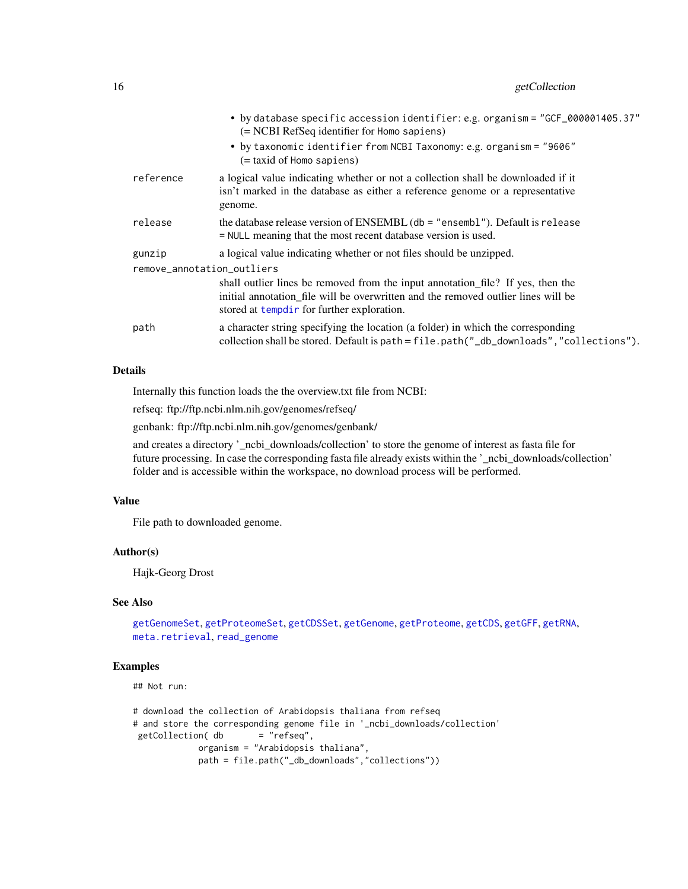|                            | • by database specific accession identifier: e.g. organism = "GCF_000001405.37"<br>(= NCBI RefSeq identifier for Homo sapiens)                                                                                      |
|----------------------------|---------------------------------------------------------------------------------------------------------------------------------------------------------------------------------------------------------------------|
|                            | • by taxonomic identifier from NCBI Taxonomy: e.g. organism = "9606"<br>(= taxid of Homo sapiens)                                                                                                                   |
| reference                  | a logical value indicating whether or not a collection shall be downloaded if it<br>isn't marked in the database as either a reference genome or a representative<br>genome.                                        |
| release                    | the database release version of ENSEMBL ( $db = "ensemble$ ). Default is release<br>= NULL meaning that the most recent database version is used.                                                                   |
| gunzip                     | a logical value indicating whether or not files should be unzipped.                                                                                                                                                 |
| remove_annotation_outliers |                                                                                                                                                                                                                     |
|                            | shall outlier lines be removed from the input annotation_file? If yes, then the<br>initial annotation file will be overwritten and the removed outlier lines will be<br>stored at templair for further exploration. |
| path                       | a character string specifying the location (a folder) in which the corresponding<br>collection shall be stored. Default is path = file.path("_db_downloads","collections").                                         |

#### Details

Internally this function loads the the overview.txt file from NCBI:

refseq: ftp://ftp.ncbi.nlm.nih.gov/genomes/refseq/

genbank: ftp://ftp.ncbi.nlm.nih.gov/genomes/genbank/

and creates a directory '\_ncbi\_downloads/collection' to store the genome of interest as fasta file for future processing. In case the corresponding fasta file already exists within the '\_ncbi\_downloads/collection' folder and is accessible within the workspace, no download process will be performed.

# Value

File path to downloaded genome.

# Author(s)

Hajk-Georg Drost

# See Also

```
getGenomeSet, getProteomeSet, getCDSSet, getGenome, getProteome, getCDS, getGFF, getRNA,
meta.retrieval, read_genome
```
# Examples

## Not run:

```
# download the collection of Arabidopsis thaliana from refseq
# and store the corresponding genome file in '_ncbi_downloads/collection'
getCollection( db = "refseq",organism = "Arabidopsis thaliana",
            path = file.path("_db_downloads","collections"))
```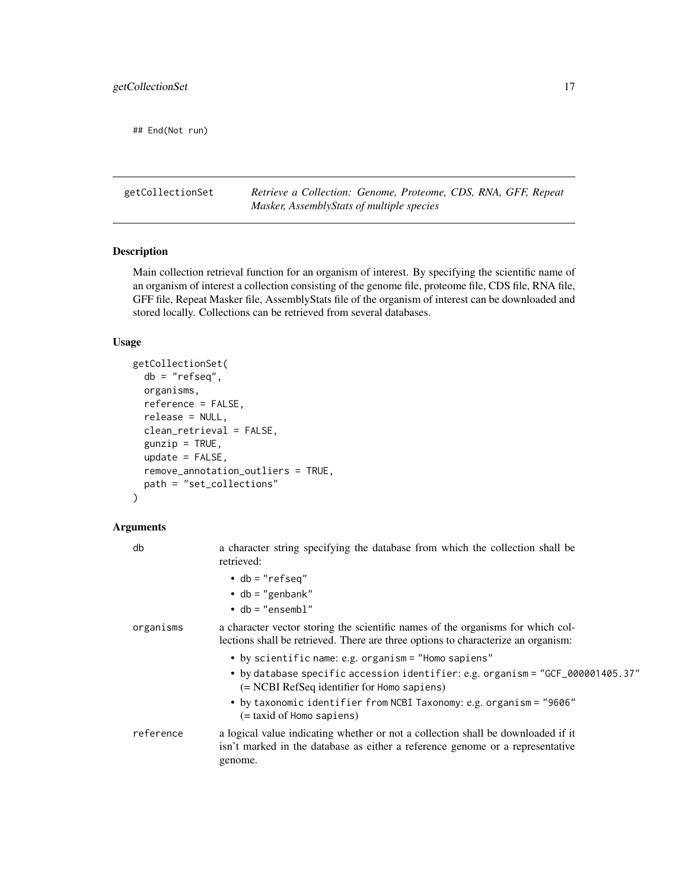<span id="page-16-0"></span>## End(Not run)

getCollectionSet *Retrieve a Collection: Genome, Proteome, CDS, RNA, GFF, Repeat Masker, AssemblyStats of multiple species*

#### Description

Main collection retrieval function for an organism of interest. By specifying the scientific name of an organism of interest a collection consisting of the genome file, proteome file, CDS file, RNA file, GFF file, Repeat Masker file, AssemblyStats file of the organism of interest can be downloaded and stored locally. Collections can be retrieved from several databases.

# Usage

```
getCollectionSet(
  db = "refseq",
  organisms,
  reference = FALSE,
  release = NULL,
  clean_retrieval = FALSE,
  gunzip = TRUE,
  update = FALSE,remove_annotation_outliers = TRUE,
 path = "set_collections"
)
```

| db        | a character string specifying the database from which the collection shall be<br>retrieved:                                                                                            |
|-----------|----------------------------------------------------------------------------------------------------------------------------------------------------------------------------------------|
|           | $\bullet$ db = "refseq"<br>• db = "genbank"<br>$\bullet$ db = "ensembl"                                                                                                                |
| organisms | a character vector storing the scientific names of the organisms for which col-<br>lections shall be retrieved. There are three options to characterize an organism:                   |
|           | • by scientific name: e.g. organism = "Homo sapiens"<br>• by database specific accession identifier: e.g. organism = "GCF_000001405.37"<br>(= NCBI RefSeq identifier for Homo sapiens) |
|           | • by taxonomic identifier from NCBI Taxonomy: e.g. organism = "9606"<br>(= taxid of Homo sapiens)                                                                                      |
| reference | a logical value indicating whether or not a collection shall be downloaded if it<br>isn't marked in the database as either a reference genome or a representative<br>genome.           |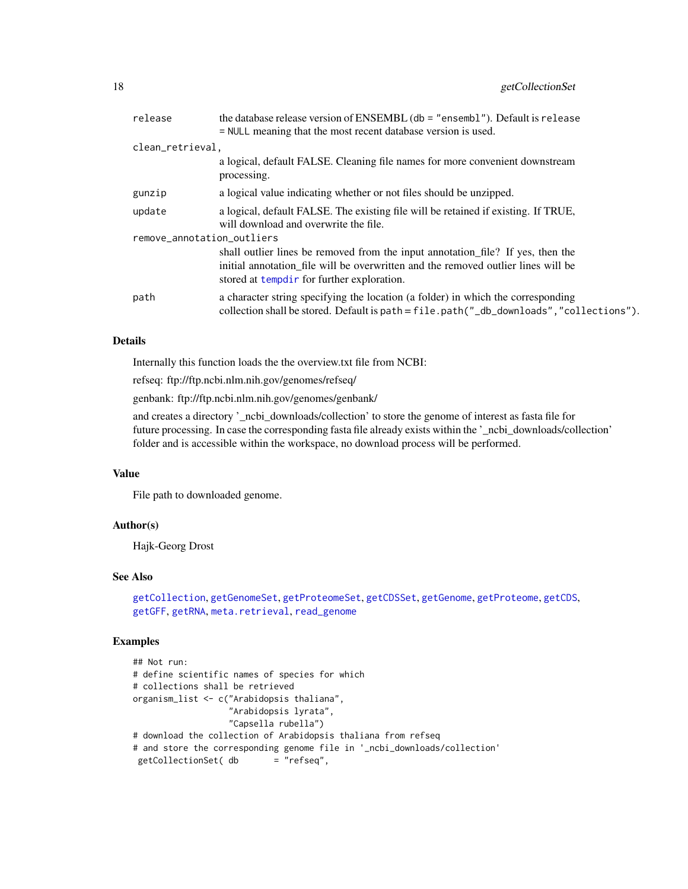| release                    | the database release version of ENSEMBL (db = "ensembl"). Default is release                                                                                                                                       |
|----------------------------|--------------------------------------------------------------------------------------------------------------------------------------------------------------------------------------------------------------------|
|                            | = NULL meaning that the most recent database version is used.                                                                                                                                                      |
| clean_retrieval,           |                                                                                                                                                                                                                    |
|                            | a logical, default FALSE. Cleaning file names for more convenient downstream<br>processing.                                                                                                                        |
| gunzip                     | a logical value indicating whether or not files should be unzipped.                                                                                                                                                |
| update                     | a logical, default FALSE. The existing file will be retained if existing. If TRUE,<br>will download and overwrite the file.                                                                                        |
| remove_annotation_outliers |                                                                                                                                                                                                                    |
|                            | shall outlier lines be removed from the input annotation file? If yes, then the<br>initial annotation file will be overwritten and the removed outlier lines will be<br>stored at tempdir for further exploration. |
| path                       | a character string specifying the location (a folder) in which the corresponding<br>collection shall be stored. Default is path = file.path("_db_downloads","collections").                                        |
|                            |                                                                                                                                                                                                                    |

# Details

Internally this function loads the the overview.txt file from NCBI:

refseq: ftp://ftp.ncbi.nlm.nih.gov/genomes/refseq/

genbank: ftp://ftp.ncbi.nlm.nih.gov/genomes/genbank/

and creates a directory '\_ncbi\_downloads/collection' to store the genome of interest as fasta file for future processing. In case the corresponding fasta file already exists within the '\_ncbi\_downloads/collection' folder and is accessible within the workspace, no download process will be performed.

#### Value

File path to downloaded genome.

# Author(s)

Hajk-Georg Drost

# See Also

```
getCollection, getGenomeSet, getProteomeSet, getCDSSet, getGenome, getProteome, getCDS,
getGFF, getRNA, meta.retrieval, read_genome
```
# Examples

```
## Not run:
# define scientific names of species for which
# collections shall be retrieved
organism_list <- c("Arabidopsis thaliana",
                  "Arabidopsis lyrata",
                  "Capsella rubella")
# download the collection of Arabidopsis thaliana from refseq
# and store the corresponding genome file in '_ncbi_downloads/collection'
getCollectionSet( db = "refseq",
```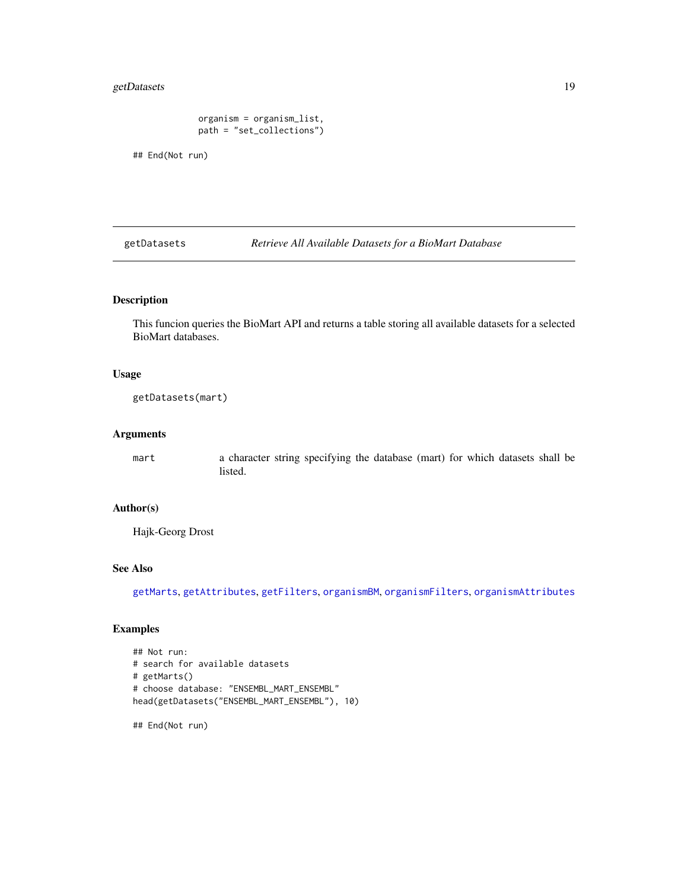# <span id="page-18-0"></span>getDatasets 19

```
organism = organism_list,
path = "set_collections")
```
## End(Not run)

<span id="page-18-1"></span>getDatasets *Retrieve All Available Datasets for a BioMart Database*

# Description

This funcion queries the BioMart API and returns a table storing all available datasets for a selected BioMart databases.

#### Usage

getDatasets(mart)

### Arguments

mart a character string specifying the database (mart) for which datasets shall be listed.

#### Author(s)

Hajk-Georg Drost

# See Also

[getMarts](#page-36-1), [getAttributes](#page-10-1), [getFilters](#page-22-1), [organismBM](#page-62-1), [organismFilters](#page-63-1), [organismAttributes](#page-60-1)

# Examples

```
## Not run:
# search for available datasets
# getMarts()
# choose database: "ENSEMBL_MART_ENSEMBL"
head(getDatasets("ENSEMBL_MART_ENSEMBL"), 10)
```
## End(Not run)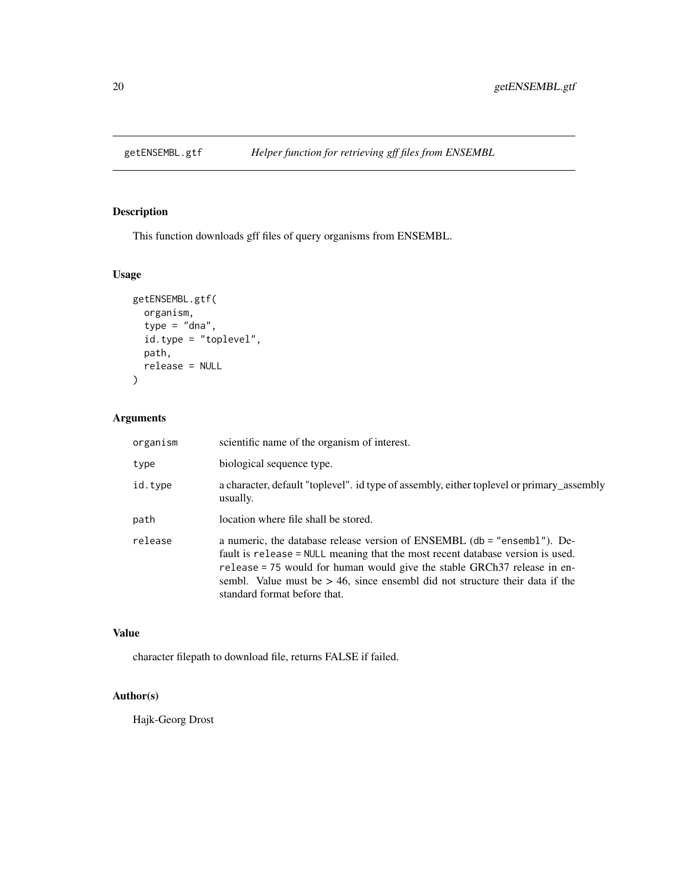<span id="page-19-0"></span>

# Description

This function downloads gff files of query organisms from ENSEMBL.

# Usage

```
getENSEMBL.gtf(
 organism,
  type = "dna",id.type = "toplevel",
 path,
 release = NULL
)
```
# Arguments

| organism | scientific name of the organism of interest.                                                                                                                                                                                                                                                                                                              |
|----------|-----------------------------------------------------------------------------------------------------------------------------------------------------------------------------------------------------------------------------------------------------------------------------------------------------------------------------------------------------------|
| type     | biological sequence type.                                                                                                                                                                                                                                                                                                                                 |
| id.type  | a character, default "toplevel". id type of assembly, either toplevel or primary_assembly<br>usually.                                                                                                                                                                                                                                                     |
| path     | location where file shall be stored.                                                                                                                                                                                                                                                                                                                      |
| release  | a numeric, the database release version of ENSEMBL (db = "ensembl"). De-<br>fault is release = NULL meaning that the most recent database version is used.<br>release = 75 would for human would give the stable GRCh37 release in en-<br>sembl. Value must be $> 46$ , since ensembl did not structure their data if the<br>standard format before that. |

# Value

character filepath to download file, returns FALSE if failed.

# Author(s)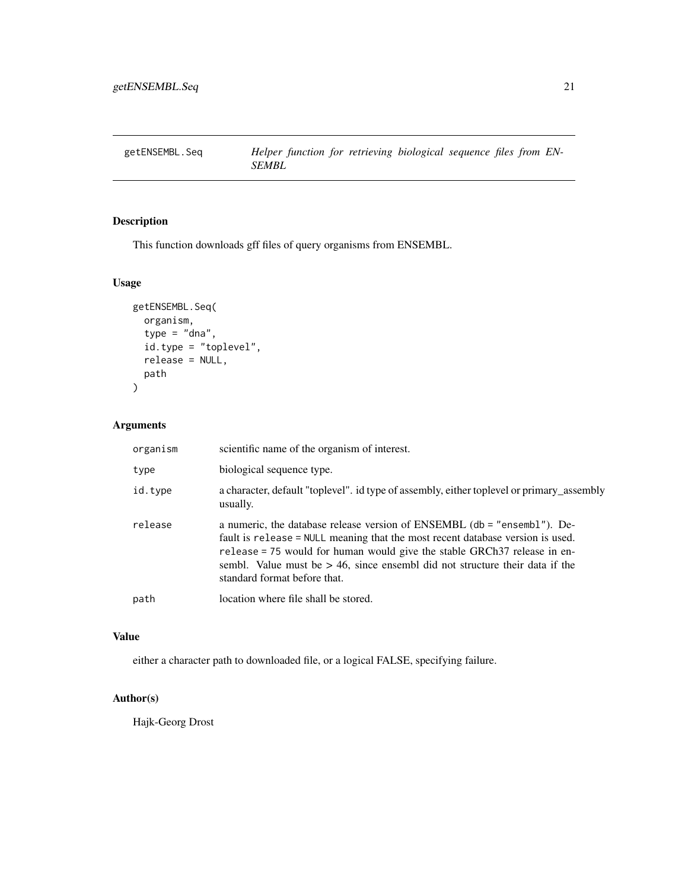<span id="page-20-0"></span>

# Description

This function downloads gff files of query organisms from ENSEMBL.

# Usage

```
getENSEMBL.Seq(
  organism,
  type = "dna",
  id.type = "toplevel",
  release = NULL,
  path
)
```
# Arguments

| organism | scientific name of the organism of interest.                                                                                                                                                                                                                                                                                                              |
|----------|-----------------------------------------------------------------------------------------------------------------------------------------------------------------------------------------------------------------------------------------------------------------------------------------------------------------------------------------------------------|
| type     | biological sequence type.                                                                                                                                                                                                                                                                                                                                 |
| id.type  | a character, default "toplevel". id type of assembly, either toplevel or primary_assembly<br>usually.                                                                                                                                                                                                                                                     |
| release  | a numeric, the database release version of ENSEMBL (db = "ensembl"). De-<br>fault is release = NULL meaning that the most recent database version is used.<br>release = 75 would for human would give the stable GRCh37 release in en-<br>sembl. Value must be $> 46$ , since ensembl did not structure their data if the<br>standard format before that. |
| path     | location where file shall be stored.                                                                                                                                                                                                                                                                                                                      |

# Value

either a character path to downloaded file, or a logical FALSE, specifying failure.

# Author(s)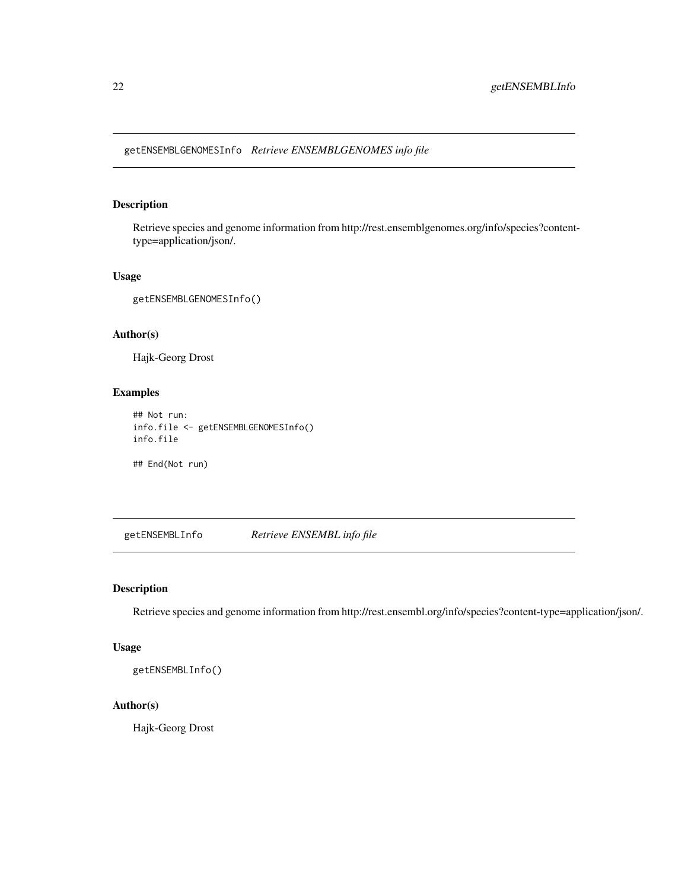<span id="page-21-0"></span>getENSEMBLGENOMESInfo *Retrieve ENSEMBLGENOMES info file*

# Description

Retrieve species and genome information from http://rest.ensemblgenomes.org/info/species?contenttype=application/json/.

#### Usage

getENSEMBLGENOMESInfo()

#### Author(s)

Hajk-Georg Drost

# Examples

```
## Not run:
info.file <- getENSEMBLGENOMESInfo()
info.file
```
## End(Not run)

getENSEMBLInfo *Retrieve ENSEMBL info file*

# Description

Retrieve species and genome information from http://rest.ensembl.org/info/species?content-type=application/json/.

# Usage

```
getENSEMBLInfo()
```
# Author(s)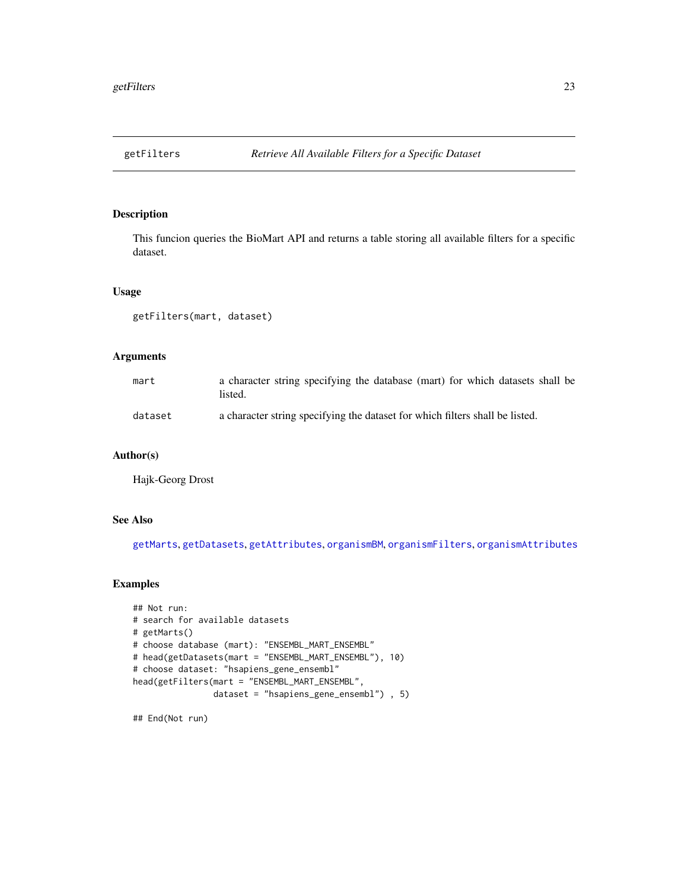<span id="page-22-1"></span><span id="page-22-0"></span>

# Description

This funcion queries the BioMart API and returns a table storing all available filters for a specific dataset.

#### Usage

getFilters(mart, dataset)

# Arguments

| mart    | a character string specifying the database (mart) for which datasets shall be<br>listed. |
|---------|------------------------------------------------------------------------------------------|
| dataset | a character string specifying the dataset for which filters shall be listed.             |

#### Author(s)

Hajk-Georg Drost

# See Also

[getMarts](#page-36-1), [getDatasets](#page-18-1), [getAttributes](#page-10-1), [organismBM](#page-62-1), [organismFilters](#page-63-1), [organismAttributes](#page-60-1)

#### Examples

```
## Not run:
# search for available datasets
# getMarts()
# choose database (mart): "ENSEMBL_MART_ENSEMBL"
# head(getDatasets(mart = "ENSEMBL_MART_ENSEMBL"), 10)
# choose dataset: "hsapiens_gene_ensembl"
head(getFilters(mart = "ENSEMBL_MART_ENSEMBL",
                dataset = "hsapiens_gene_ensembl") , 5)
```
## End(Not run)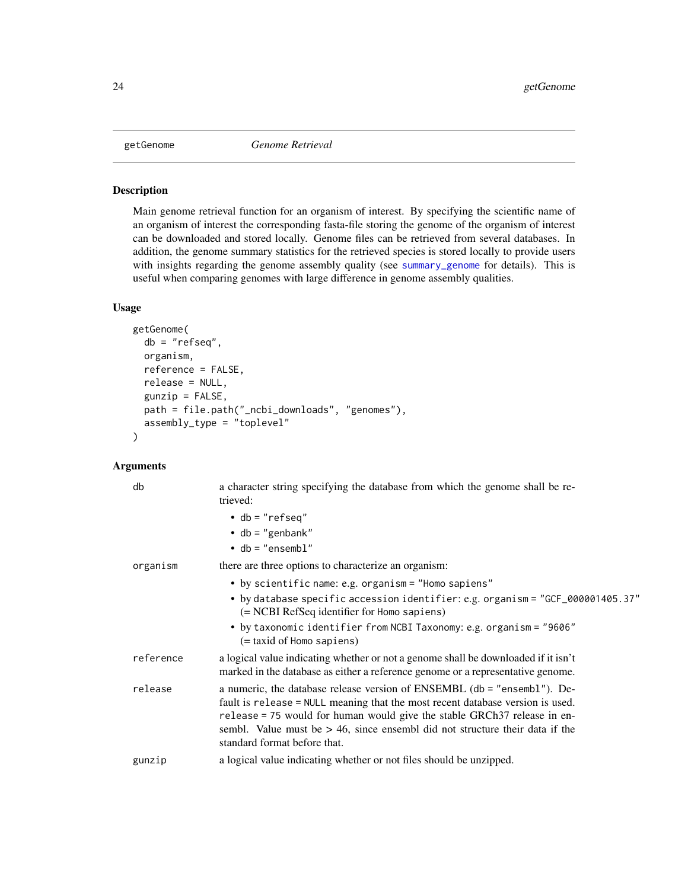<span id="page-23-1"></span><span id="page-23-0"></span>

#### Description

Main genome retrieval function for an organism of interest. By specifying the scientific name of an organism of interest the corresponding fasta-file storing the genome of the organism of interest can be downloaded and stored locally. Genome files can be retrieved from several databases. In addition, the genome summary statistics for the retrieved species is stored locally to provide users with insights regarding the genome assembly quality (see [summary\\_genome](#page-71-1) for details). This is useful when comparing genomes with large difference in genome assembly qualities.

#### Usage

```
getGenome(
  db = "refseq",
  organism,
  reference = FALSE,
  release = NULL,
  gunzip = FALSE,
  path = file.path("_ncbi_downloads", "genomes"),
  assembly_type = "toplevel"
)
```

| db        | a character string specifying the database from which the genome shall be re-<br>trieved:                                                                                                                                                                                                                                                                 |
|-----------|-----------------------------------------------------------------------------------------------------------------------------------------------------------------------------------------------------------------------------------------------------------------------------------------------------------------------------------------------------------|
|           | $\bullet$ db = "refseq"                                                                                                                                                                                                                                                                                                                                   |
|           | • db = "genbank"                                                                                                                                                                                                                                                                                                                                          |
|           | $\bullet$ db = "ensembl"                                                                                                                                                                                                                                                                                                                                  |
| organism  | there are three options to characterize an organism:                                                                                                                                                                                                                                                                                                      |
|           | • by scientific name: e.g. organism = "Homo sapiens"                                                                                                                                                                                                                                                                                                      |
|           | • by database specific accession identifier: e.g. organism = "GCF_000001405.37"<br>(= NCBI RefSeq identifier for Homo sapiens)                                                                                                                                                                                                                            |
|           | • by taxonomic identifier from NCBI Taxonomy: e.g. organism = "9606"<br>(= taxid of Homo sapiens)                                                                                                                                                                                                                                                         |
| reference | a logical value indicating whether or not a genome shall be downloaded if it isn't<br>marked in the database as either a reference genome or a representative genome.                                                                                                                                                                                     |
| release   | a numeric, the database release version of ENSEMBL (db = "ensembl"). De-<br>fault is release = NULL meaning that the most recent database version is used.<br>release = 75 would for human would give the stable GRCh37 release in en-<br>sembl. Value must be $> 46$ , since ensembl did not structure their data if the<br>standard format before that. |
| gunzip    | a logical value indicating whether or not files should be unzipped.                                                                                                                                                                                                                                                                                       |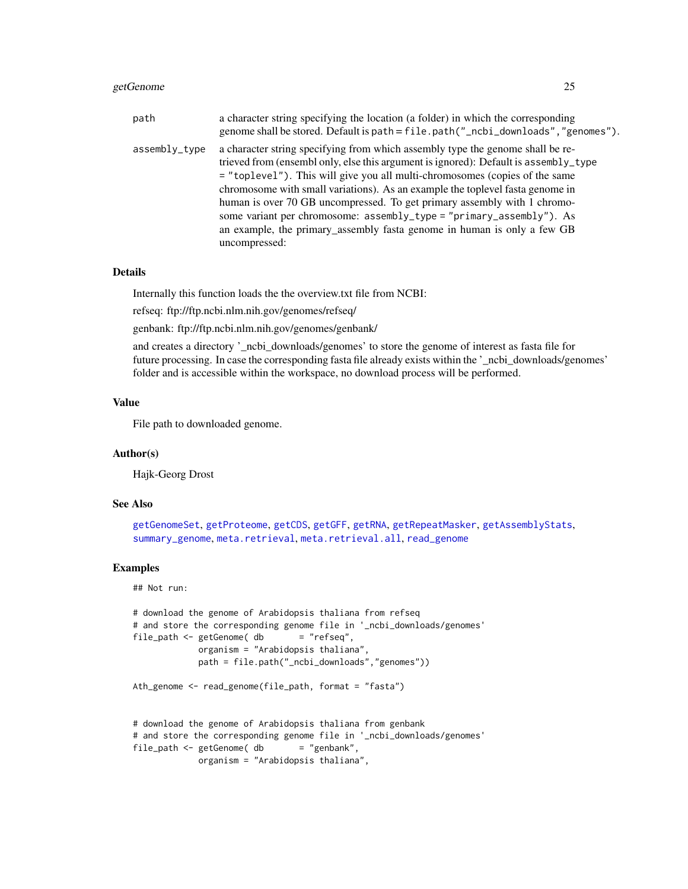# getGenome 25

| path          | a character string specifying the location (a folder) in which the corresponding<br>genome shall be stored. Default is path = file.path("_ncbi_downloads", "genomes").                                                                                                                                                                                                                                                                                                                                                                                                                 |
|---------------|----------------------------------------------------------------------------------------------------------------------------------------------------------------------------------------------------------------------------------------------------------------------------------------------------------------------------------------------------------------------------------------------------------------------------------------------------------------------------------------------------------------------------------------------------------------------------------------|
| assembly_type | a character string specifying from which assembly type the genome shall be re-<br>trieved from (ensembl only, else this argument is ignored): Default is assembly_type<br>= "toplevel"). This will give you all multi-chromosomes (copies of the same<br>chromosome with small variations). As an example the toplevel fasta genome in<br>human is over 70 GB uncompressed. To get primary assembly with 1 chromo-<br>some variant per chromosome: assembly_type = "primary_assembly"). As<br>an example, the primary_assembly fasta genome in human is only a few GB<br>uncompressed: |

# Details

Internally this function loads the the overview.txt file from NCBI:

refseq: ftp://ftp.ncbi.nlm.nih.gov/genomes/refseq/

genbank: ftp://ftp.ncbi.nlm.nih.gov/genomes/genbank/

and creates a directory '\_ncbi\_downloads/genomes' to store the genome of interest as fasta file for future processing. In case the corresponding fasta file already exists within the '\_ncbi\_downloads/genomes' folder and is accessible within the workspace, no download process will be performed.

#### Value

File path to downloaded genome.

#### Author(s)

Hajk-Georg Drost

#### See Also

```
getGenomeSet, getProteome, getCDS, getGFF, getRNA, getRepeatMasker, getAssemblyStats,
summary_genome, meta.retrieval, meta.retrieval.all, read_genome
```
#### Examples

## Not run:

```
# download the genome of Arabidopsis thaliana from refseq
# and store the corresponding genome file in '_ncbi_downloads/genomes'
file_path <- getGenome( db = "refseq",organism = "Arabidopsis thaliana",
            path = file.path("_ncbi_downloads","genomes"))
Ath_genome <- read_genome(file_path, format = "fasta")
# download the genome of Arabidopsis thaliana from genbank
# and store the corresponding genome file in '_ncbi_downloads/genomes'
file_path \leq getGenome( db
            organism = "Arabidopsis thaliana",
```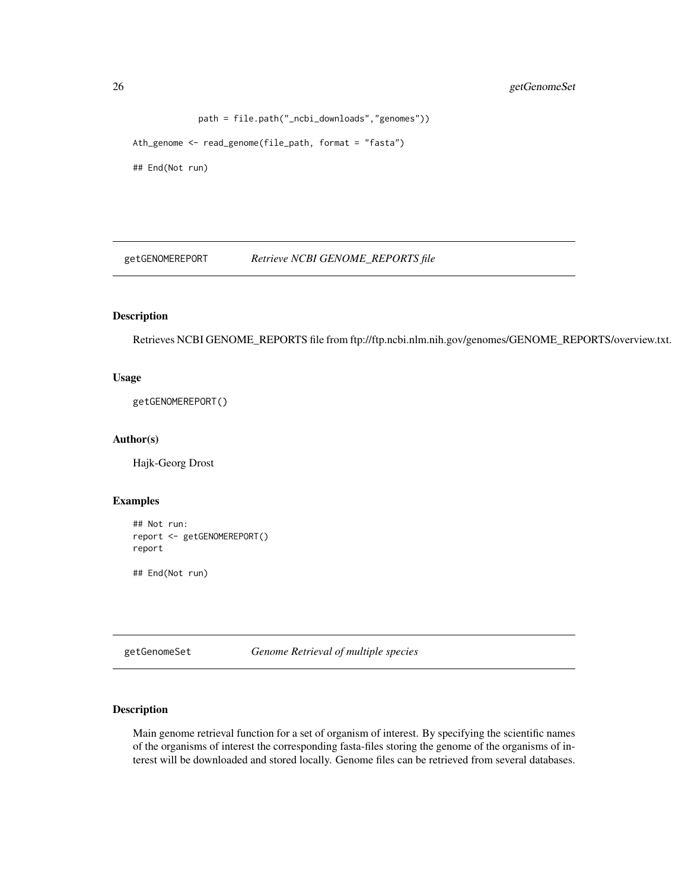# <span id="page-25-0"></span>26 getGenomeSet

```
path = file.path("_ncbi_downloads","genomes"))
Ath_genome <- read_genome(file_path, format = "fasta")
```
## End(Not run)

getGENOMEREPORT *Retrieve NCBI GENOME\_REPORTS file*

# Description

Retrieves NCBI GENOME\_REPORTS file from ftp://ftp.ncbi.nlm.nih.gov/genomes/GENOME\_REPORTS/overview.txt.

# Usage

getGENOMEREPORT()

# Author(s)

Hajk-Georg Drost

# Examples

```
## Not run:
report <- getGENOMEREPORT()
report
## End(Not run)
```
<span id="page-25-1"></span>getGenomeSet *Genome Retrieval of multiple species*

# Description

Main genome retrieval function for a set of organism of interest. By specifying the scientific names of the organisms of interest the corresponding fasta-files storing the genome of the organisms of interest will be downloaded and stored locally. Genome files can be retrieved from several databases.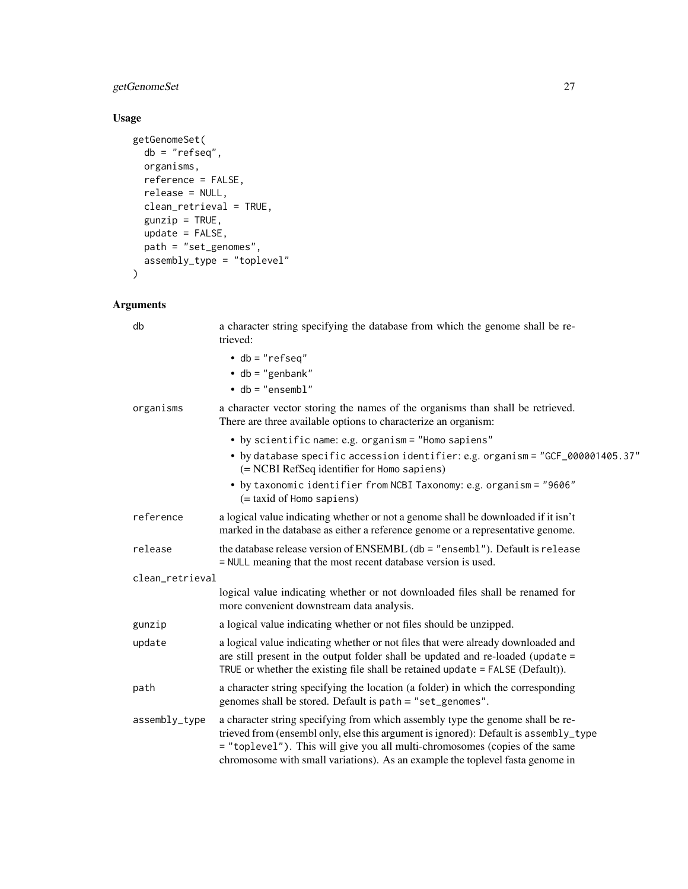# getGenomeSet 27

# Usage

```
getGenomeSet(
  db = "refseq",
  organisms,
  reference = FALSE,
  release = NULL,
  clean_retrieval = TRUE,
  gunzip = TRUE,
  update = FALSE,
  path = "set_genomes",
 assembly_type = "toplevel"
\mathcal{L}
```

| db              |               | a character string specifying the database from which the genome shall be re-<br>trieved:                                                                                                                                                                                                                                              |
|-----------------|---------------|----------------------------------------------------------------------------------------------------------------------------------------------------------------------------------------------------------------------------------------------------------------------------------------------------------------------------------------|
|                 |               | $\cdot$ db = "refseq"                                                                                                                                                                                                                                                                                                                  |
|                 |               | $\bullet$ db = "genbank"                                                                                                                                                                                                                                                                                                               |
|                 |               | $\cdot$ db = "ensembl"                                                                                                                                                                                                                                                                                                                 |
|                 | organisms     | a character vector storing the names of the organisms than shall be retrieved.<br>There are three available options to characterize an organism:                                                                                                                                                                                       |
|                 |               | • by scientific name: e.g. organism = "Homo sapiens"                                                                                                                                                                                                                                                                                   |
|                 |               | • by database specific accession identifier: e.g. organism = "GCF_000001405.37"<br>(= NCBI RefSeq identifier for Homo sapiens)                                                                                                                                                                                                         |
|                 |               | • by taxonomic identifier from NCBI Taxonomy: e.g. organism = "9606"<br>(= taxid of Homo sapiens)                                                                                                                                                                                                                                      |
|                 | reference     | a logical value indicating whether or not a genome shall be downloaded if it isn't<br>marked in the database as either a reference genome or a representative genome.                                                                                                                                                                  |
| release         |               | the database release version of ENSEMBL (db = "ensembl"). Default is release<br>= NULL meaning that the most recent database version is used.                                                                                                                                                                                          |
| clean_retrieval |               |                                                                                                                                                                                                                                                                                                                                        |
|                 |               | logical value indicating whether or not downloaded files shall be renamed for<br>more convenient downstream data analysis.                                                                                                                                                                                                             |
| gunzip          |               | a logical value indicating whether or not files should be unzipped.                                                                                                                                                                                                                                                                    |
| update          |               | a logical value indicating whether or not files that were already downloaded and<br>are still present in the output folder shall be updated and re-loaded (update =<br>TRUE or whether the existing file shall be retained update $=$ FALSE (Default)).                                                                                |
| path            |               | a character string specifying the location (a folder) in which the corresponding<br>genomes shall be stored. Default is path = "set_genomes".                                                                                                                                                                                          |
|                 | assembly_type | a character string specifying from which assembly type the genome shall be re-<br>trieved from (ensembl only, else this argument is ignored): Default is assembly_type<br>= "toplevel"). This will give you all multi-chromosomes (copies of the same<br>chromosome with small variations). As an example the toplevel fasta genome in |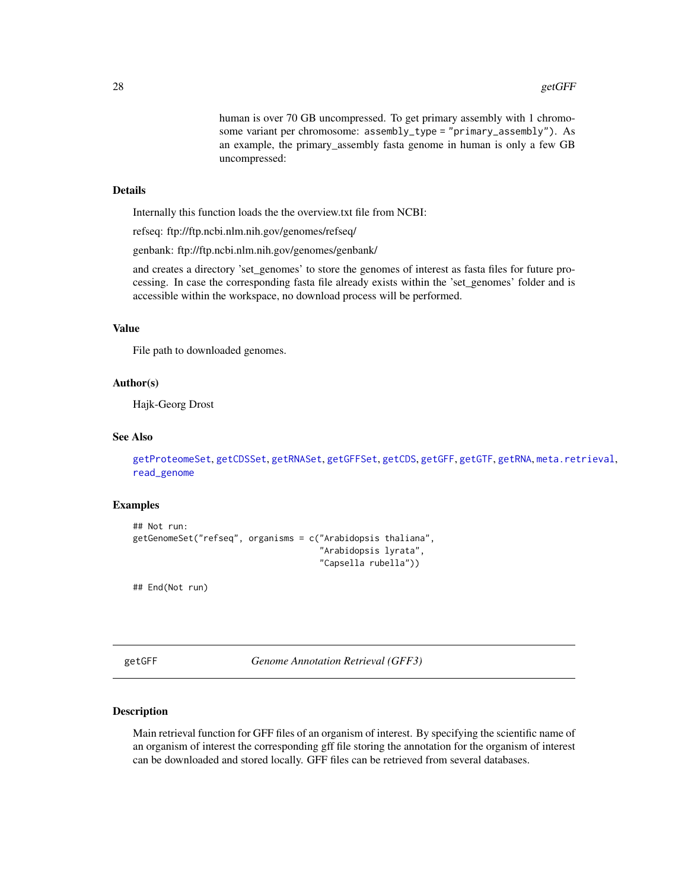human is over 70 GB uncompressed. To get primary assembly with 1 chromosome variant per chromosome: assembly\_type = "primary\_assembly"). As an example, the primary\_assembly fasta genome in human is only a few GB uncompressed:

# <span id="page-27-0"></span>Details

Internally this function loads the the overview.txt file from NCBI:

refseq: ftp://ftp.ncbi.nlm.nih.gov/genomes/refseq/

genbank: ftp://ftp.ncbi.nlm.nih.gov/genomes/genbank/

and creates a directory 'set\_genomes' to store the genomes of interest as fasta files for future processing. In case the corresponding fasta file already exists within the 'set\_genomes' folder and is accessible within the workspace, no download process will be performed.

# Value

File path to downloaded genomes.

# Author(s)

Hajk-Georg Drost

#### See Also

```
getProteomeSet, getCDSSet, getRNASet, getGFFSet, getCDS, getGFF, getGTF, getRNA, meta.retrieval,
read_genome
```
#### Examples

```
## Not run:
getGenomeSet("refseq", organisms = c("Arabidopsis thaliana",
                                      "Arabidopsis lyrata",
                                      "Capsella rubella"))
```
## End(Not run)

<span id="page-27-1"></span>getGFF *Genome Annotation Retrieval (GFF3)*

#### Description

Main retrieval function for GFF files of an organism of interest. By specifying the scientific name of an organism of interest the corresponding gff file storing the annotation for the organism of interest can be downloaded and stored locally. GFF files can be retrieved from several databases.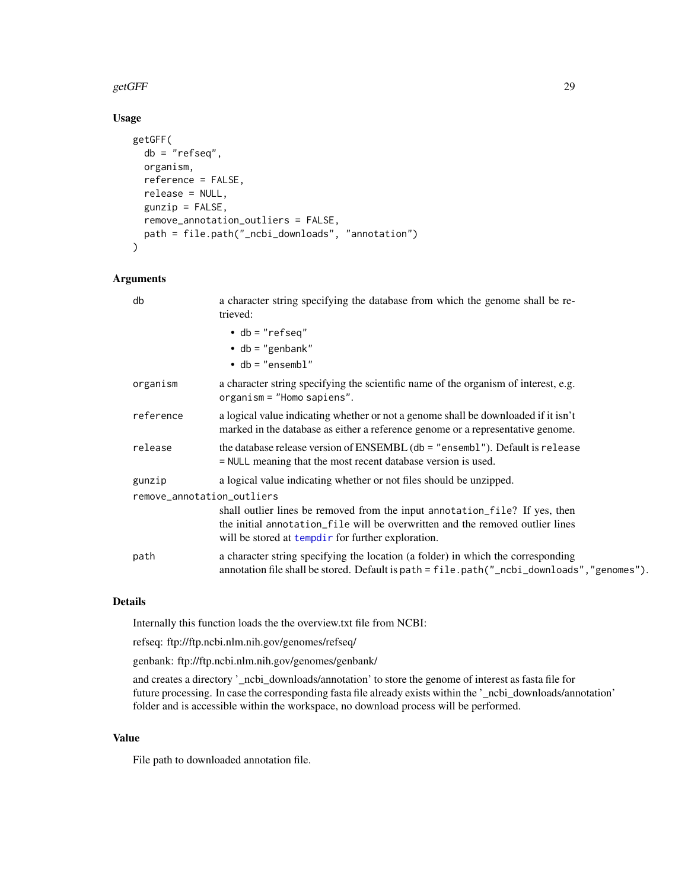#### getGFF 29

# Usage

```
getGFF(
  db = "refseq",
  organism,
  reference = FALSE,
  release = NULL,
  gunzip = FALSE,
  remove_annotation_outliers = FALSE,
  path = file.path("_ncbi_downloads", "annotation")
\mathcal{L}
```
# Arguments

| db                         | a character string specifying the database from which the genome shall be re-<br>trieved:                                                                                                                          |  |
|----------------------------|--------------------------------------------------------------------------------------------------------------------------------------------------------------------------------------------------------------------|--|
|                            | $\cdot$ db = "refseq"                                                                                                                                                                                              |  |
|                            | $\bullet$ db = "genbank"                                                                                                                                                                                           |  |
|                            | $\bullet$ db = "ensembl"                                                                                                                                                                                           |  |
| organism                   | a character string specifying the scientific name of the organism of interest, e.g.<br>$organism = "Homes"$ .                                                                                                      |  |
| reference                  | a logical value indicating whether or not a genome shall be downloaded if it isn't<br>marked in the database as either a reference genome or a representative genome.                                              |  |
| release                    | the database release version of ENSEMBL ( $db =$ "ensembl"). Default is release<br>= NULL meaning that the most recent database version is used.                                                                   |  |
| gunzip                     | a logical value indicating whether or not files should be unzipped.                                                                                                                                                |  |
| remove_annotation_outliers |                                                                                                                                                                                                                    |  |
|                            | shall outlier lines be removed from the input annotation_file? If yes, then<br>the initial annotation file will be overwritten and the removed outlier lines<br>will be stored at tempdir for further exploration. |  |
| path                       | a character string specifying the location (a folder) in which the corresponding<br>annotation file shall be stored. Default is path = file.path("_ncbi_downloads","genomes").                                     |  |

# Details

Internally this function loads the the overview.txt file from NCBI:

refseq: ftp://ftp.ncbi.nlm.nih.gov/genomes/refseq/

genbank: ftp://ftp.ncbi.nlm.nih.gov/genomes/genbank/

and creates a directory '\_ncbi\_downloads/annotation' to store the genome of interest as fasta file for future processing. In case the corresponding fasta file already exists within the '\_ncbi\_downloads/annotation' folder and is accessible within the workspace, no download process will be performed.

#### Value

File path to downloaded annotation file.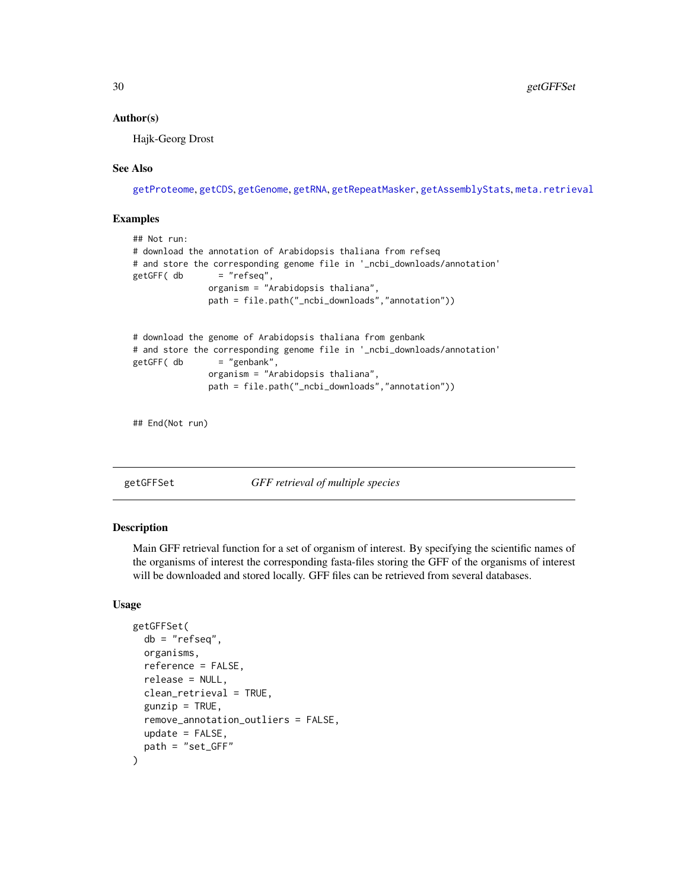#### <span id="page-29-0"></span>Author(s)

Hajk-Georg Drost

#### See Also

[getProteome](#page-39-1), [getCDS](#page-11-1), [getGenome](#page-23-1), [getRNA](#page-45-1), [getRepeatMasker](#page-44-1), [getAssemblyStats](#page-8-1), [meta.retrieval](#page-56-1)

### Examples

```
## Not run:
# download the annotation of Arabidopsis thaliana from refseq
# and store the corresponding genome file in '_ncbi_downloads/annotation'
getGFF( db = "refseq",
              organism = "Arabidopsis thaliana",
              path = file.path("_ncbi_downloads","annotation"))
# download the genome of Arabidopsis thaliana from genbank
# and store the corresponding genome file in '_ncbi_downloads/annotation'
getGFF( db = "genbank",
              organism = "Arabidopsis thaliana",
              path = file.path("_ncbi_downloads","annotation"))
```
## End(Not run)

<span id="page-29-1"></span>getGFFSet *GFF retrieval of multiple species*

#### Description

Main GFF retrieval function for a set of organism of interest. By specifying the scientific names of the organisms of interest the corresponding fasta-files storing the GFF of the organisms of interest will be downloaded and stored locally. GFF files can be retrieved from several databases.

#### Usage

```
getGFFSet(
  db = "refseq",
  organisms,
  reference = FALSE,
  release = NULL,
  clean_retrieval = TRUE,
  gunzip = TRUE,
  remove_annotation_outliers = FALSE,
  update = FALSE,path = "set_GFF"
)
```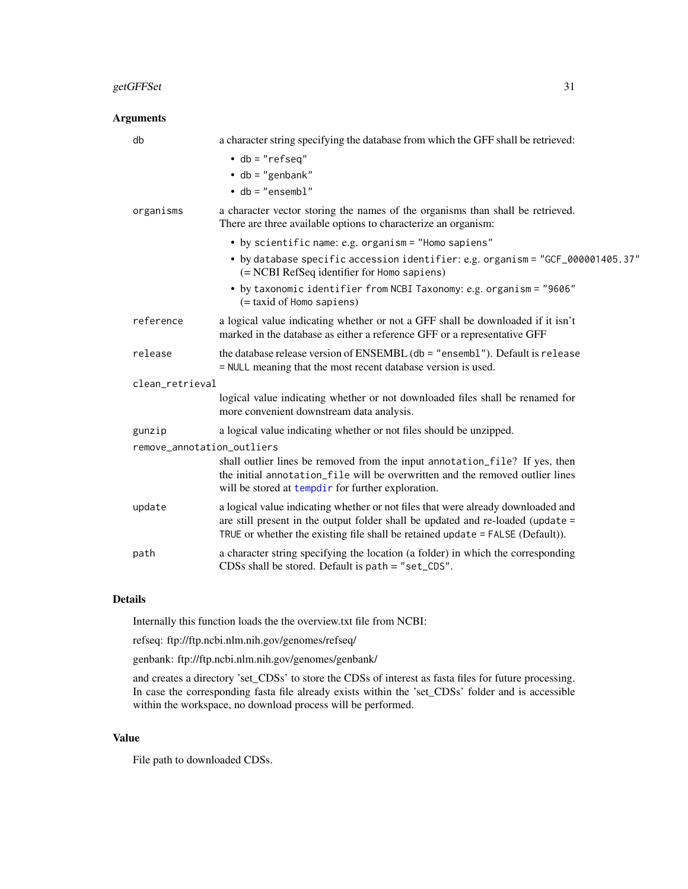# getGFFSet 31

| <b>Arguments</b>           |                                                                                                                                                                                                                                                                                                |  |
|----------------------------|------------------------------------------------------------------------------------------------------------------------------------------------------------------------------------------------------------------------------------------------------------------------------------------------|--|
| db                         | a character string specifying the database from which the GFF shall be retrieved:<br>$\cdot$ db = "refseq"<br>$\bullet$ db = "genbank"<br>$\bullet$ db = "ensembl"                                                                                                                             |  |
| organisms                  | a character vector storing the names of the organisms than shall be retrieved.<br>There are three available options to characterize an organism:                                                                                                                                               |  |
|                            | • by scientific name: e.g. organism = "Homo sapiens"<br>• by database specific accession identifier: e.g. organism = "GCF_000001405.37"<br>(= NCBI RefSeq identifier for Homo sapiens)<br>• by taxonomic identifier from NCBI Taxonomy: e.g. organism = "9606"<br>$($ = taxid of Homo sapiens) |  |
| reference                  | a logical value indicating whether or not a GFF shall be downloaded if it isn't<br>marked in the database as either a reference GFF or a representative GFF                                                                                                                                    |  |
| release                    | the database release version of ENSEMBL (db = "ensembl"). Default is release<br>= NULL meaning that the most recent database version is used.                                                                                                                                                  |  |
| clean_retrieval            |                                                                                                                                                                                                                                                                                                |  |
|                            | logical value indicating whether or not downloaded files shall be renamed for<br>more convenient downstream data analysis.                                                                                                                                                                     |  |
| gunzip                     | a logical value indicating whether or not files should be unzipped.                                                                                                                                                                                                                            |  |
| remove_annotation_outliers |                                                                                                                                                                                                                                                                                                |  |
|                            | shall outlier lines be removed from the input annotation_file? If yes, then<br>the initial annotation_file will be overwritten and the removed outlier lines<br>will be stored at tempdir for further exploration.                                                                             |  |
| update                     | a logical value indicating whether or not files that were already downloaded and<br>are still present in the output folder shall be updated and re-loaded (update =<br>TRUE or whether the existing file shall be retained update = FALSE (Default)).                                          |  |
| path                       | a character string specifying the location (a folder) in which the corresponding<br>CDSs shall be stored. Default is $path = "set_CDS".$                                                                                                                                                       |  |
|                            |                                                                                                                                                                                                                                                                                                |  |

# Details

Internally this function loads the the overview.txt file from NCBI:

refseq: ftp://ftp.ncbi.nlm.nih.gov/genomes/refseq/

genbank: ftp://ftp.ncbi.nlm.nih.gov/genomes/genbank/

and creates a directory 'set\_CDSs' to store the CDSs of interest as fasta files for future processing. In case the corresponding fasta file already exists within the 'set\_CDSs' folder and is accessible within the workspace, no download process will be performed.

# Value

File path to downloaded CDSs.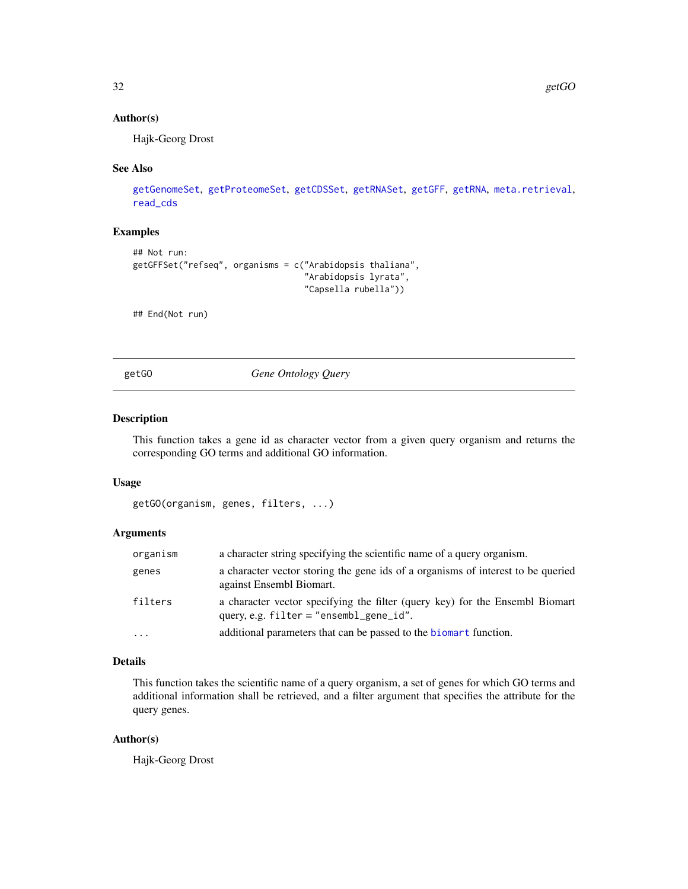#### <span id="page-31-0"></span>Author(s)

Hajk-Georg Drost

#### See Also

```
getGenomeSet, getProteomeSet, getCDSSet, getRNASet, getGFF, getRNA, meta.retrieval,
read_cds
```
# Examples

```
## Not run:
getGFFSet("refseq", organisms = c("Arabidopsis thaliana",
                                  "Arabidopsis lyrata",
                                  "Capsella rubella"))
```
## End(Not run)

getGO *Gene Ontology Query*

# Description

This function takes a gene id as character vector from a given query organism and returns the corresponding GO terms and additional GO information.

#### Usage

```
getGO(organism, genes, filters, ...)
```
#### Arguments

| organism | a character string specifying the scientific name of a query organism.                                                      |
|----------|-----------------------------------------------------------------------------------------------------------------------------|
| genes    | a character vector storing the gene ids of a organisms of interest to be queried<br>against Ensembl Biomart.                |
| filters  | a character vector specifying the filter (query key) for the Ensembl Biomart<br>query, e.g. $filter = "ensemble\_gene_id".$ |
| .        | additional parameters that can be passed to the biomart function.                                                           |

# Details

This function takes the scientific name of a query organism, a set of genes for which GO terms and additional information shall be retrieved, and a filter argument that specifies the attribute for the query genes.

#### Author(s)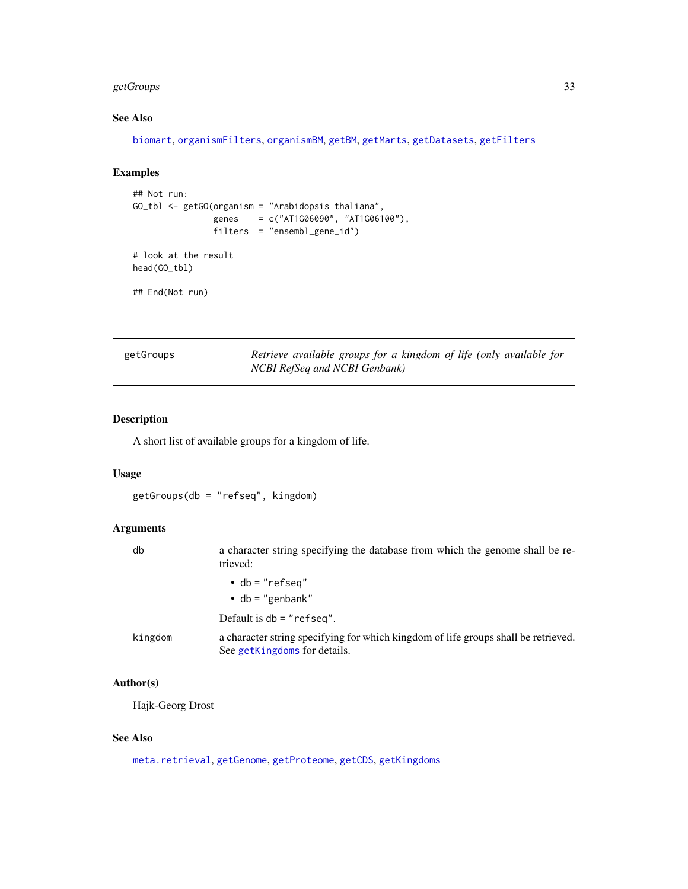# <span id="page-32-0"></span>getGroups 33

# See Also

[biomart](#page-3-1), [organismFilters](#page-63-1), [organismBM](#page-62-1), [getBM](#page-0-0), [getMarts](#page-36-1), [getDatasets](#page-18-1), [getFilters](#page-22-1)

# Examples

```
## Not run:
GO_tbl <- getGO(organism = "Arabidopsis thaliana",
                genes = c("AT1G06090", "AT1G06100"),
                filters = "ensembl_gene_id")
# look at the result
head(GO_tbl)
## End(Not run)
```
getGroups *Retrieve available groups for a kingdom of life (only available for NCBI RefSeq and NCBI Genbank)*

# Description

A short list of available groups for a kingdom of life.

#### Usage

getGroups(db = "refseq", kingdom)

# Arguments

| db      | a character string specifying the database from which the genome shall be re-<br>trieved:                          |
|---------|--------------------------------------------------------------------------------------------------------------------|
|         | $\bullet$ db = "refseq"                                                                                            |
|         | • $db = "genbank"$                                                                                                 |
|         | Default is $db = "refseq".$                                                                                        |
| kingdom | a character string specifying for which kingdom of life groups shall be retrieved.<br>See getKingdoms for details. |

#### Author(s)

Hajk-Georg Drost

#### See Also

[meta.retrieval](#page-56-1), [getGenome](#page-23-1), [getProteome](#page-39-1), [getCDS](#page-11-1), [getKingdoms](#page-35-1)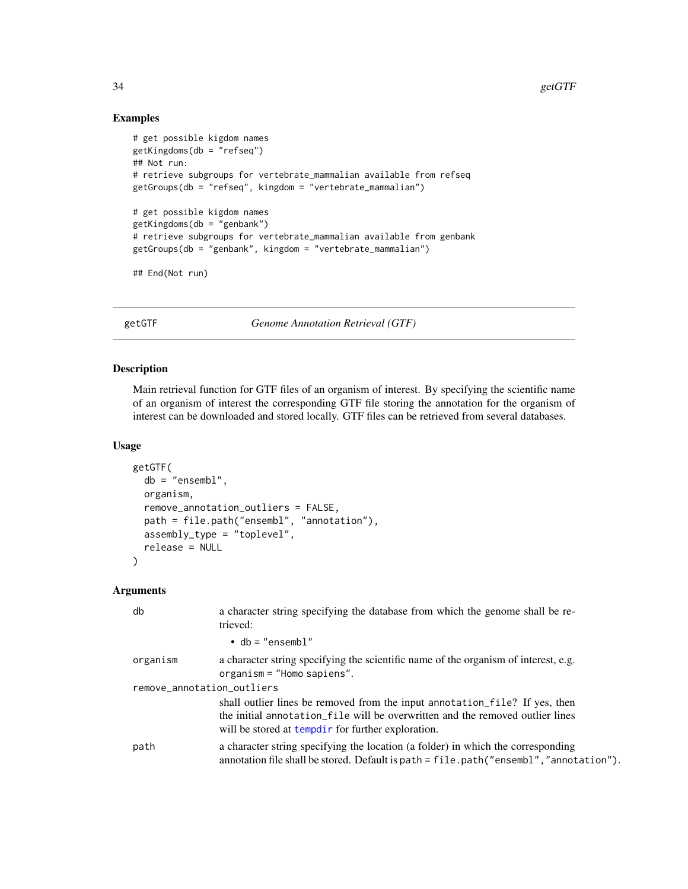# Examples

```
# get possible kigdom names
getKingdoms(db = "refseq")
## Not run:
# retrieve subgroups for vertebrate_mammalian available from refseq
getGroups(db = "refseq", kingdom = "vertebrate_mammalian")
# get possible kigdom names
getKingdoms(db = "genbank")
# retrieve subgroups for vertebrate_mammalian available from genbank
getGroups(db = "genbank", kingdom = "vertebrate_mammalian")
## End(Not run)
```
<span id="page-33-1"></span>getGTF *Genome Annotation Retrieval (GTF)*

#### Description

Main retrieval function for GTF files of an organism of interest. By specifying the scientific name of an organism of interest the corresponding GTF file storing the annotation for the organism of interest can be downloaded and stored locally. GTF files can be retrieved from several databases.

#### Usage

```
getGTF(
 db = "ensembl",
 organism,
  remove_annotation_outliers = FALSE,
  path = file.path("ensembl", "annotation"),
  assembly_type = "toplevel",
  release = NULL
)
```

| db                         | a character string specifying the database from which the genome shall be re-<br>trieved:                                                                                                                           |  |
|----------------------------|---------------------------------------------------------------------------------------------------------------------------------------------------------------------------------------------------------------------|--|
|                            | $\bullet$ db = "ensembl"                                                                                                                                                                                            |  |
| organism                   | a character string specifying the scientific name of the organism of interest, e.g.<br>$organism = "Homes"$ .                                                                                                       |  |
| remove_annotation_outliers |                                                                                                                                                                                                                     |  |
|                            | shall outlier lines be removed from the input annotation file? If yes, then<br>the initial annotation_file will be overwritten and the removed outlier lines<br>will be stored at templair for further exploration. |  |
| path                       | a character string specifying the location (a folder) in which the corresponding<br>annotation file shall be stored. Default is path = file.path("ensembl","annotation").                                           |  |

<span id="page-33-0"></span>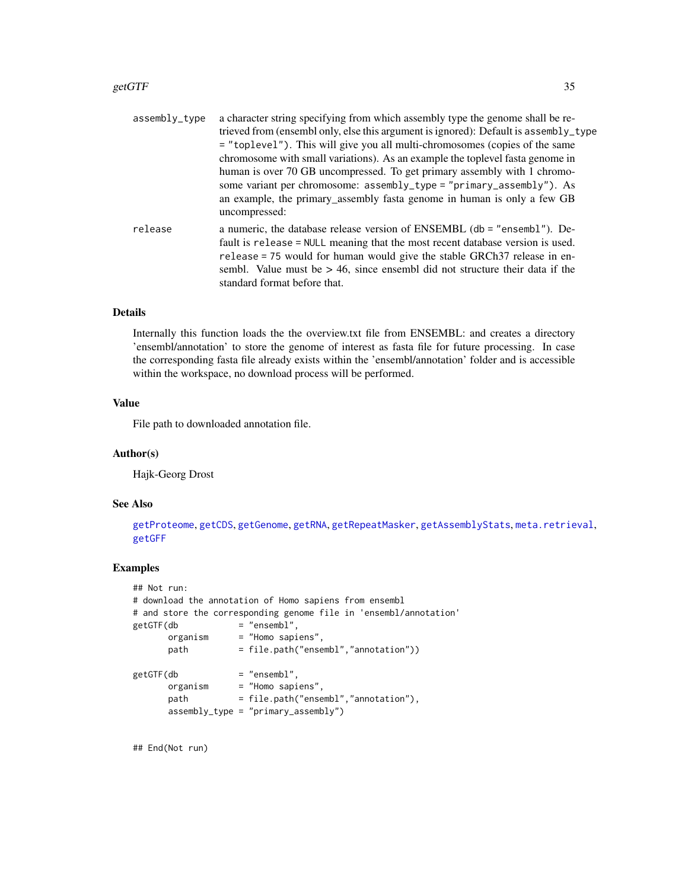#### getGTF  $\sim$  35

| assembly_type | a character string specifying from which assembly type the genome shall be re-                                                                                                                                                                                                                                                                            |
|---------------|-----------------------------------------------------------------------------------------------------------------------------------------------------------------------------------------------------------------------------------------------------------------------------------------------------------------------------------------------------------|
|               | trieved from (ensembl only, else this argument is ignored): Default is assembly_type                                                                                                                                                                                                                                                                      |
|               | = "toplevel"). This will give you all multi-chromosomes (copies of the same                                                                                                                                                                                                                                                                               |
|               | chromosome with small variations). As an example the toplevel fasta genome in                                                                                                                                                                                                                                                                             |
|               | human is over 70 GB uncompressed. To get primary assembly with 1 chromo-                                                                                                                                                                                                                                                                                  |
|               | some variant per chromosome: assembly_type = "primary_assembly"). As                                                                                                                                                                                                                                                                                      |
|               | an example, the primary_assembly fasta genome in human is only a few GB<br>uncompressed:                                                                                                                                                                                                                                                                  |
| release       | a numeric, the database release version of ENSEMBL (db = "ensembl"). De-<br>fault is release = NULL meaning that the most recent database version is used.<br>release = 75 would for human would give the stable GRCh37 release in en-<br>sembl. Value must be $> 46$ , since ensembl did not structure their data if the<br>standard format before that. |
|               |                                                                                                                                                                                                                                                                                                                                                           |

# Details

Internally this function loads the the overview.txt file from ENSEMBL: and creates a directory 'ensembl/annotation' to store the genome of interest as fasta file for future processing. In case the corresponding fasta file already exists within the 'ensembl/annotation' folder and is accessible within the workspace, no download process will be performed.

#### Value

File path to downloaded annotation file.

#### Author(s)

Hajk-Georg Drost

#### See Also

[getProteome](#page-39-1), [getCDS](#page-11-1), [getGenome](#page-23-1), [getRNA](#page-45-1), [getRepeatMasker](#page-44-1), [getAssemblyStats](#page-8-1), [meta.retrieval](#page-56-1), [getGFF](#page-27-1)

# Examples

```
## Not run:
# download the annotation of Homo sapiens from ensembl
# and store the corresponding genome file in 'ensembl/annotation'
getGTF(db = "ensemble",organism = "Homo sapiens",
      path = file.path("ensembl","annotation"))
getGTF(db = "ensemble",organism = "Homo sapiens",
      path = file.path("ensembl","annotation"),
      assembly_type = "primary_assembly")
```
## End(Not run)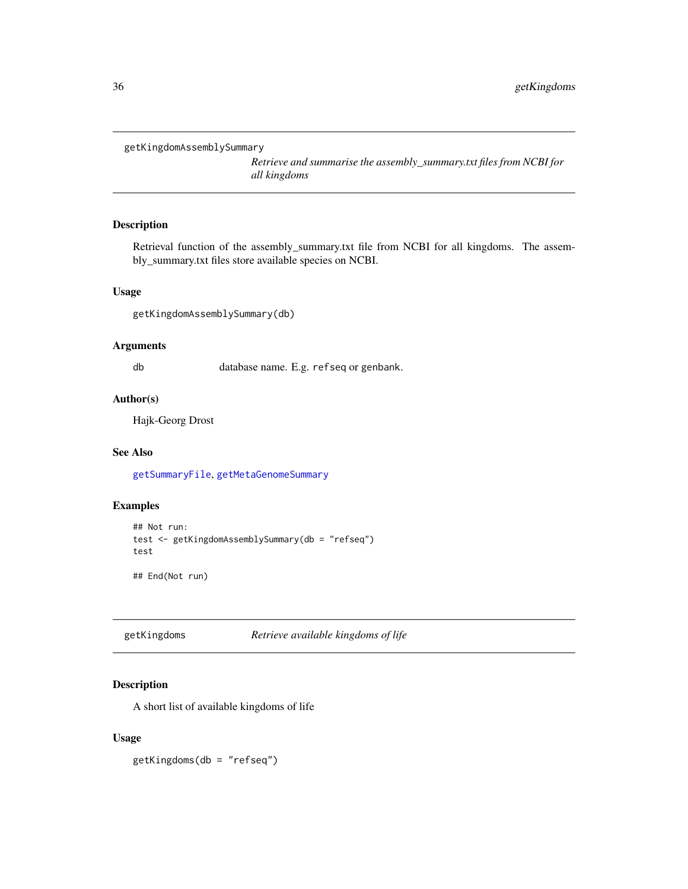```
getKingdomAssemblySummary
```
*Retrieve and summarise the assembly\_summary.txt files from NCBI for all kingdoms*

# Description

Retrieval function of the assembly\_summary.txt file from NCBI for all kingdoms. The assembly\_summary.txt files store available species on NCBI.

# Usage

```
getKingdomAssemblySummary(db)
```
# Arguments

db database name. E.g. refseq or genbank.

#### Author(s)

Hajk-Georg Drost

# See Also

[getSummaryFile](#page-48-1), [getMetaGenomeSummary](#page-39-2)

# Examples

```
## Not run:
test <- getKingdomAssemblySummary(db = "refseq")
test
```
## End(Not run)

<span id="page-35-1"></span>getKingdoms *Retrieve available kingdoms of life*

# Description

A short list of available kingdoms of life

#### Usage

getKingdoms(db = "refseq")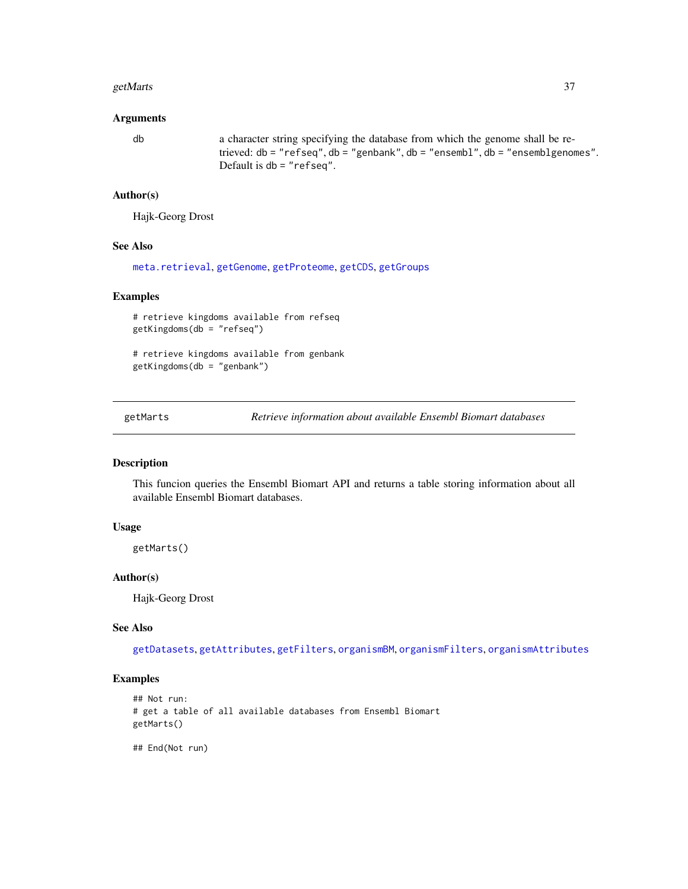#### getMarts 37

#### Arguments

db a character string specifying the database from which the genome shall be retrieved: db = "refseq", db = "genbank", db = "ensembl", db = "ensemblgenomes". Default is db = "refseq".

#### Author(s)

Hajk-Georg Drost

## See Also

[meta.retrieval](#page-56-0), [getGenome](#page-23-0), [getProteome](#page-39-0), [getCDS](#page-11-0), [getGroups](#page-32-0)

### Examples

```
# retrieve kingdoms available from refseq
getKingdoms(db = "refseq")
```
# retrieve kingdoms available from genbank getKingdoms(db = "genbank")

<span id="page-36-0"></span>getMarts *Retrieve information about available Ensembl Biomart databases*

### Description

This funcion queries the Ensembl Biomart API and returns a table storing information about all available Ensembl Biomart databases.

#### Usage

getMarts()

#### Author(s)

Hajk-Georg Drost

#### See Also

[getDatasets](#page-18-0), [getAttributes](#page-10-0), [getFilters](#page-22-0), [organismBM](#page-62-0), [organismFilters](#page-63-0), [organismAttributes](#page-60-0)

### Examples

```
## Not run:
# get a table of all available databases from Ensembl Biomart
getMarts()
```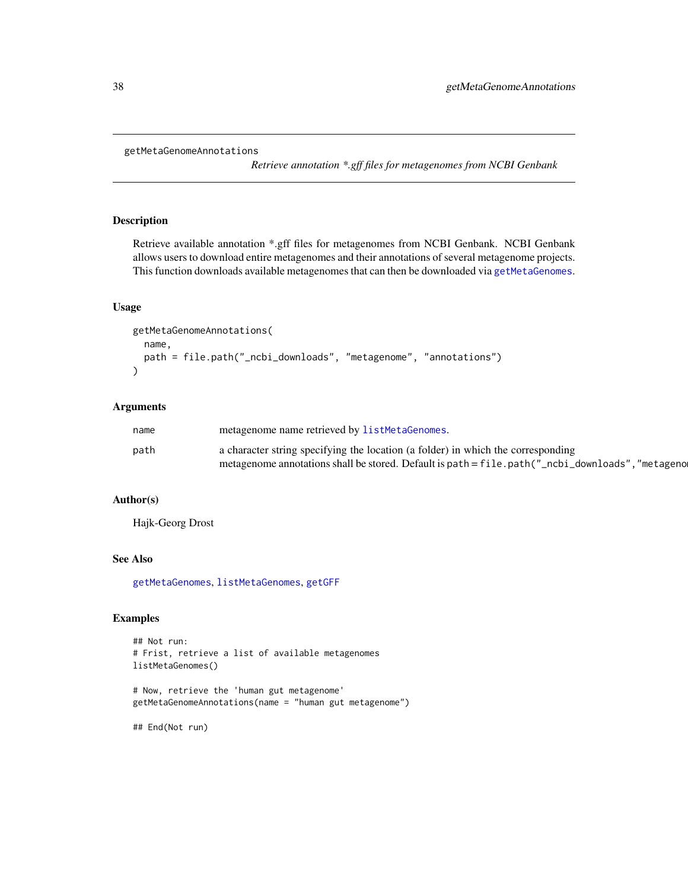```
getMetaGenomeAnnotations
```
*Retrieve annotation \*.gff files for metagenomes from NCBI Genbank*

## Description

Retrieve available annotation \*.gff files for metagenomes from NCBI Genbank. NCBI Genbank allows users to download entire metagenomes and their annotations of several metagenome projects. This function downloads available metagenomes that can then be downloaded via [getMetaGenomes](#page-38-0).

#### Usage

```
getMetaGenomeAnnotations(
  name,
  path = file.path("_ncbi_downloads", "metagenome", "annotations")
\mathcal{L}
```
# Arguments

| name | metagenome name retrieved by listMetaGenomes.                                                    |
|------|--------------------------------------------------------------------------------------------------|
| path | a character string specifying the location (a folder) in which the corresponding                 |
|      | metagenome annotations shall be stored. Default is path = file.path("_ncbi_downloads", "metageno |

## Author(s)

Hajk-Georg Drost

#### See Also

[getMetaGenomes](#page-38-0), [listMetaGenomes](#page-55-0), [getGFF](#page-27-0)

## Examples

```
## Not run:
# Frist, retrieve a list of available metagenomes
listMetaGenomes()
```
# Now, retrieve the 'human gut metagenome' getMetaGenomeAnnotations(name = "human gut metagenome")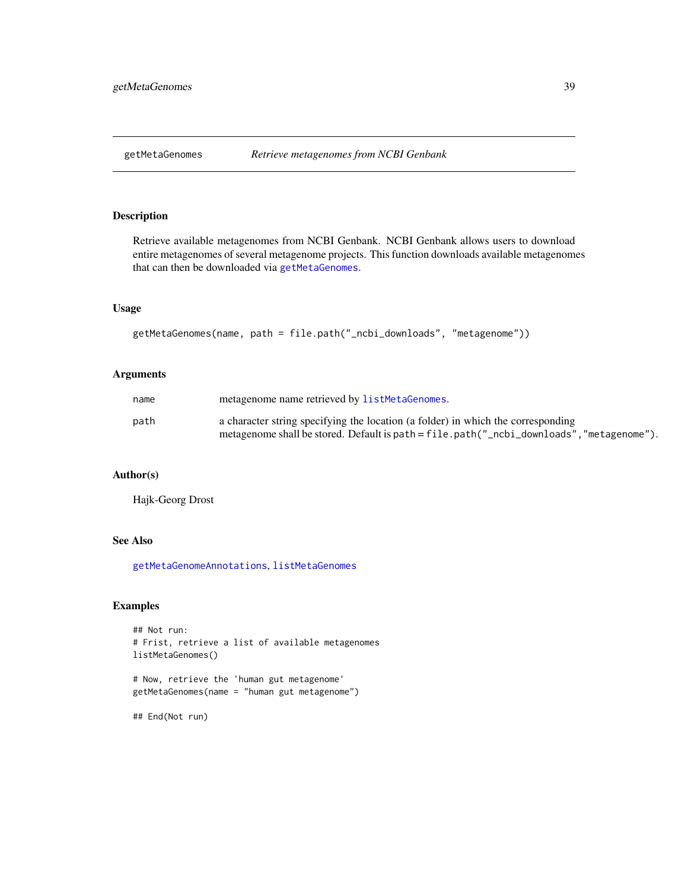<span id="page-38-0"></span>

Retrieve available metagenomes from NCBI Genbank. NCBI Genbank allows users to download entire metagenomes of several metagenome projects. This function downloads available metagenomes that can then be downloaded via [getMetaGenomes](#page-38-0).

## Usage

getMetaGenomes(name, path = file.path("\_ncbi\_downloads", "metagenome"))

### Arguments

| name | metagenome name retrieved by listMetaGenomes.                                            |
|------|------------------------------------------------------------------------------------------|
| path | a character string specifying the location (a folder) in which the corresponding         |
|      | metagenome shall be stored. Default is path = file.path("_ncbi_downloads","metagenome"). |

# Author(s)

Hajk-Georg Drost

### See Also

[getMetaGenomeAnnotations](#page-37-0), [listMetaGenomes](#page-55-0)

## Examples

```
## Not run:
# Frist, retrieve a list of available metagenomes
listMetaGenomes()
```

```
# Now, retrieve the 'human gut metagenome'
getMetaGenomes(name = "human gut metagenome")
```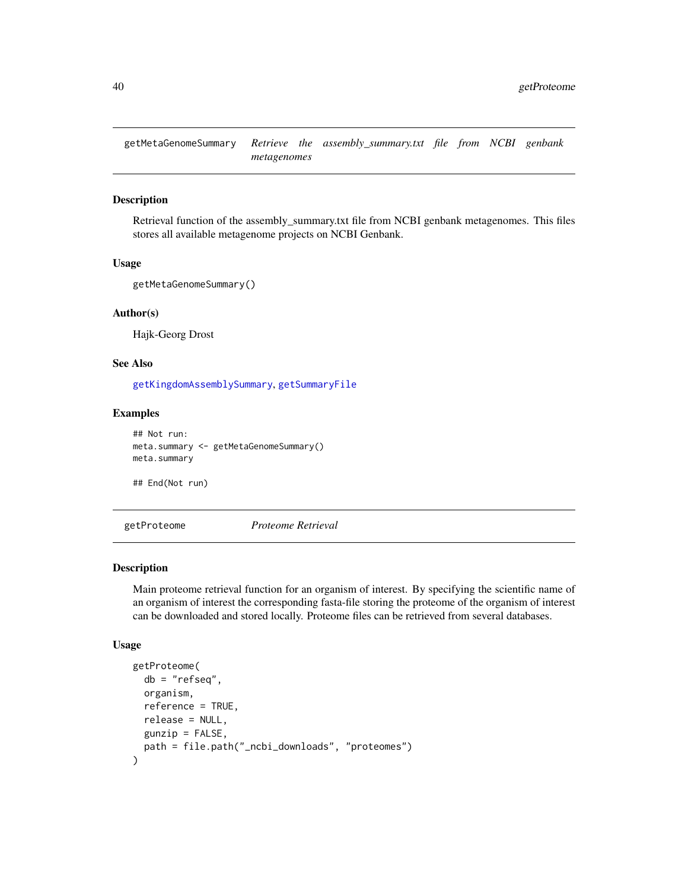<span id="page-39-1"></span>getMetaGenomeSummary *Retrieve the assembly\_summary.txt file from NCBI genbank metagenomes*

### Description

Retrieval function of the assembly\_summary.txt file from NCBI genbank metagenomes. This files stores all available metagenome projects on NCBI Genbank.

#### Usage

```
getMetaGenomeSummary()
```
### Author(s)

Hajk-Georg Drost

## See Also

[getKingdomAssemblySummary](#page-35-0), [getSummaryFile](#page-48-0)

## Examples

## Not run: meta.summary <- getMetaGenomeSummary() meta.summary

## End(Not run)

<span id="page-39-0"></span>getProteome *Proteome Retrieval*

### Description

Main proteome retrieval function for an organism of interest. By specifying the scientific name of an organism of interest the corresponding fasta-file storing the proteome of the organism of interest can be downloaded and stored locally. Proteome files can be retrieved from several databases.

## Usage

```
getProteome(
  db = "refseq",
  organism,
  reference = TRUE,
  release = NULL,
 gunzip = FALSE,
 path = file.path("_ncbi_downloads", "proteomes")
)
```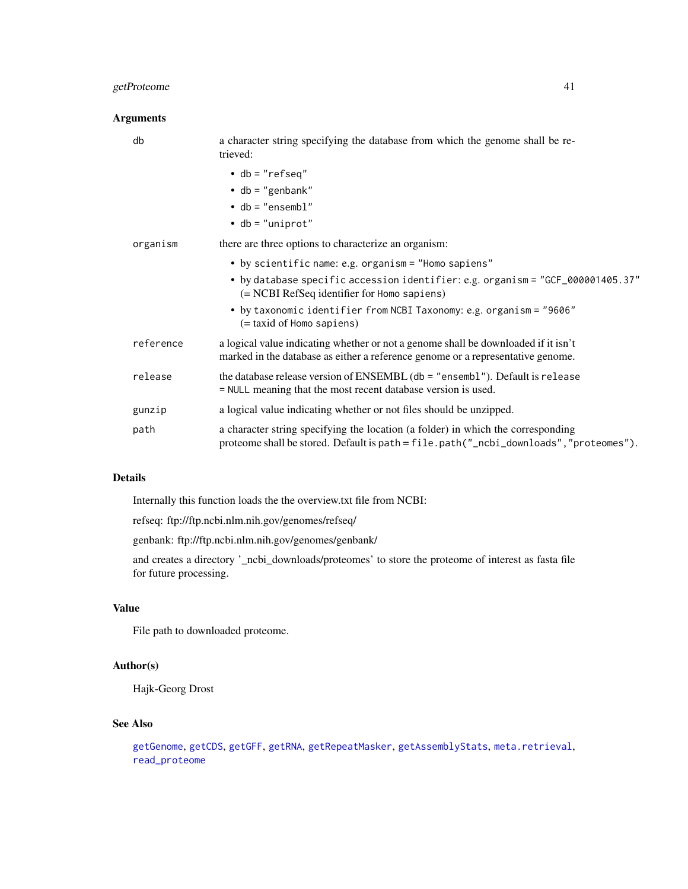# getProteome 41

## Arguments

| db        | a character string specifying the database from which the genome shall be re-<br>trieved:                                                                                 |
|-----------|---------------------------------------------------------------------------------------------------------------------------------------------------------------------------|
|           | $\bullet$ db = "refseq"                                                                                                                                                   |
|           | $\bullet$ db = "genbank"                                                                                                                                                  |
|           | $\bullet$ db = "ensembl"                                                                                                                                                  |
|           | $\bullet$ db = "uniprot"                                                                                                                                                  |
| organism  | there are three options to characterize an organism:                                                                                                                      |
|           | • by scientific name: e.g. organism = "Homo sapiens"                                                                                                                      |
|           | • by database specific accession identifier: e.g. organism = "GCF_000001405.37"<br>(= NCBI RefSeq identifier for Homo sapiens)                                            |
|           | • by taxonomic identifier from NCBI Taxonomy: e.g. organism = "9606"<br>(= taxid of Homo sapiens)                                                                         |
| reference | a logical value indicating whether or not a genome shall be downloaded if it isn't<br>marked in the database as either a reference genome or a representative genome.     |
| release   | the database release version of ENSEMBL (db = "ensembl"). Default is release<br>= NULL meaning that the most recent database version is used.                             |
| gunzip    | a logical value indicating whether or not files should be unzipped.                                                                                                       |
| path      | a character string specifying the location (a folder) in which the corresponding<br>proteome shall be stored. Default is path = file.path("_ncbi_downloads","proteomes"). |

### Details

Internally this function loads the the overview.txt file from NCBI:

refseq: ftp://ftp.ncbi.nlm.nih.gov/genomes/refseq/

genbank: ftp://ftp.ncbi.nlm.nih.gov/genomes/genbank/

and creates a directory '\_ncbi\_downloads/proteomes' to store the proteome of interest as fasta file for future processing.

## Value

File path to downloaded proteome.

# Author(s)

Hajk-Georg Drost

## See Also

```
getGenome, getCDS, getGFF, getRNA, getRepeatMasker, getAssemblyStats, meta.retrieval,
read_proteome
```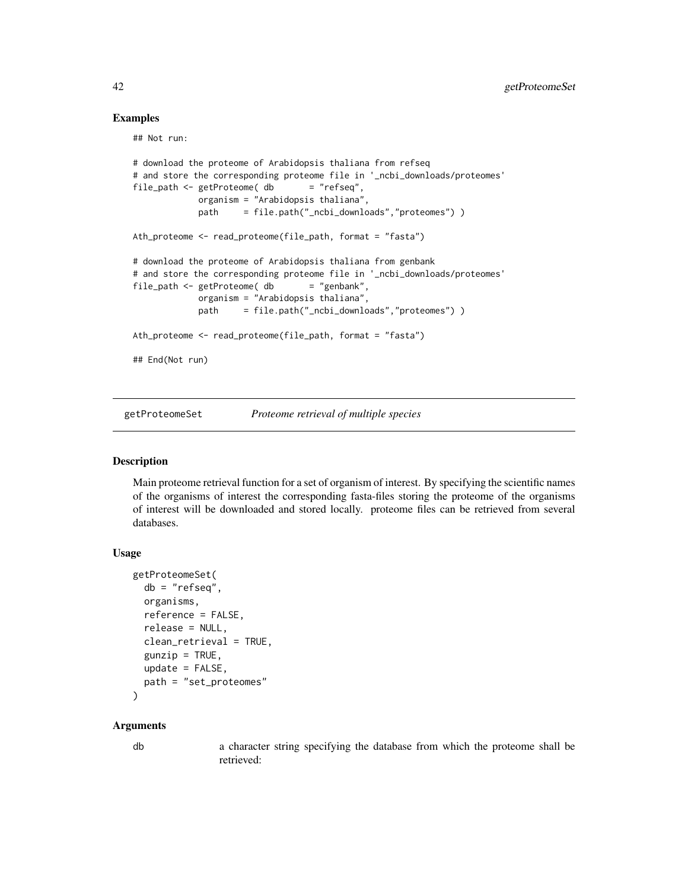### Examples

## Not run:

```
# download the proteome of Arabidopsis thaliana from refseq
# and store the corresponding proteome file in '_ncbi_downloads/proteomes'
file_path <- getProteome( db = "refseq",
            organism = "Arabidopsis thaliana",
            path = file.path("_ncbi_downloads","proteomes") )
Ath_proteome <- read_proteome(file_path, format = "fasta")
# download the proteome of Arabidopsis thaliana from genbank
# and store the corresponding proteome file in '_ncbi_downloads/proteomes'
file_path <- getPrice db = "genbank",
            organism = "Arabidopsis thaliana",
            path = file.path("_ncbi_downloads","proteomes") )
Ath_proteome <- read_proteome(file_path, format = "fasta")
## End(Not run)
```
<span id="page-41-0"></span>getProteomeSet *Proteome retrieval of multiple species*

#### Description

Main proteome retrieval function for a set of organism of interest. By specifying the scientific names of the organisms of interest the corresponding fasta-files storing the proteome of the organisms of interest will be downloaded and stored locally. proteome files can be retrieved from several databases.

### Usage

```
getProteomeSet(
  db = "refseq",
  organisms,
  reference = FALSE,
  release = NULL,
  clean_retrieval = TRUE,
  gunzip = TRUE,
 update = FALSE,
 path = "set_proteomes"
)
```
#### Arguments

db a character string specifying the database from which the proteome shall be retrieved: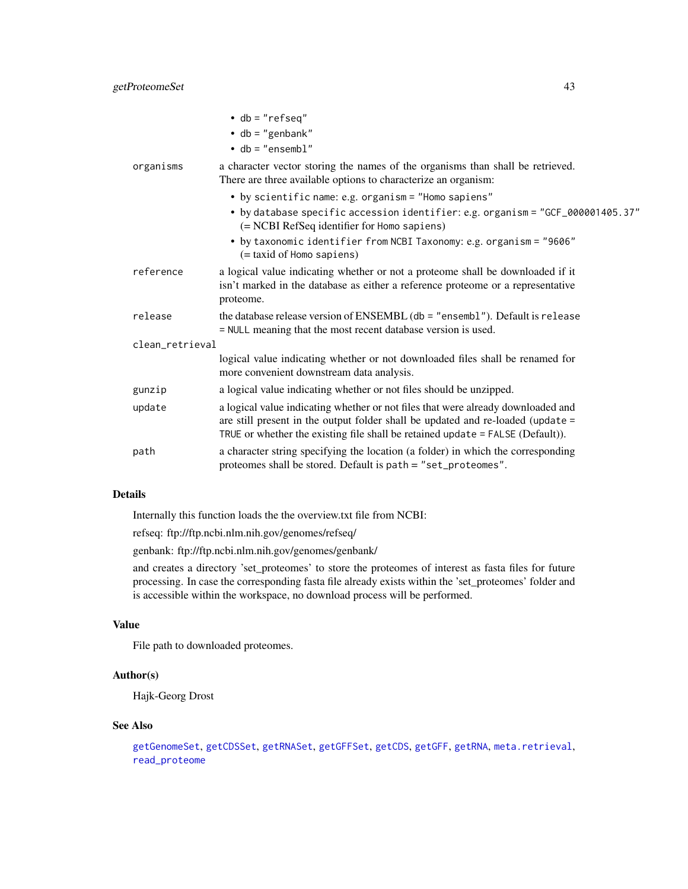## getProteomeSet 43

|                 | $\bullet$ db = "refseq"<br>$\bullet$ db = "genbank"<br>$\bullet$ db = "ensembl"                                                                                                                                                                         |
|-----------------|---------------------------------------------------------------------------------------------------------------------------------------------------------------------------------------------------------------------------------------------------------|
| organisms       | a character vector storing the names of the organisms than shall be retrieved.<br>There are three available options to characterize an organism:                                                                                                        |
|                 | • by scientific name: e.g. organism = "Homo sapiens"                                                                                                                                                                                                    |
|                 | • by database specific accession identifier: e.g. organism = "GCF_000001405.37"<br>(= NCBI RefSeq identifier for Homo sapiens)                                                                                                                          |
|                 | • by taxonomic identifier from NCBI Taxonomy: e.g. organism = "9606"<br>(= taxid of Homo sapiens)                                                                                                                                                       |
| reference       | a logical value indicating whether or not a proteome shall be downloaded if it<br>isn't marked in the database as either a reference proteome or a representative<br>proteome.                                                                          |
| release         | the database release version of ENSEMBL ( $db = "ensemble$ ). Default is release<br>= NULL meaning that the most recent database version is used.                                                                                                       |
| clean_retrieval |                                                                                                                                                                                                                                                         |
|                 | logical value indicating whether or not downloaded files shall be renamed for<br>more convenient downstream data analysis.                                                                                                                              |
| gunzip          | a logical value indicating whether or not files should be unzipped.                                                                                                                                                                                     |
| update          | a logical value indicating whether or not files that were already downloaded and<br>are still present in the output folder shall be updated and re-loaded (update =<br>TRUE or whether the existing file shall be retained update $=$ FALSE (Default)). |
| path            | a character string specifying the location (a folder) in which the corresponding<br>proteomes shall be stored. Default is path = "set_proteomes".                                                                                                       |

## Details

Internally this function loads the the overview.txt file from NCBI:

refseq: ftp://ftp.ncbi.nlm.nih.gov/genomes/refseq/

genbank: ftp://ftp.ncbi.nlm.nih.gov/genomes/genbank/

and creates a directory 'set\_proteomes' to store the proteomes of interest as fasta files for future processing. In case the corresponding fasta file already exists within the 'set\_proteomes' folder and is accessible within the workspace, no download process will be performed.

# Value

File path to downloaded proteomes.

### Author(s)

Hajk-Georg Drost

#### See Also

```
getGenomeSet, getCDSSet, getRNASet, getGFFSet, getCDS, getGFF, getRNA, meta.retrieval,
read_proteome
```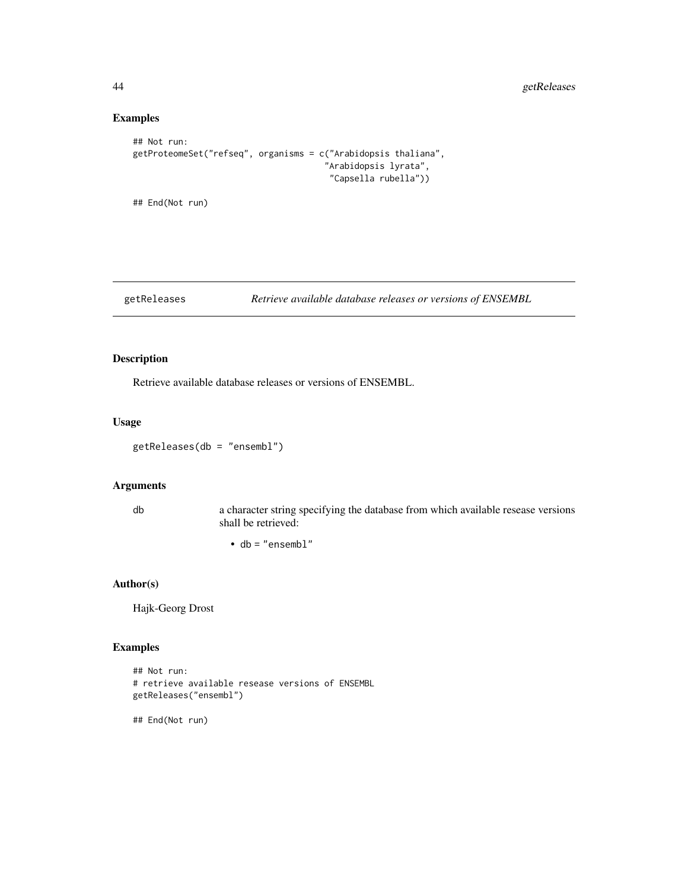# Examples

```
## Not run:
getProteomeSet("refseq", organisms = c("Arabidopsis thaliana",
                                      "Arabidopsis lyrata",
                                       "Capsella rubella"))
```
## End(Not run)

#### getReleases *Retrieve available database releases or versions of ENSEMBL*

### Description

Retrieve available database releases or versions of ENSEMBL.

## Usage

getReleases(db = "ensembl")

### Arguments

db a character string specifying the database from which available resease versions shall be retrieved:

• db = "ensembl"

### Author(s)

Hajk-Georg Drost

## Examples

```
## Not run:
# retrieve available resease versions of ENSEMBL
getReleases("ensembl")
```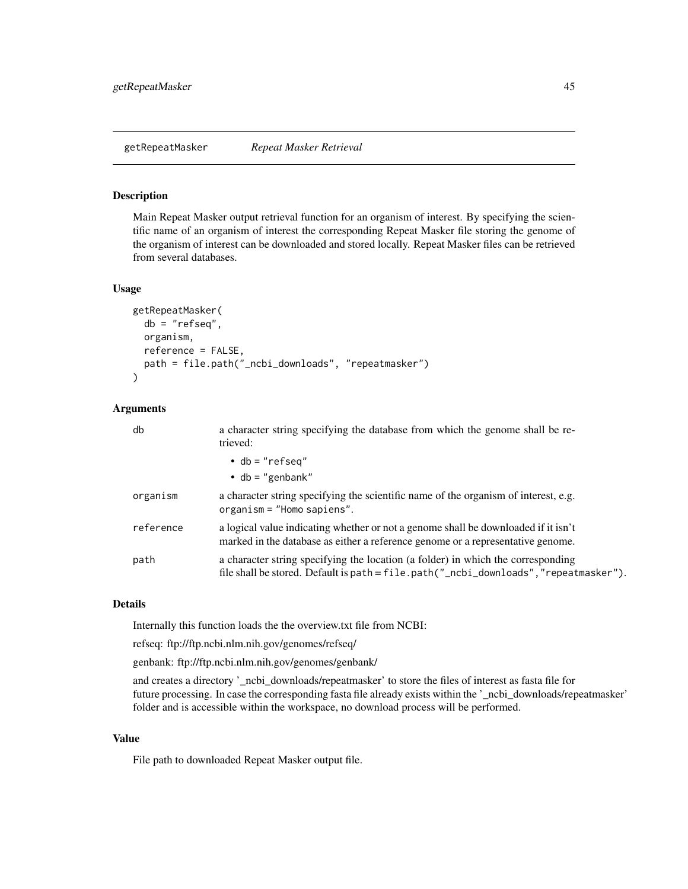<span id="page-44-0"></span>getRepeatMasker *Repeat Masker Retrieval*

### Description

Main Repeat Masker output retrieval function for an organism of interest. By specifying the scientific name of an organism of interest the corresponding Repeat Masker file storing the genome of the organism of interest can be downloaded and stored locally. Repeat Masker files can be retrieved from several databases.

#### Usage

```
getRepeatMasker(
  db = "refseq",
  organism,
  reference = FALSE,
  path = file.path("_ncbi_downloads", "repeatmasker")
\mathcal{L}
```
## Arguments

| db        | a character string specifying the database from which the genome shall be re-<br>trieved:                                                                                 |
|-----------|---------------------------------------------------------------------------------------------------------------------------------------------------------------------------|
|           | $\bullet$ db = "refseq"<br>$\cdot$ db = "genbank"                                                                                                                         |
| organism  | a character string specifying the scientific name of the organism of interest, e.g.<br>$organism = "Homes"$ .                                                             |
| reference | a logical value indicating whether or not a genome shall be downloaded if it isn't<br>marked in the database as either a reference genome or a representative genome.     |
| path      | a character string specifying the location (a folder) in which the corresponding<br>file shall be stored. Default is path = file.path("_ncbi_downloads", "repeatmasker"). |

## Details

Internally this function loads the the overview.txt file from NCBI:

refseq: ftp://ftp.ncbi.nlm.nih.gov/genomes/refseq/

genbank: ftp://ftp.ncbi.nlm.nih.gov/genomes/genbank/

and creates a directory '\_ncbi\_downloads/repeatmasker' to store the files of interest as fasta file for future processing. In case the corresponding fasta file already exists within the '\_ncbi\_downloads/repeatmasker' folder and is accessible within the workspace, no download process will be performed.

## Value

File path to downloaded Repeat Masker output file.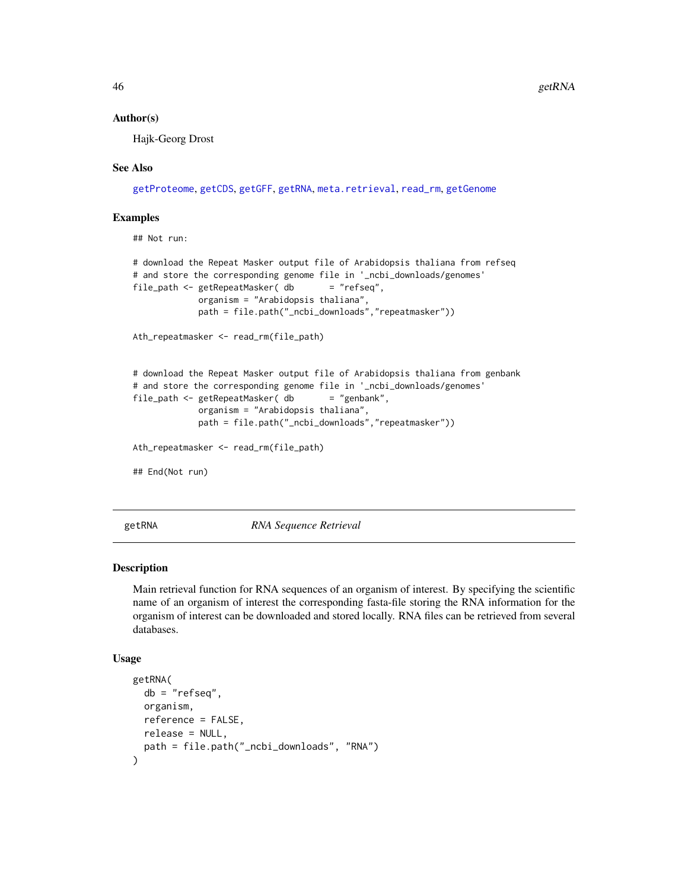#### Author(s)

Hajk-Georg Drost

#### See Also

[getProteome](#page-39-0), [getCDS](#page-11-0), [getGFF](#page-27-0), [getRNA](#page-45-0), [meta.retrieval](#page-56-0), [read\\_rm](#page-69-0), [getGenome](#page-23-0)

### Examples

## Not run:

```
# download the Repeat Masker output file of Arabidopsis thaliana from refseq
# and store the corresponding genome file in '_ncbi_downloads/genomes'
file_path <- getRepeatMasker( db = "refseq",organism = "Arabidopsis thaliana",
            path = file.path("_ncbi_downloads","repeatmasker"))
Ath_repeatmasker <- read_rm(file_path)
# download the Repeat Masker output file of Arabidopsis thaliana from genbank
# and store the corresponding genome file in '_ncbi_downloads/genomes'
file_path <- getRepeatMasker( db = "genbank",
            organism = "Arabidopsis thaliana",
            path = file.path("_ncbi_downloads","repeatmasker"))
Ath_repeatmasker <- read_rm(file_path)
## End(Not run)
```
<span id="page-45-0"></span>

getRNA *RNA Sequence Retrieval*

#### Description

Main retrieval function for RNA sequences of an organism of interest. By specifying the scientific name of an organism of interest the corresponding fasta-file storing the RNA information for the organism of interest can be downloaded and stored locally. RNA files can be retrieved from several databases.

#### Usage

```
getRNA(
  db = "refseq".organism,
 reference = FALSE,
  release = NULL,
 path = file.path("_ncbi_downloads", "RNA")
)
```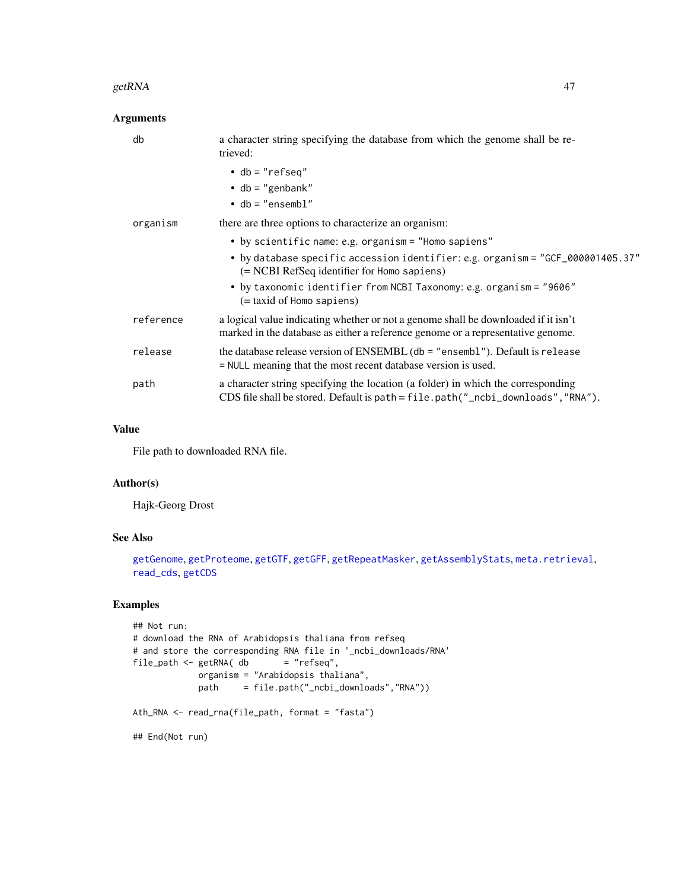#### getRNA and the set of the set of the set of the set of the set of the set of the set of the set of the set of the set of the set of the set of the set of the set of the set of the set of the set of the set of the set of th

## Arguments

| db        | a character string specifying the database from which the genome shall be re-<br>trieved:                                                                             |
|-----------|-----------------------------------------------------------------------------------------------------------------------------------------------------------------------|
|           | $\bullet$ db = "refseq"                                                                                                                                               |
|           | $\bullet$ db = "genbank"                                                                                                                                              |
|           | $\bullet$ db = "ensembl"                                                                                                                                              |
| organism  | there are three options to characterize an organism:                                                                                                                  |
|           | • by scientific name: e.g. organism = "Homo sapiens"                                                                                                                  |
|           | • by database specific accession identifier: e.g. organism = "GCF_000001405.37"<br>(= NCBI RefSeq identifier for Homo sapiens)                                        |
|           | • by taxonomic identifier from NCBI Taxonomy: e.g. organism = "9606"<br>$(=$ taxid of Homo sapiens)                                                                   |
| reference | a logical value indicating whether or not a genome shall be downloaded if it isn't<br>marked in the database as either a reference genome or a representative genome. |
| release   | the database release version of ENSEMBL (db = "ensembl"). Default is release<br>= NULL meaning that the most recent database version is used.                         |
| path      | a character string specifying the location (a folder) in which the corresponding<br>CDS file shall be stored. Default is path = file.path("_ncbi_downloads","RNA").   |

## Value

File path to downloaded RNA file.

### Author(s)

Hajk-Georg Drost

# See Also

[getGenome](#page-23-0), [getProteome](#page-39-0), [getGTF](#page-33-0), [getGFF](#page-27-0), [getRepeatMasker](#page-44-0), [getAssemblyStats](#page-8-0), [meta.retrieval](#page-56-0), [read\\_cds](#page-65-0), [getCDS](#page-11-0)

# Examples

```
## Not run:
# download the RNA of Arabidopsis thaliana from refseq
# and store the corresponding RNA file in '_ncbi_downloads/RNA'
file\_path \leftarrow getRNA( db = "refseq",organism = "Arabidopsis thaliana",
            path = file.path("_ncbi_downloads","RNA"))
Ath_RNA <- read_rna(file_path, format = "fasta")
## End(Not run)
```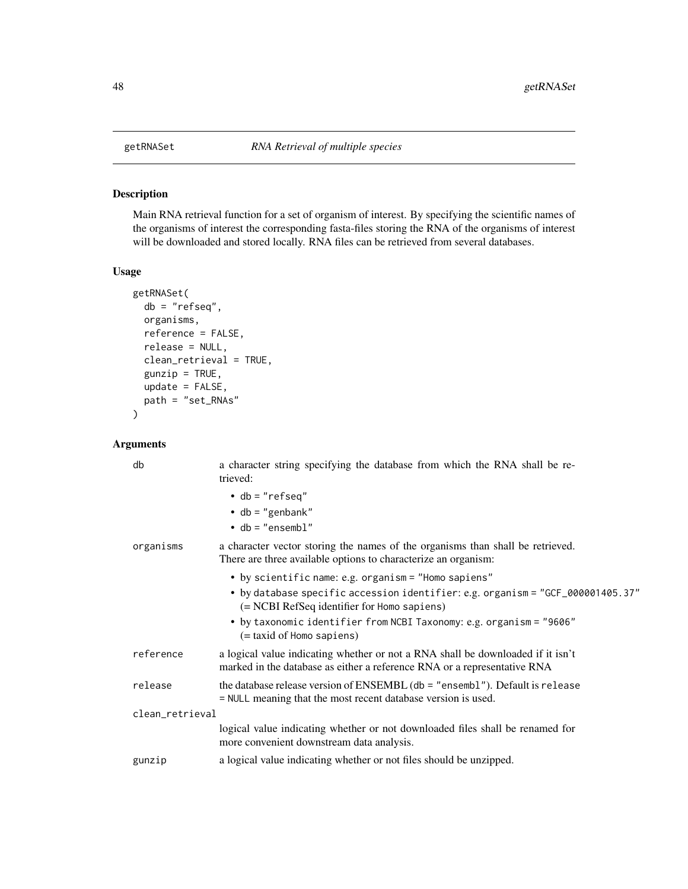<span id="page-47-0"></span>

Main RNA retrieval function for a set of organism of interest. By specifying the scientific names of the organisms of interest the corresponding fasta-files storing the RNA of the organisms of interest will be downloaded and stored locally. RNA files can be retrieved from several databases.

# Usage

```
getRNASet(
 db = "refseq",
 organisms,
  reference = FALSE,
  release = NULL,
  clean_retrieval = TRUE,
  gunzip = TRUE,
  update = FALSE,
  path = "set_RNAs"
)
```

| db              | a character string specifying the database from which the RNA shall be re-<br>trieved:                                                                      |
|-----------------|-------------------------------------------------------------------------------------------------------------------------------------------------------------|
|                 | $\bullet$ db = "refseq"<br>• db = "genbank"<br>$\bullet$ db = "ensembl"                                                                                     |
| organisms       | a character vector storing the names of the organisms than shall be retrieved.<br>There are three available options to characterize an organism:            |
|                 | • by scientific name: e.g. organism = "Homo sapiens"                                                                                                        |
|                 | • by database specific accession identifier: e.g. organism = "GCF_000001405.37"<br>(= NCBI RefSeq identifier for Homo sapiens)                              |
|                 | • by taxonomic identifier from NCBI Taxonomy: e.g. organism = "9606"<br>(= taxid of Homo sapiens)                                                           |
| reference       | a logical value indicating whether or not a RNA shall be downloaded if it isn't<br>marked in the database as either a reference RNA or a representative RNA |
| release         | the database release version of ENSEMBL (db = "ensembl"). Default is release<br>= NULL meaning that the most recent database version is used.               |
| clean_retrieval |                                                                                                                                                             |
|                 | logical value indicating whether or not downloaded files shall be renamed for<br>more convenient downstream data analysis.                                  |
| gunzip          | a logical value indicating whether or not files should be unzipped.                                                                                         |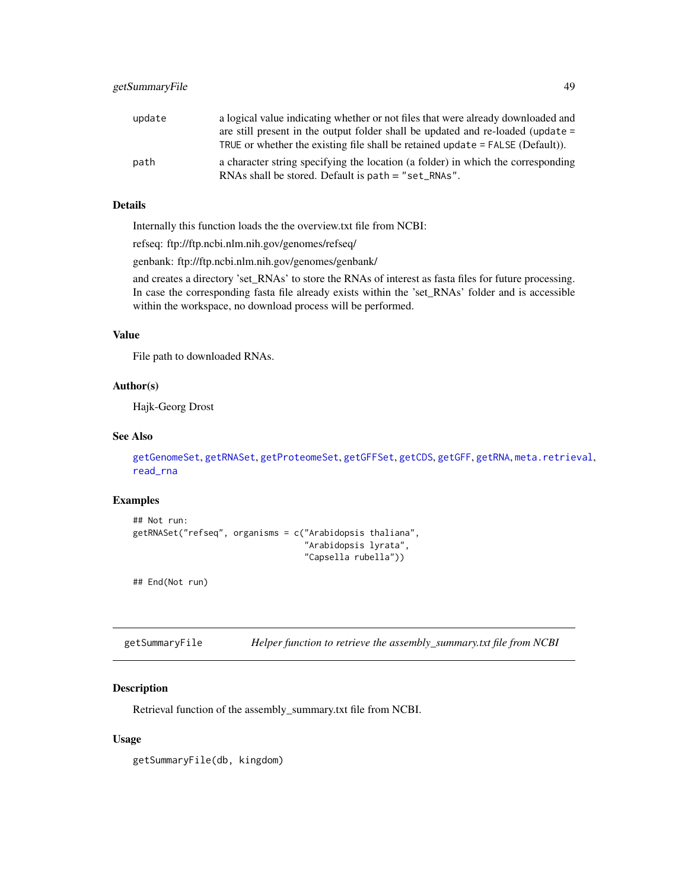| update | a logical value indicating whether or not files that were already downloaded and |
|--------|----------------------------------------------------------------------------------|
|        | are still present in the output folder shall be updated and re-loaded (update =  |
|        | TRUE or whether the existing file shall be retained update $=$ FALSE (Default)). |
| path   | a character string specifying the location (a folder) in which the corresponding |
|        | RNAs shall be stored. Default is $path = "set_RNAs".$                            |

## Details

Internally this function loads the the overview.txt file from NCBI:

refseq: ftp://ftp.ncbi.nlm.nih.gov/genomes/refseq/

genbank: ftp://ftp.ncbi.nlm.nih.gov/genomes/genbank/

and creates a directory 'set\_RNAs' to store the RNAs of interest as fasta files for future processing. In case the corresponding fasta file already exists within the 'set\_RNAs' folder and is accessible within the workspace, no download process will be performed.

## Value

File path to downloaded RNAs.

### Author(s)

Hajk-Georg Drost

### See Also

[getGenomeSet](#page-25-0), [getRNASet](#page-47-0), [getProteomeSet](#page-41-0), [getGFFSet](#page-29-0), [getCDS](#page-11-0), [getGFF](#page-27-0), [getRNA](#page-45-0), [meta.retrieval](#page-56-0), [read\\_rna](#page-69-1)

## Examples

```
## Not run:
getRNASet("refseq", organisms = c("Arabidopsis thaliana",
                                   "Arabidopsis lyrata",
                                   "Capsella rubella"))
```
## End(Not run)

<span id="page-48-0"></span>getSummaryFile *Helper function to retrieve the assembly\_summary.txt file from NCBI*

## Description

Retrieval function of the assembly\_summary.txt file from NCBI.

#### Usage

getSummaryFile(db, kingdom)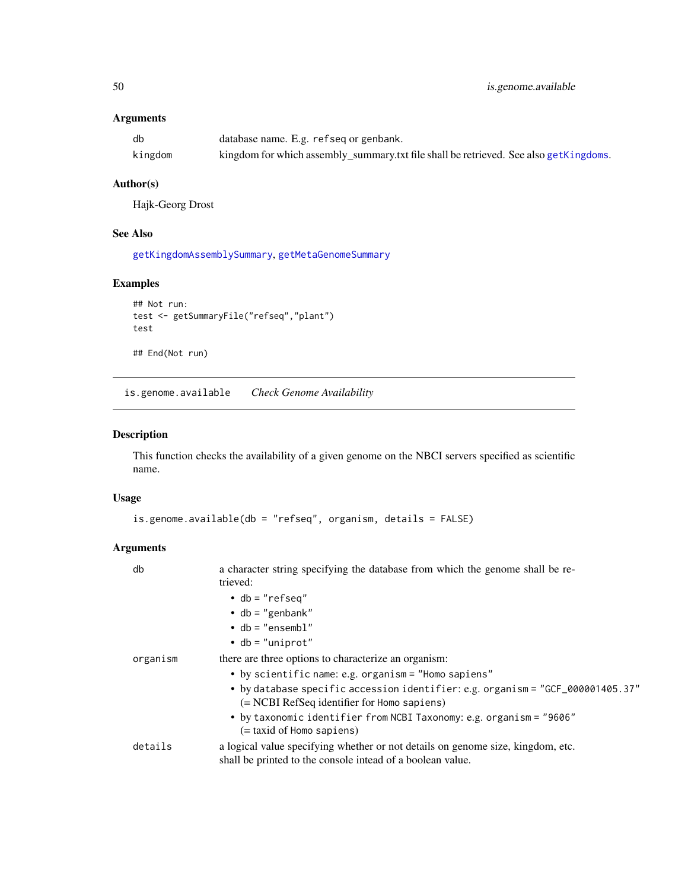# Arguments

| db      | database name. E.g. refseq or genbank.                                                |
|---------|---------------------------------------------------------------------------------------|
| kingdom | kingdom for which assembly_summary.txt file shall be retrieved. See also getKingdoms. |

## Author(s)

Hajk-Georg Drost

## See Also

[getKingdomAssemblySummary](#page-35-0), [getMetaGenomeSummary](#page-39-1)

## Examples

```
## Not run:
test <- getSummaryFile("refseq","plant")
test
```

```
## End(Not run)
```
<span id="page-49-0"></span>is.genome.available *Check Genome Availability*

# Description

This function checks the availability of a given genome on the NBCI servers specified as scientific name.

## Usage

```
is.genome.available(db = "refseq", organism, details = FALSE)
```

| db       | a character string specifying the database from which the genome shall be re-<br>trieved:                                                     |
|----------|-----------------------------------------------------------------------------------------------------------------------------------------------|
|          | $\bullet$ db = "refseq"                                                                                                                       |
|          | $\bullet$ db = "genbank"                                                                                                                      |
|          | $\bullet$ db = "ensembl"                                                                                                                      |
|          | $\bullet$ db = "uniprot"                                                                                                                      |
| organism | there are three options to characterize an organism:                                                                                          |
|          | • by scientific name: e.g. organism = "Homo sapiens"                                                                                          |
|          | • by database specific accession identifier: e.g. organism = "GCF_000001405.37"<br>(= NCBI RefSeq identifier for Homo sapiens)                |
|          | • by taxonomic identifier from NCBI Taxonomy: e.g. organism = "9606"<br>(= taxid of Homo sapiens)                                             |
| details  | a logical value specifying whether or not details on genome size, kingdom, etc.<br>shall be printed to the console intead of a boolean value. |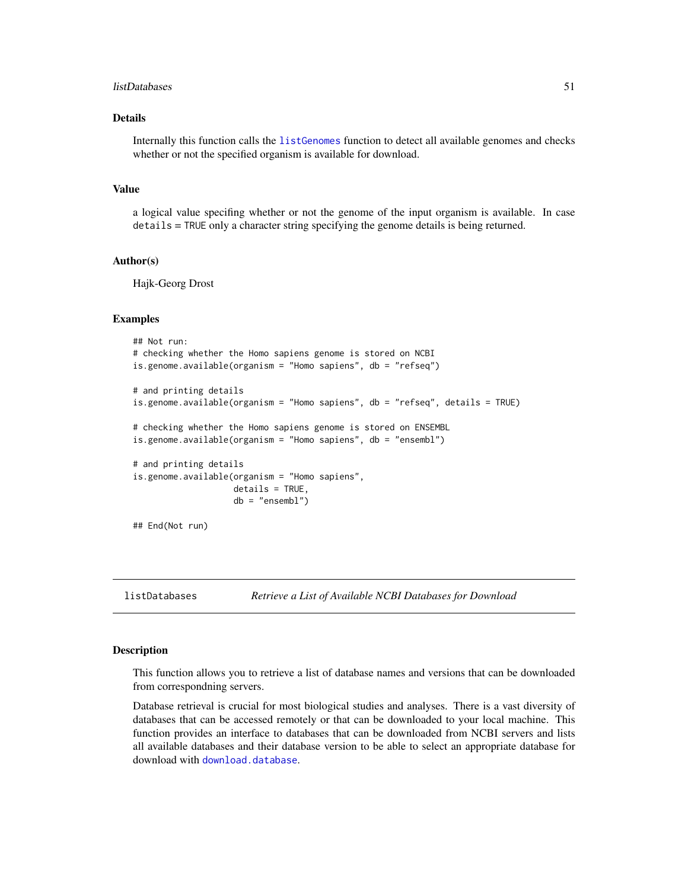#### listDatabases 51

## Details

Internally this function calls the [listGenomes](#page-51-0) function to detect all available genomes and checks whether or not the specified organism is available for download.

#### Value

a logical value specifing whether or not the genome of the input organism is available. In case details = TRUE only a character string specifying the genome details is being returned.

#### Author(s)

Hajk-Georg Drost

#### Examples

```
## Not run:
# checking whether the Homo sapiens genome is stored on NCBI
is.genome.available(organism = "Homo sapiens", db = "refseq")
# and printing details
is.genome.available(organism = "Homo sapiens", db = "refseq", details = TRUE)
# checking whether the Homo sapiens genome is stored on ENSEMBL
is.genome.available(organism = "Homo sapiens", db = "ensembl")
# and printing details
is.genome.available(organism = "Homo sapiens",
                    details = TRUE,
                    db = "ensembl")
## End(Not run)
```
listDatabases *Retrieve a List of Available NCBI Databases for Download*

### Description

This function allows you to retrieve a list of database names and versions that can be downloaded from correspondning servers.

Database retrieval is crucial for most biological studies and analyses. There is a vast diversity of databases that can be accessed remotely or that can be downloaded to your local machine. This function provides an interface to databases that can be downloaded from NCBI servers and lists all available databases and their database version to be able to select an appropriate database for download with [download.database](#page-6-0).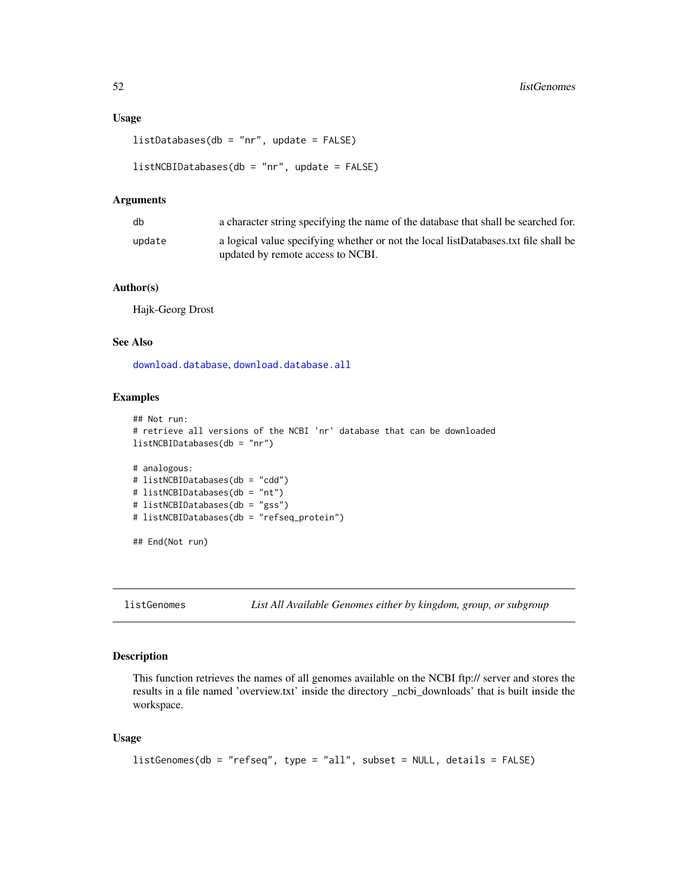#### Usage

```
listDatabases(db = "nr", update = FALSE)
```

```
listNCBIDatabases(db = "nr", update = FALSE)
```
### Arguments

| db     | a character string specifying the name of the database that shall be searched for.                                       |
|--------|--------------------------------------------------------------------------------------------------------------------------|
| update | a logical value specifying whether or not the local listDatabases.txt file shall be<br>updated by remote access to NCBI. |

#### Author(s)

Hajk-Georg Drost

## See Also

[download.database](#page-6-0), [download.database.all](#page-7-0)

#### Examples

```
## Not run:
# retrieve all versions of the NCBI 'nr' database that can be downloaded
listNCBIDatabases(db = "nr")
# analogous:
# listNCBIDatabases(db = "cdd")
# listNCBIDatabases(db = "nt")
# listNCBIDatabases(db = "gss")
# listNCBIDatabases(db = "refseq_protein")
## End(Not run)
```
<span id="page-51-0"></span>listGenomes *List All Available Genomes either by kingdom, group, or subgroup*

### Description

This function retrieves the names of all genomes available on the NCBI ftp:// server and stores the results in a file named 'overview.txt' inside the directory \_ncbi\_downloads' that is built inside the workspace.

#### Usage

```
listGenomes(db = "refseq", type = "all", subset = NULL, details = FALSE)
```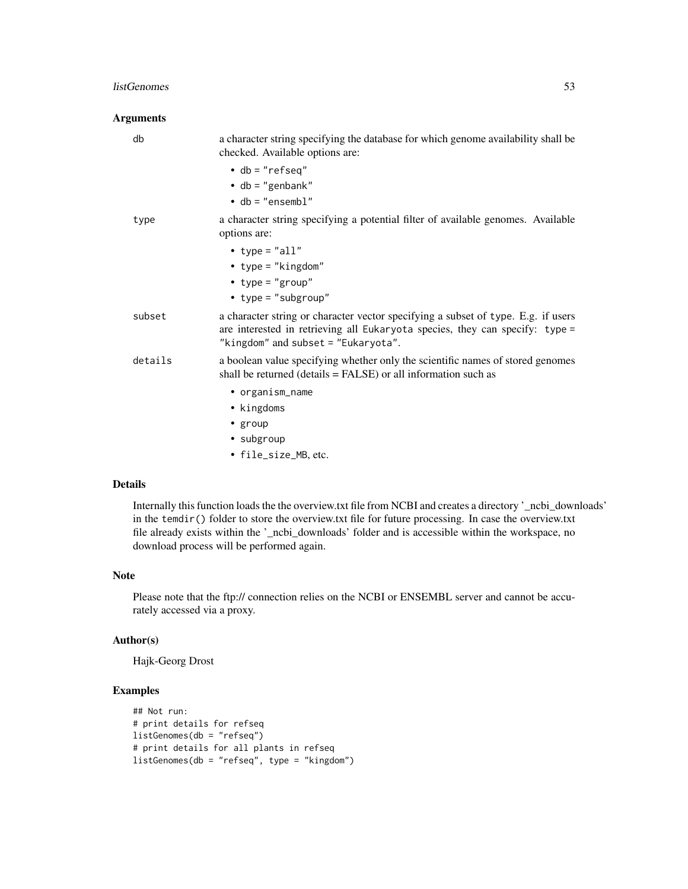#### listGenomes 53

## Arguments

| db      | a character string specifying the database for which genome availability shall be<br>checked. Available options are:                                                                                     |
|---------|----------------------------------------------------------------------------------------------------------------------------------------------------------------------------------------------------------|
|         | $\bullet$ db = "refseq"<br>$\bullet$ db = "genbank"                                                                                                                                                      |
|         | $\cdot$ db = "ensembl"                                                                                                                                                                                   |
| type    | a character string specifying a potential filter of available genomes. Available<br>options are:                                                                                                         |
|         | • type = $"all"$                                                                                                                                                                                         |
|         | • type = $"kingdom"$                                                                                                                                                                                     |
|         | • type = "group"                                                                                                                                                                                         |
|         | • $type = "subgroup"$                                                                                                                                                                                    |
| subset  | a character string or character vector specifying a subset of type. E.g. if users<br>are interested in retrieving all Eukaryota species, they can specify: type =<br>"kingdom" and subset = "Eukaryota". |
| details | a boolean value specifying whether only the scientific names of stored genomes<br>shall be returned (details $=$ FALSE) or all information such as                                                       |
|         | • organism_name                                                                                                                                                                                          |
|         | • kingdoms                                                                                                                                                                                               |
|         | $\cdot$ group                                                                                                                                                                                            |
|         | • subgroup                                                                                                                                                                                               |
|         | • file_size_MB, etc.                                                                                                                                                                                     |

# Details

Internally this function loads the the overview.txt file from NCBI and creates a directory '\_ncbi\_downloads' in the temdir() folder to store the overview.txt file for future processing. In case the overview.txt file already exists within the '\_ncbi\_downloads' folder and is accessible within the workspace, no download process will be performed again.

## Note

Please note that the ftp:// connection relies on the NCBI or ENSEMBL server and cannot be accurately accessed via a proxy.

#### Author(s)

Hajk-Georg Drost

## Examples

```
## Not run:
# print details for refseq
listGenomes(db = "refseq")
# print details for all plants in refseq
listGenomes(db = "refseq", type = "kingdom")
```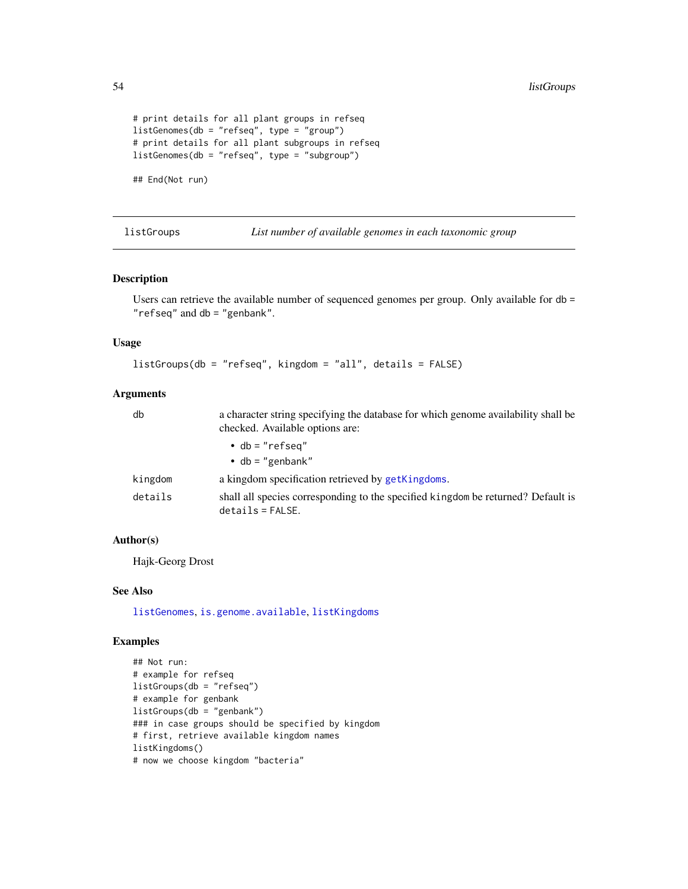```
# print details for all plant groups in refseq
listGenomes(db = "refseq", type = "group")
# print details for all plant subgroups in refseq
listGenomes(db = "refseq", type = "subgroup")
```
## End(Not run)

<span id="page-53-0"></span>listGroups *List number of available genomes in each taxonomic group*

## Description

Users can retrieve the available number of sequenced genomes per group. Only available for db = "refseq" and db = "genbank".

#### Usage

listGroups(db = "refseq", kingdom = "all", details = FALSE)

#### Arguments

| db      | a character string specifying the database for which genome availability shall be<br>checked. Available options are: |  |  |
|---------|----------------------------------------------------------------------------------------------------------------------|--|--|
|         | $\bullet$ db = "refseq"                                                                                              |  |  |
|         | $\bullet$ db = "genbank"                                                                                             |  |  |
| kingdom | a kingdom specification retrieved by getKingdoms.                                                                    |  |  |
| details | shall all species corresponding to the specified kingdom be returned? Default is<br>$details = FALSE.$               |  |  |

## Author(s)

Hajk-Georg Drost

## See Also

[listGenomes](#page-51-0), [is.genome.available](#page-49-0), [listKingdoms](#page-54-0)

## Examples

```
## Not run:
# example for refseq
listGroups(db = "refseq")
# example for genbank
listGroups(db = "genbank")
### in case groups should be specified by kingdom
# first, retrieve available kingdom names
listKingdoms()
# now we choose kingdom "bacteria"
```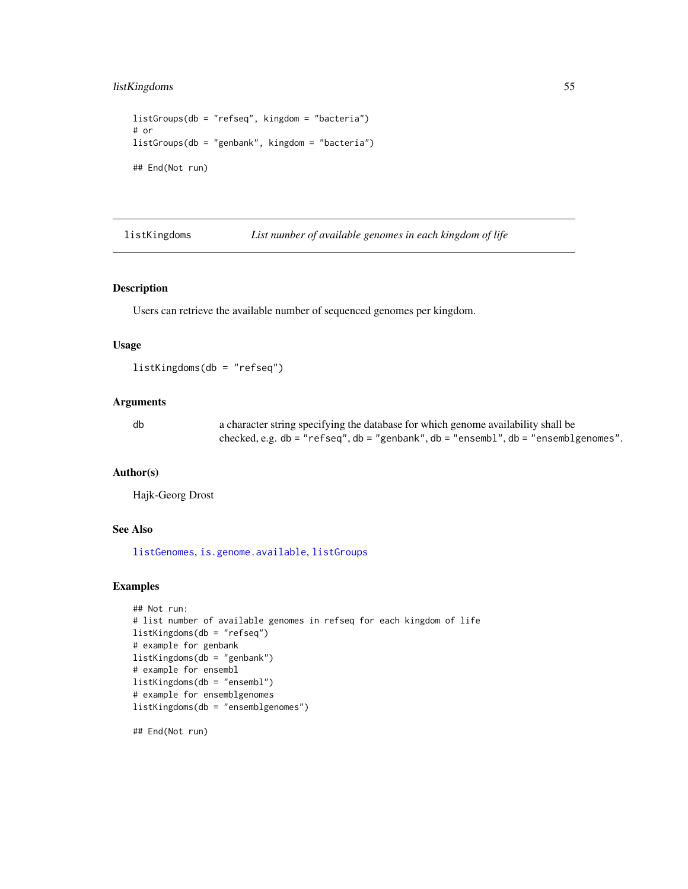## listKingdoms 55

```
listGroups(db = "refseq", kingdom = "bacteria")
# or
listGroups(db = "genbank", kingdom = "bacteria")
## End(Not run)
```
<span id="page-54-0"></span>listKingdoms *List number of available genomes in each kingdom of life*

### Description

Users can retrieve the available number of sequenced genomes per kingdom.

### Usage

listKingdoms(db = "refseq")

#### Arguments

db a character string specifying the database for which genome availability shall be checked, e.g. db = "refseq", db = "genbank", db = "ensembl", db = "ensemblgenomes".

#### Author(s)

Hajk-Georg Drost

### See Also

[listGenomes](#page-51-0), [is.genome.available](#page-49-0), [listGroups](#page-53-0)

### Examples

```
## Not run:
# list number of available genomes in refseq for each kingdom of life
listKingdoms(db = "refseq")
# example for genbank
listKingdoms(db = "genbank")
# example for ensembl
listKingdoms(db = "ensembl")
# example for ensemblgenomes
listKingdoms(db = "ensemblgenomes")
```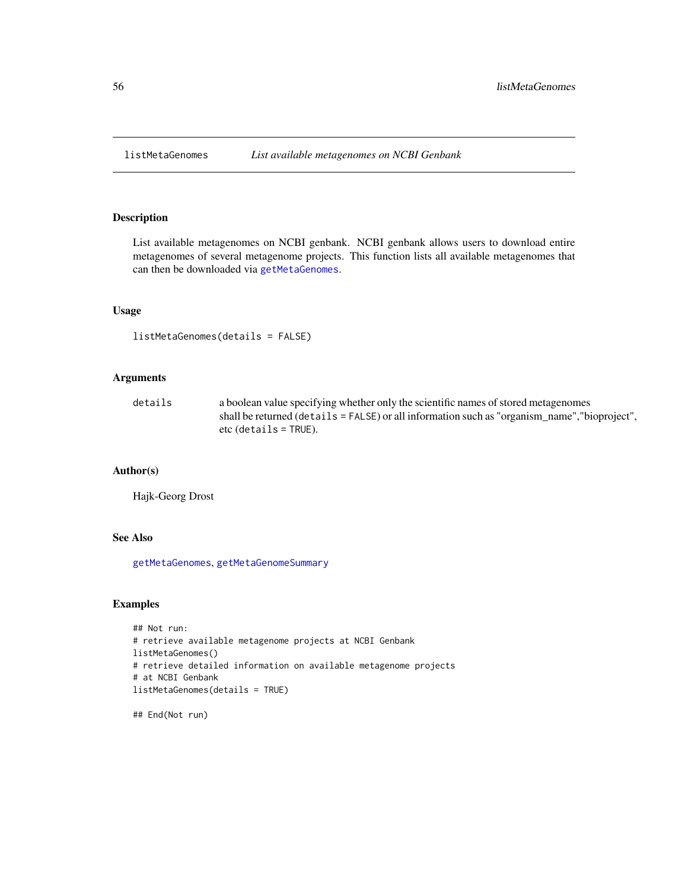<span id="page-55-0"></span>

List available metagenomes on NCBI genbank. NCBI genbank allows users to download entire metagenomes of several metagenome projects. This function lists all available metagenomes that can then be downloaded via [getMetaGenomes](#page-38-0).

#### Usage

listMetaGenomes(details = FALSE)

## Arguments

| details | a boolean value specifying whether only the scientific names of stored metagenomes            |
|---------|-----------------------------------------------------------------------------------------------|
|         | shall be returned (details = FALSE) or all information such as "organism_name", "bioproject", |
|         | $etc$ (details = TRUE).                                                                       |

## Author(s)

Hajk-Georg Drost

## See Also

[getMetaGenomes](#page-38-0), [getMetaGenomeSummary](#page-39-1)

## Examples

```
## Not run:
# retrieve available metagenome projects at NCBI Genbank
listMetaGenomes()
# retrieve detailed information on available metagenome projects
# at NCBI Genbank
listMetaGenomes(details = TRUE)
```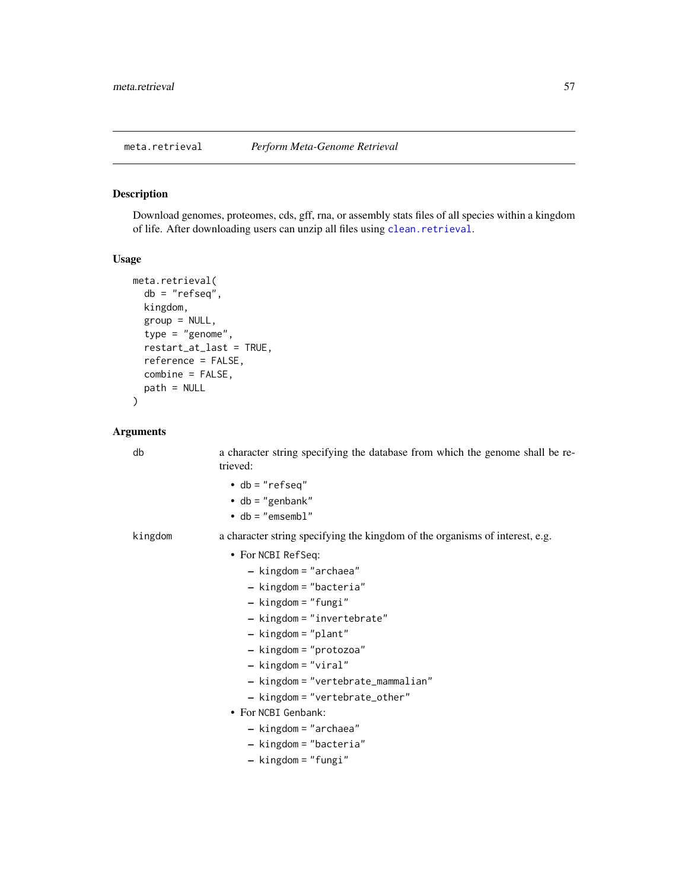<span id="page-56-0"></span>Download genomes, proteomes, cds, gff, rna, or assembly stats files of all species within a kingdom of life. After downloading users can unzip all files using [clean.retrieval](#page-5-0).

# Usage

```
meta.retrieval(
 db = "refseq",
 kingdom,
 group = NULL,
  type = "genome",
  restart_at_last = TRUE,
  reference = FALSE,
 combine = FALSE,
 path = NULL
)
```

| db      | a character string specifying the database from which the genome shall be re-<br>trieved: |
|---------|-------------------------------------------------------------------------------------------|
|         | $\bullet$ db = "refseq"                                                                   |
|         | • db = "genbank"                                                                          |
|         | $\bullet$ db = "emsembl"                                                                  |
| kingdom | a character string specifying the kingdom of the organisms of interest, e.g.              |
|         | • For NCBI RefSeq:                                                                        |
|         | $-$ kingdom = "archaea"                                                                   |
|         | - kingdom = "bacteria"                                                                    |
|         | - kingdom = "fungi"                                                                       |
|         | $-$ kingdom = "invertebrate"                                                              |
|         | $-$ kingdom = "plant"                                                                     |
|         | - kingdom = "protozoa"                                                                    |
|         | $-$ kingdom = "viral"                                                                     |
|         | - kingdom = "vertebrate_mammalian"                                                        |
|         | $-$ kingdom = "vertebrate_other"                                                          |
|         | • For NCBI Genbank:                                                                       |
|         | - kingdom = "archaea"                                                                     |
|         | $-$ kingdom = "bacteria"                                                                  |
|         | - kingdom = "fungi"                                                                       |
|         |                                                                                           |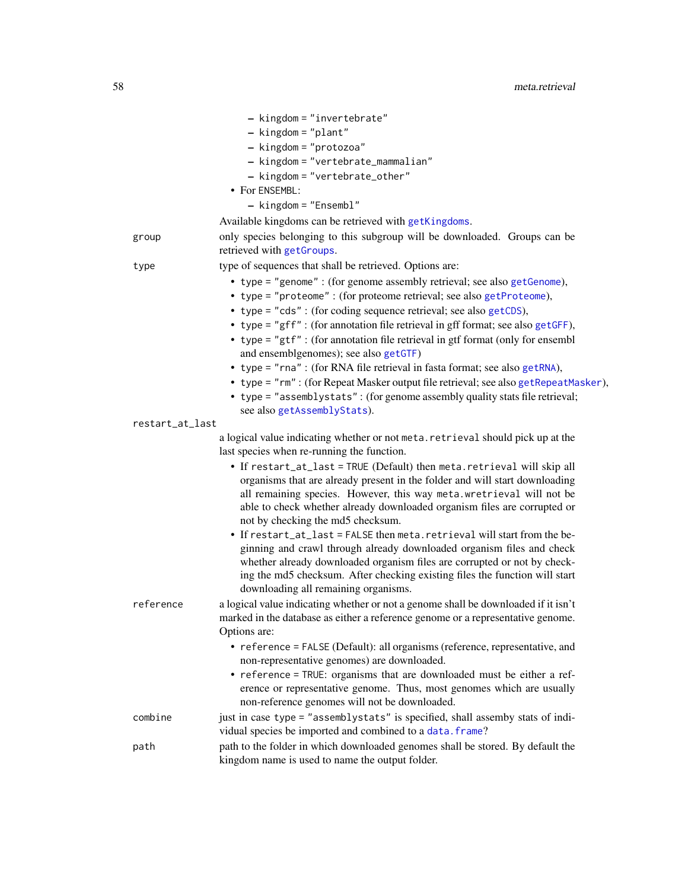|                 | - kingdom = "invertebrate"                                                                                                                       |
|-----------------|--------------------------------------------------------------------------------------------------------------------------------------------------|
|                 | $-$ kingdom = "plant"                                                                                                                            |
|                 | - kingdom = "protozoa"                                                                                                                           |
|                 | - kingdom = "vertebrate_mammalian"                                                                                                               |
|                 | - kingdom = "vertebrate_other"                                                                                                                   |
|                 | • For ENSEMBL:                                                                                                                                   |
|                 | - kingdom = "Ensembl"                                                                                                                            |
|                 | Available kingdoms can be retrieved with getKingdoms.                                                                                            |
| group           | only species belonging to this subgroup will be downloaded. Groups can be<br>retrieved with getGroups.                                           |
| type            | type of sequences that shall be retrieved. Options are:                                                                                          |
|                 | • type = "genome" : (for genome assembly retrieval; see also getGenome),                                                                         |
|                 | • type = "proteome" : (for proteome retrieval; see also getProteome),                                                                            |
|                 | • type = "cds": (for coding sequence retrieval; see also getCDS),                                                                                |
|                 | • type = "gff" : (for annotation file retrieval in gff format; see also getGFF),                                                                 |
|                 | • type = "gtf" : (for annotation file retrieval in gtf format (only for ensembl                                                                  |
|                 | and ensemblgenomes); see also getGTF)                                                                                                            |
|                 | • type = "rna" : (for RNA file retrieval in fasta format; see also getRNA),                                                                      |
|                 | • type = "rm": (for Repeat Masker output file retrieval; see also getRepeatMasker),                                                              |
|                 | • type = "assemblystats": (for genome assembly quality stats file retrieval;                                                                     |
|                 | see also getAssemblyStats).                                                                                                                      |
| restart_at_last |                                                                                                                                                  |
|                 | a logical value indicating whether or not meta. retrieval should pick up at the<br>last species when re-running the function.                    |
|                 | • If restart_at_last = TRUE (Default) then meta.retrieval will skip all                                                                          |
|                 | organisms that are already present in the folder and will start downloading                                                                      |
|                 | all remaining species. However, this way meta. wretrieval will not be                                                                            |
|                 | able to check whether already downloaded organism files are corrupted or                                                                         |
|                 | not by checking the md5 checksum.                                                                                                                |
|                 | • If restart_at_last = FALSE then meta.retrieval will start from the be-                                                                         |
|                 | ginning and crawl through already downloaded organism files and check                                                                            |
|                 | whether already downloaded organism files are corrupted or not by check-                                                                         |
|                 | ing the md5 checksum. After checking existing files the function will start                                                                      |
|                 | downloading all remaining organisms.                                                                                                             |
| reference       | a logical value indicating whether or not a genome shall be downloaded if it isn't                                                               |
|                 | marked in the database as either a reference genome or a representative genome.                                                                  |
|                 | Options are:                                                                                                                                     |
|                 | • reference = FALSE (Default): all organisms (reference, representative, and<br>non-representative genomes) are downloaded.                      |
|                 | • reference = TRUE: organisms that are downloaded must be either a ref-<br>erence or representative genome. Thus, most genomes which are usually |
|                 | non-reference genomes will not be downloaded.                                                                                                    |
| combine         | just in case type = "assemblystats" is specified, shall assemby stats of indi-                                                                   |
|                 | vidual species be imported and combined to a data. frame?                                                                                        |
| path            | path to the folder in which downloaded genomes shall be stored. By default the                                                                   |
|                 | kingdom name is used to name the output folder.                                                                                                  |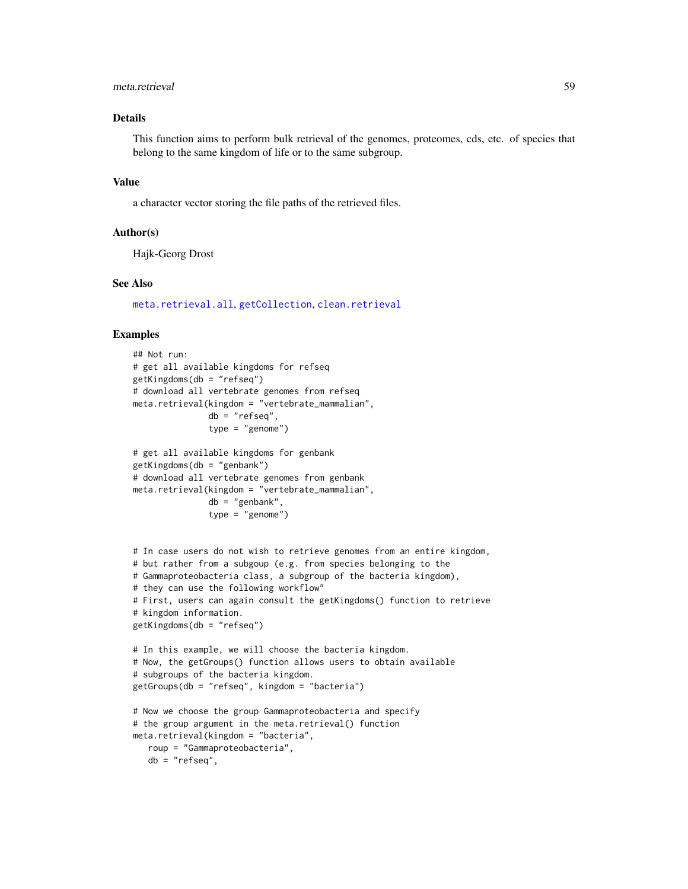## meta.retrieval 59

## Details

This function aims to perform bulk retrieval of the genomes, proteomes, cds, etc. of species that belong to the same kingdom of life or to the same subgroup.

#### Value

a character vector storing the file paths of the retrieved files.

### Author(s)

Hajk-Georg Drost

#### See Also

[meta.retrieval.all](#page-59-0), [getCollection](#page-14-0), [clean.retrieval](#page-5-0)

#### Examples

```
## Not run:
# get all available kingdoms for refseq
getKingdoms(db = "refseq")
# download all vertebrate genomes from refseq
meta.retrieval(kingdom = "vertebrate_mammalian",
               db = "refseq",
               type = "genome")
# get all available kingdoms for genbank
getKingdoms(db = "genbank")
# download all vertebrate genomes from genbank
meta.retrieval(kingdom = "vertebrate_mammalian",
               db = "genbank",
               type = "genome")
# In case users do not wish to retrieve genomes from an entire kingdom,
# but rather from a subgoup (e.g. from species belonging to the
# Gammaproteobacteria class, a subgroup of the bacteria kingdom),
# they can use the following workflow"
# First, users can again consult the getKingdoms() function to retrieve
# kingdom information.
getKingdoms(db = "refseq")
# In this example, we will choose the bacteria kingdom.
# Now, the getGroups() function allows users to obtain available
# subgroups of the bacteria kingdom.
getGroups(db = "refseq", kingdom = "bacteria")
# Now we choose the group Gammaproteobacteria and specify
# the group argument in the meta.retrieval() function
meta.retrieval(kingdom = "bacteria",
  roup = "Gammaproteobacteria",
   db = "refseq",
```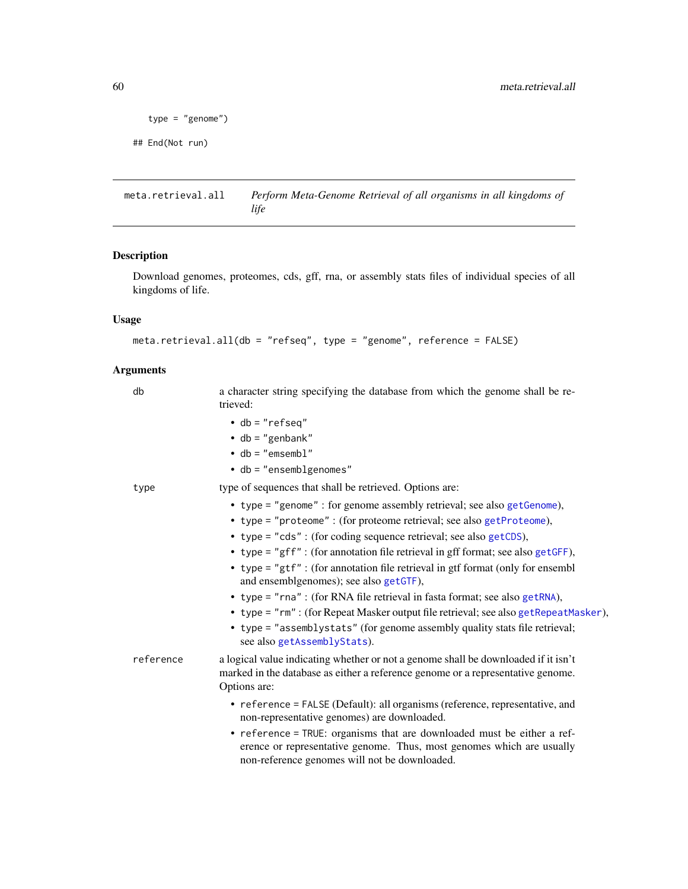```
type = "genome")
```

```
## End(Not run)
```
<span id="page-59-0"></span>meta.retrieval.all *Perform Meta-Genome Retrieval of all organisms in all kingdoms of life*

## Description

Download genomes, proteomes, cds, gff, rna, or assembly stats files of individual species of all kingdoms of life.

## Usage

```
meta.retrieval.all(db = "refseq", type = "genome", reference = FALSE)
```

| db        | a character string specifying the database from which the genome shall be re-<br>trieved:                                                                                                         |
|-----------|---------------------------------------------------------------------------------------------------------------------------------------------------------------------------------------------------|
|           | $\bullet$ db = "refseq"                                                                                                                                                                           |
|           | $\bullet$ db = "genbank"                                                                                                                                                                          |
|           | $\cdot$ db = "emsembl"                                                                                                                                                                            |
|           | $\bullet$ db = "ensemblgenomes"                                                                                                                                                                   |
| type      | type of sequences that shall be retrieved. Options are:                                                                                                                                           |
|           | • type = "genome" : for genome assembly retrieval; see also getGenome),                                                                                                                           |
|           | • type = "proteome" : (for proteome retrieval; see also getProteome),                                                                                                                             |
|           | • type = "cds": (for coding sequence retrieval; see also getCDS),                                                                                                                                 |
|           | • type = "gff" : (for annotation file retrieval in gff format; see also getGFF),                                                                                                                  |
|           | • type = "gtf" : (for annotation file retrieval in gtf format (only for ensembl<br>and ensemblgenomes); see also getGTF),                                                                         |
|           | • type = "rna" : (for RNA file retrieval in fasta format; see also getRNA),                                                                                                                       |
|           | • type = "rm" : (for Repeat Masker output file retrieval; see also getRepeatMasker),                                                                                                              |
|           | • type = "assemblystats" (for genome assembly quality stats file retrieval;<br>see also getAssemblyStats).                                                                                        |
| reference | a logical value indicating whether or not a genome shall be downloaded if it isn't<br>marked in the database as either a reference genome or a representative genome.<br>Options are:             |
|           | • reference = FALSE (Default): all organisms (reference, representative, and<br>non-representative genomes) are downloaded.                                                                       |
|           | • reference = TRUE: organisms that are downloaded must be either a ref-<br>erence or representative genome. Thus, most genomes which are usually<br>non-reference genomes will not be downloaded. |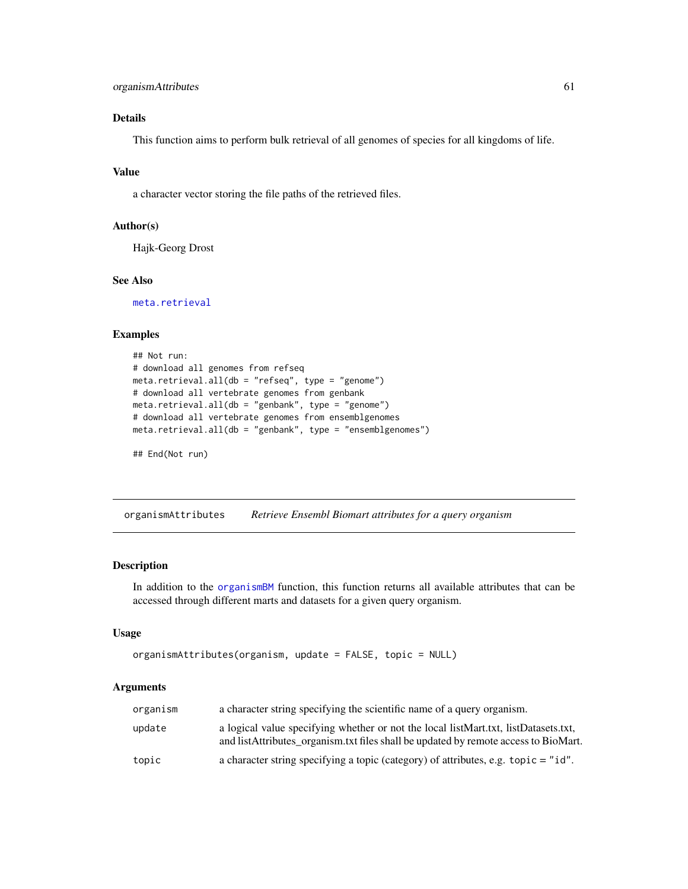## organismAttributes 61

## Details

This function aims to perform bulk retrieval of all genomes of species for all kingdoms of life.

## Value

a character vector storing the file paths of the retrieved files.

#### Author(s)

Hajk-Georg Drost

### See Also

[meta.retrieval](#page-56-0)

#### Examples

```
## Not run:
# download all genomes from refseq
meta.retrieval.all(db = "refseq", type = "genome")
# download all vertebrate genomes from genbank
meta.retrieval.all(db = "genbank", type = "genome")
# download all vertebrate genomes from ensemblgenomes
meta.retrieval.all(db = "genbank", type = "ensemblgenomes")
```

```
## End(Not run)
```
<span id="page-60-0"></span>organismAttributes *Retrieve Ensembl Biomart attributes for a query organism*

#### Description

In addition to the [organismBM](#page-62-0) function, this function returns all available attributes that can be accessed through different marts and datasets for a given query organism.

#### Usage

```
organismAttributes(organism, update = FALSE, topic = NULL)
```

| organism | a character string specifying the scientific name of a query organism.                                                                                                      |
|----------|-----------------------------------------------------------------------------------------------------------------------------------------------------------------------------|
| update   | a logical value specifying whether or not the local listMart.txt, listDatasets.txt,<br>and listAttributes organism. txt files shall be updated by remote access to BioMart. |
| topic    | a character string specifying a topic (category) of attributes, e.g. topic $=$ "id".                                                                                        |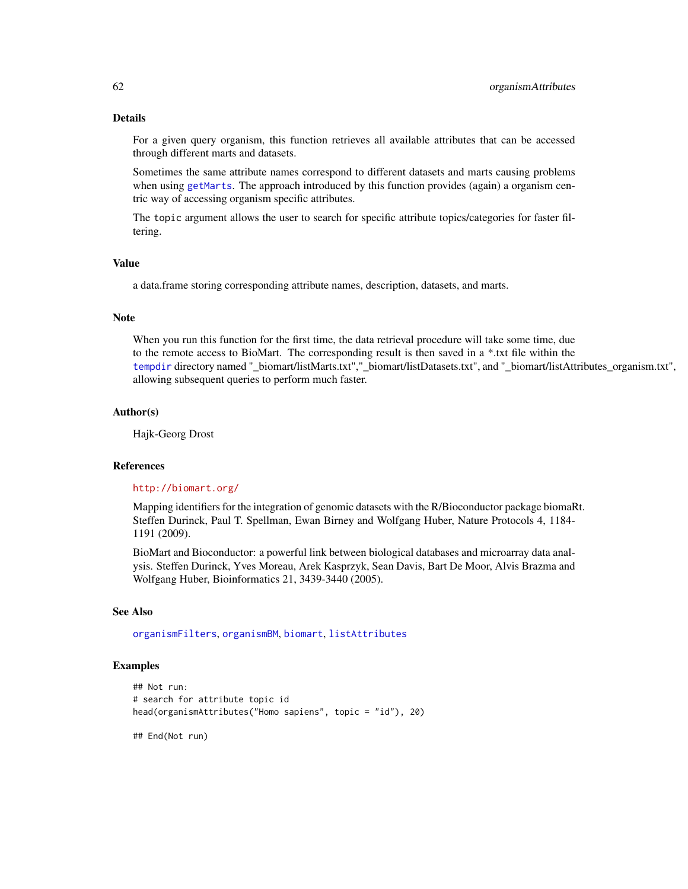## Details

For a given query organism, this function retrieves all available attributes that can be accessed through different marts and datasets.

Sometimes the same attribute names correspond to different datasets and marts causing problems when using [getMarts](#page-36-0). The approach introduced by this function provides (again) a organism centric way of accessing organism specific attributes.

The topic argument allows the user to search for specific attribute topics/categories for faster filtering.

#### Value

a data.frame storing corresponding attribute names, description, datasets, and marts.

#### Note

When you run this function for the first time, the data retrieval procedure will take some time, due to the remote access to BioMart. The corresponding result is then saved in a \*.txt file within the [tempdir](#page-0-0) directory named "\_biomart/listMarts.txt","\_biomart/listDatasets.txt", and "\_biomart/listAttributes\_organism.txt", allowing subsequent queries to perform much faster.

#### Author(s)

Hajk-Georg Drost

#### References

#### <http://biomart.org/>

Mapping identifiers for the integration of genomic datasets with the R/Bioconductor package biomaRt. Steffen Durinck, Paul T. Spellman, Ewan Birney and Wolfgang Huber, Nature Protocols 4, 1184- 1191 (2009).

BioMart and Bioconductor: a powerful link between biological databases and microarray data analysis. Steffen Durinck, Yves Moreau, Arek Kasprzyk, Sean Davis, Bart De Moor, Alvis Brazma and Wolfgang Huber, Bioinformatics 21, 3439-3440 (2005).

## See Also

[organismFilters](#page-63-0), [organismBM](#page-62-0), [biomart](#page-3-0), [listAttributes](#page-0-0)

### Examples

```
## Not run:
# search for attribute topic id
head(organismAttributes("Homo sapiens", topic = "id"), 20)
```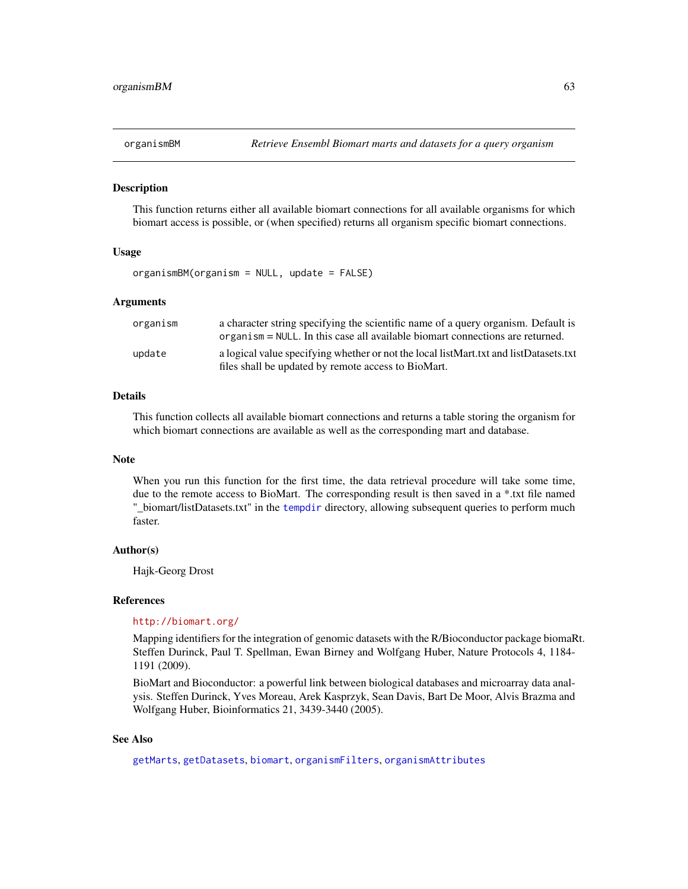<span id="page-62-0"></span>

This function returns either all available biomart connections for all available organisms for which biomart access is possible, or (when specified) returns all organism specific biomart connections.

#### Usage

```
organismBM(organism = NULL, update = FALSE)
```
### Arguments

| organism | a character string specifying the scientific name of a query organism. Default is<br>organism = NULL. In this case all available biomart connections are returned. |
|----------|--------------------------------------------------------------------------------------------------------------------------------------------------------------------|
| update   | a logical value specifying whether or not the local listMart.txt and listDatasets.txt<br>files shall be updated by remote access to BioMart.                       |

#### Details

This function collects all available biomart connections and returns a table storing the organism for which biomart connections are available as well as the corresponding mart and database.

#### Note

When you run this function for the first time, the data retrieval procedure will take some time, due to the remote access to BioMart. The corresponding result is then saved in a \*.txt file named "\_biomart/listDatasets.txt" in the [tempdir](#page-0-0) directory, allowing subsequent queries to perform much faster.

#### Author(s)

Hajk-Georg Drost

#### References

#### <http://biomart.org/>

Mapping identifiers for the integration of genomic datasets with the R/Bioconductor package biomaRt. Steffen Durinck, Paul T. Spellman, Ewan Birney and Wolfgang Huber, Nature Protocols 4, 1184- 1191 (2009).

BioMart and Bioconductor: a powerful link between biological databases and microarray data analysis. Steffen Durinck, Yves Moreau, Arek Kasprzyk, Sean Davis, Bart De Moor, Alvis Brazma and Wolfgang Huber, Bioinformatics 21, 3439-3440 (2005).

### See Also

[getMarts](#page-36-0), [getDatasets](#page-18-0), [biomart](#page-3-0), [organismFilters](#page-63-0), [organismAttributes](#page-60-0)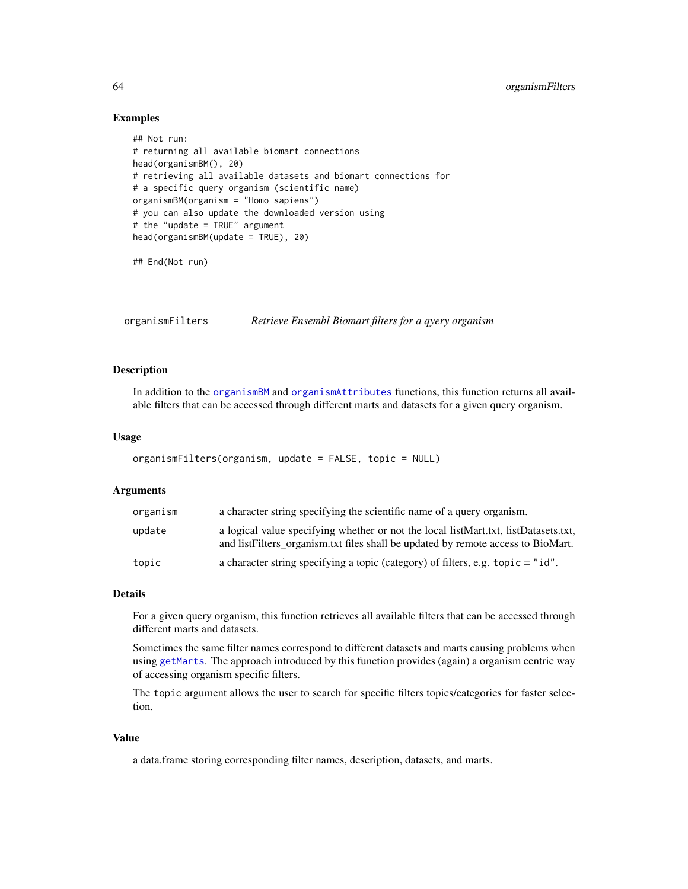### Examples

```
## Not run:
# returning all available biomart connections
head(organismBM(), 20)
# retrieving all available datasets and biomart connections for
# a specific query organism (scientific name)
organismBM(organism = "Homo sapiens")
# you can also update the downloaded version using
# the "update = TRUE" argument
head(organismBM(update = TRUE), 20)
```
## End(Not run)

<span id="page-63-0"></span>organismFilters *Retrieve Ensembl Biomart filters for a qyery organism*

## Description

In addition to the [organismBM](#page-62-0) and [organismAttributes](#page-60-0) functions, this function returns all available filters that can be accessed through different marts and datasets for a given query organism.

#### Usage

```
organismFilters(organism, update = FALSE, topic = NULL)
```
#### Arguments

| organism | a character string specifying the scientific name of a query organism.                                                                                                   |
|----------|--------------------------------------------------------------------------------------------------------------------------------------------------------------------------|
| update   | a logical value specifying whether or not the local listMart.txt, listDatasets.txt,<br>and list Filters organism txt files shall be updated by remote access to BioMart. |
| topic    | a character string specifying a topic (category) of filters, e.g. $\text{topic} = "id".$                                                                                 |

## Details

For a given query organism, this function retrieves all available filters that can be accessed through different marts and datasets.

Sometimes the same filter names correspond to different datasets and marts causing problems when using [getMarts](#page-36-0). The approach introduced by this function provides (again) a organism centric way of accessing organism specific filters.

The topic argument allows the user to search for specific filters topics/categories for faster selection.

#### Value

a data.frame storing corresponding filter names, description, datasets, and marts.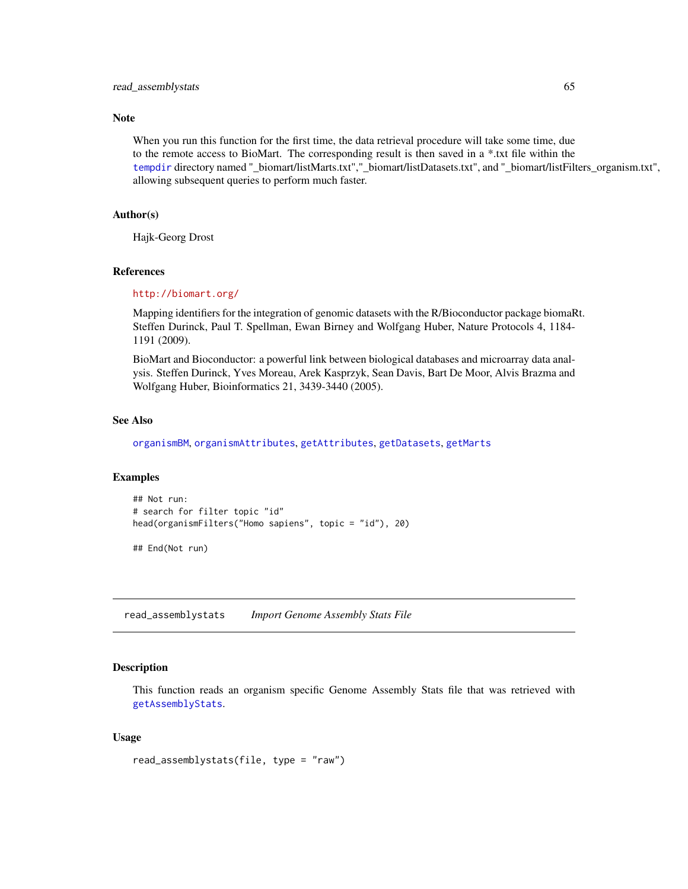### Note

When you run this function for the first time, the data retrieval procedure will take some time, due to the remote access to BioMart. The corresponding result is then saved in a \*.txt file within the [tempdir](#page-0-0) directory named "\_biomart/listMarts.txt","\_biomart/listDatasets.txt", and "\_biomart/listFilters\_organism.txt", allowing subsequent queries to perform much faster.

#### Author(s)

Hajk-Georg Drost

#### References

#### <http://biomart.org/>

Mapping identifiers for the integration of genomic datasets with the R/Bioconductor package biomaRt. Steffen Durinck, Paul T. Spellman, Ewan Birney and Wolfgang Huber, Nature Protocols 4, 1184- 1191 (2009).

BioMart and Bioconductor: a powerful link between biological databases and microarray data analysis. Steffen Durinck, Yves Moreau, Arek Kasprzyk, Sean Davis, Bart De Moor, Alvis Brazma and Wolfgang Huber, Bioinformatics 21, 3439-3440 (2005).

#### See Also

[organismBM](#page-62-0), [organismAttributes](#page-60-0), [getAttributes](#page-10-0), [getDatasets](#page-18-0), [getMarts](#page-36-0)

#### Examples

```
## Not run:
# search for filter topic "id"
head(organismFilters("Homo sapiens", topic = "id"), 20)
```
## End(Not run)

read\_assemblystats *Import Genome Assembly Stats File*

# Description

This function reads an organism specific Genome Assembly Stats file that was retrieved with [getAssemblyStats](#page-8-0).

#### Usage

```
read_assemblystats(file, type = "raw")
```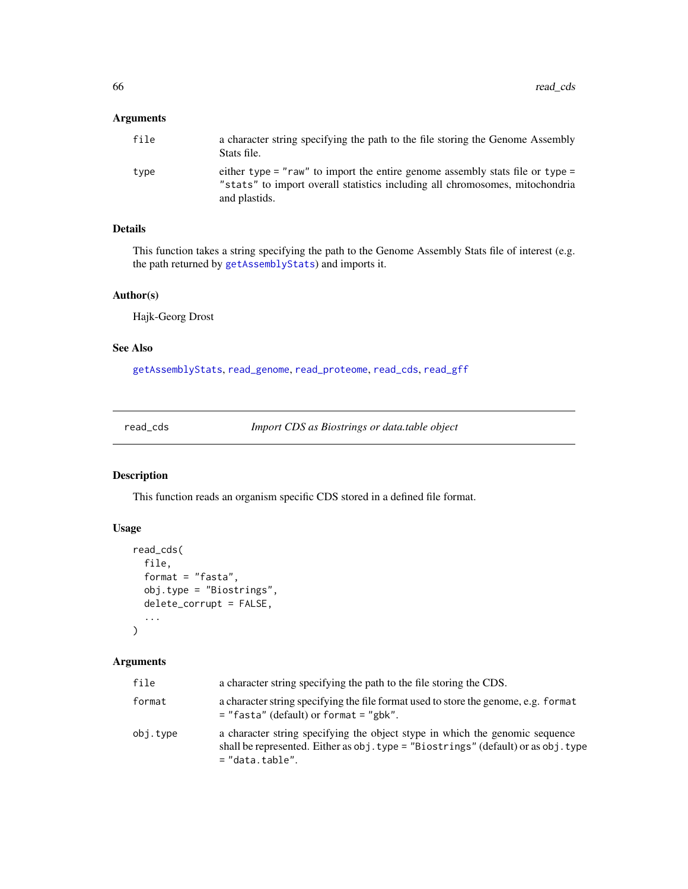## Arguments

| file | a character string specifying the path to the file storing the Genome Assembly<br>Stats file.                                                                                  |
|------|--------------------------------------------------------------------------------------------------------------------------------------------------------------------------------|
| type | either type = "raw" to import the entire genome assembly stats file or type =<br>"stats" to import overall statistics including all chromosomes, mitochondria<br>and plastids. |

# Details

This function takes a string specifying the path to the Genome Assembly Stats file of interest (e.g. the path returned by [getAssemblyStats](#page-8-0)) and imports it.

## Author(s)

Hajk-Georg Drost

## See Also

[getAssemblyStats](#page-8-0), [read\\_genome](#page-66-0), [read\\_proteome](#page-68-0), [read\\_cds](#page-65-0), [read\\_gff](#page-67-0)

<span id="page-65-0"></span>read\_cds *Import CDS as Biostrings or data.table object*

# Description

This function reads an organism specific CDS stored in a defined file format.

## Usage

```
read_cds(
  file,
  format = "fasta",obj.type = "Biostrings",
  delete_corrupt = FALSE,
  ...
\mathcal{L}
```

| file     | a character string specifying the path to the file storing the CDS.                                                                                                                       |  |  |
|----------|-------------------------------------------------------------------------------------------------------------------------------------------------------------------------------------------|--|--|
| format   | a character string specifying the file format used to store the genome, e.g. format<br>$=$ "fasta" (default) or format $=$ "gbk".                                                         |  |  |
| obj.type | a character string specifying the object stype in which the genomic sequence<br>shall be represented. Either as $obj. type = "Biostrings" (default) or as obj. type$<br>$=$ "data.table". |  |  |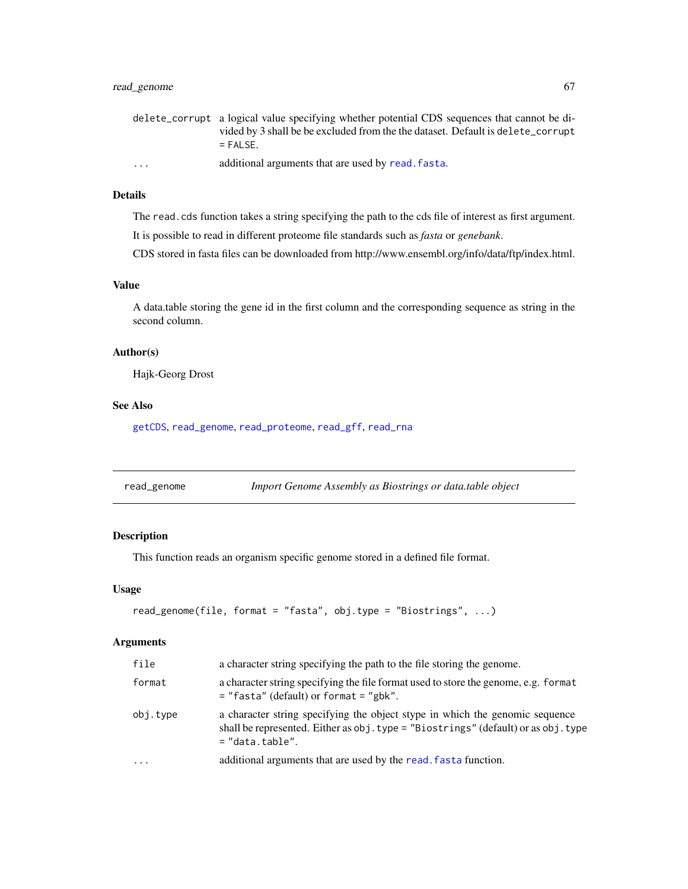## read\_genome 67

|                         | delete_corrupt a logical value specifying whether potential CDS sequences that cannot be di- |
|-------------------------|----------------------------------------------------------------------------------------------|
|                         | vided by 3 shall be be excluded from the the dataset. Default is delete_corrupt              |
|                         | $=$ FAI SF.                                                                                  |
| $\cdot$ $\cdot$ $\cdot$ | additional arguments that are used by read, fasta.                                           |

### Details

The read.cds function takes a string specifying the path to the cds file of interest as first argument.

It is possible to read in different proteome file standards such as *fasta* or *genebank*.

CDS stored in fasta files can be downloaded from http://www.ensembl.org/info/data/ftp/index.html.

# Value

A data.table storing the gene id in the first column and the corresponding sequence as string in the second column.

### Author(s)

Hajk-Georg Drost

#### See Also

[getCDS](#page-11-0), [read\\_genome](#page-66-0), [read\\_proteome](#page-68-0), [read\\_gff](#page-67-0), [read\\_rna](#page-69-1)

<span id="page-66-0"></span>

| read_genome |  | Import Genome Assembly as Biostrings or data.table object |
|-------------|--|-----------------------------------------------------------|
|             |  |                                                           |

## Description

This function reads an organism specific genome stored in a defined file format.

#### Usage

```
read_genome(file, format = "fasta", obj.type = "Biostrings", ...)
```

| file     | a character string specifying the path to the file storing the genome.<br>a character string specifying the file format used to store the genome, e.g. format<br>$=$ "fasta" (default) or format $=$ "gbk".<br>a character string specifying the object stype in which the genomic sequence<br>shall be represented. Either as obj.type = "Biostrings" (default) or as obj.type<br>$=$ "data.table". |  |
|----------|------------------------------------------------------------------------------------------------------------------------------------------------------------------------------------------------------------------------------------------------------------------------------------------------------------------------------------------------------------------------------------------------------|--|
| format   |                                                                                                                                                                                                                                                                                                                                                                                                      |  |
| obj.type |                                                                                                                                                                                                                                                                                                                                                                                                      |  |
| $\cdot$  | additional arguments that are used by the read. fasta function.                                                                                                                                                                                                                                                                                                                                      |  |
|          |                                                                                                                                                                                                                                                                                                                                                                                                      |  |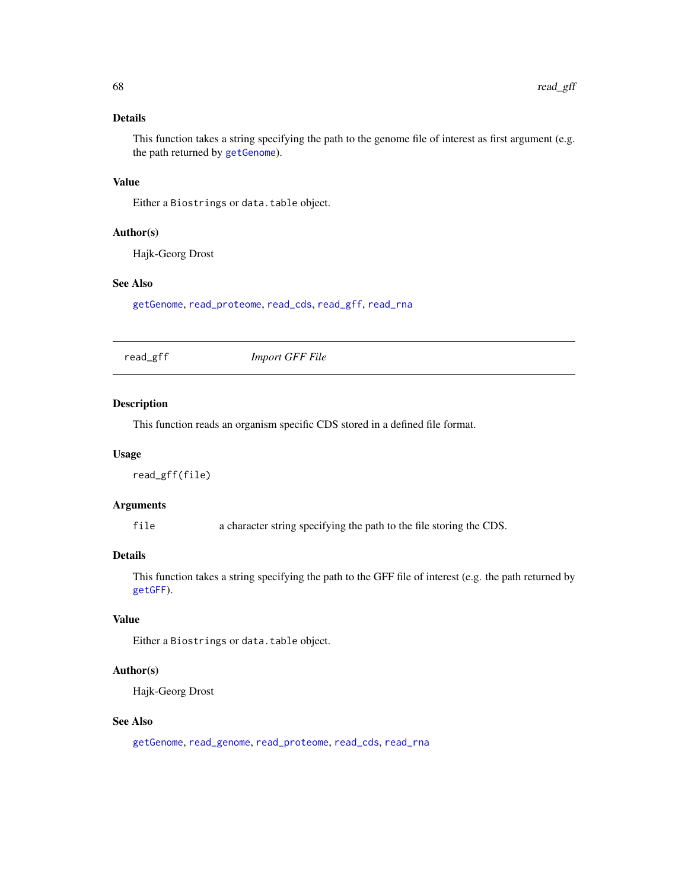# Details

This function takes a string specifying the path to the genome file of interest as first argument (e.g. the path returned by [getGenome](#page-23-0)).

## Value

Either a Biostrings or data.table object.

#### Author(s)

Hajk-Georg Drost

## See Also

[getGenome](#page-23-0), [read\\_proteome](#page-68-0), [read\\_cds](#page-65-0), [read\\_gff](#page-67-0), [read\\_rna](#page-69-1)

<span id="page-67-0"></span>read\_gff *Import GFF File*

### Description

This function reads an organism specific CDS stored in a defined file format.

#### Usage

read\_gff(file)

#### Arguments

file a character string specifying the path to the file storing the CDS.

# Details

This function takes a string specifying the path to the GFF file of interest (e.g. the path returned by [getGFF](#page-27-0)).

# Value

Either a Biostrings or data.table object.

# Author(s)

Hajk-Georg Drost

## See Also

[getGenome](#page-23-0), [read\\_genome](#page-66-0), [read\\_proteome](#page-68-0), [read\\_cds](#page-65-0), [read\\_rna](#page-69-1)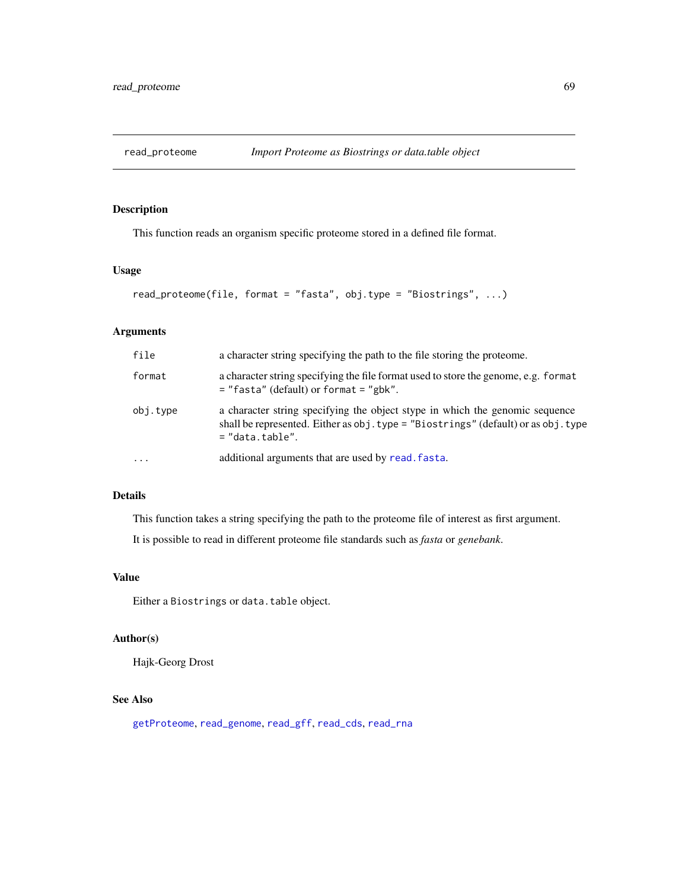<span id="page-68-0"></span>

This function reads an organism specific proteome stored in a defined file format.

## Usage

```
read_proteome(file, format = "fasta", obj.type = "Biostrings", ...)
```
### Arguments

| file      | a character string specifying the path to the file storing the proteome.<br>a character string specifying the file format used to store the genome, e.g. format<br>$=$ "fasta" (default) or format $=$ "gbk".<br>a character string specifying the object stype in which the genomic sequence<br>shall be represented. Either as obj.type = "Biostrings" (default) or as obj.type<br>$=$ "data.table". |  |
|-----------|--------------------------------------------------------------------------------------------------------------------------------------------------------------------------------------------------------------------------------------------------------------------------------------------------------------------------------------------------------------------------------------------------------|--|
| format    |                                                                                                                                                                                                                                                                                                                                                                                                        |  |
| obj.type  |                                                                                                                                                                                                                                                                                                                                                                                                        |  |
| $\ddotsc$ | additional arguments that are used by read. fasta.                                                                                                                                                                                                                                                                                                                                                     |  |

# Details

This function takes a string specifying the path to the proteome file of interest as first argument.

It is possible to read in different proteome file standards such as *fasta* or *genebank*.

# Value

Either a Biostrings or data.table object.

### Author(s)

Hajk-Georg Drost

### See Also

[getProteome](#page-39-0), [read\\_genome](#page-66-0), [read\\_gff](#page-67-0), [read\\_cds](#page-65-0), [read\\_rna](#page-69-1)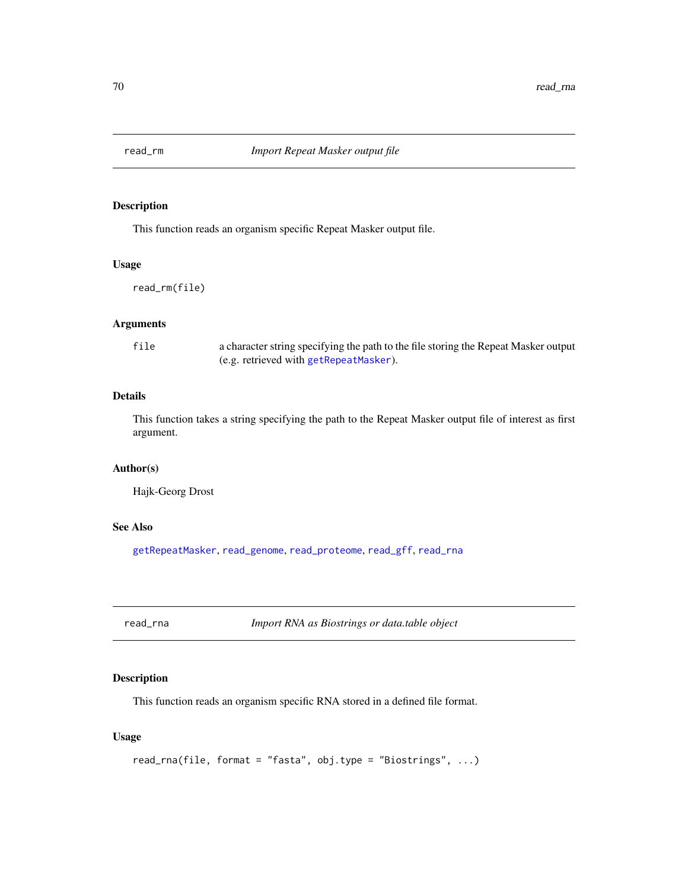<span id="page-69-0"></span>

This function reads an organism specific Repeat Masker output file.

## Usage

read\_rm(file)

## Arguments

file a character string specifying the path to the file storing the Repeat Masker output (e.g. retrieved with [getRepeatMasker](#page-44-0)).

## Details

This function takes a string specifying the path to the Repeat Masker output file of interest as first argument.

## Author(s)

Hajk-Georg Drost

## See Also

[getRepeatMasker](#page-44-0), [read\\_genome](#page-66-0), [read\\_proteome](#page-68-0), [read\\_gff](#page-67-0), [read\\_rna](#page-69-1)

<span id="page-69-1"></span>read\_rna *Import RNA as Biostrings or data.table object*

## Description

This function reads an organism specific RNA stored in a defined file format.

#### Usage

```
read_rna(file, format = "fasta", obj.type = "Biostrings", ...)
```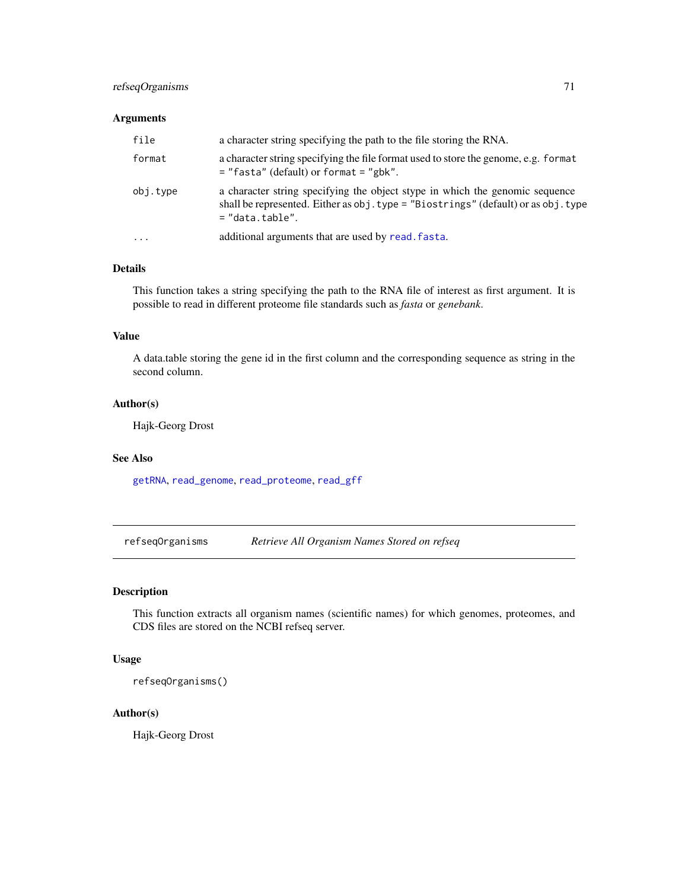## refseqOrganisms 71

## Arguments

| file     | a character string specifying the path to the file storing the RNA.<br>a character string specifying the file format used to store the genome, e.g. format<br>$=$ "fasta" (default) or format $=$ "gbk". |  |
|----------|----------------------------------------------------------------------------------------------------------------------------------------------------------------------------------------------------------|--|
| format   |                                                                                                                                                                                                          |  |
| obj.type | a character string specifying the object stype in which the genomic sequence<br>shall be represented. Either as obj.type = "Biostrings" (default) or as obj.type<br>$=$ "data.table".                    |  |
| $\cdot$  | additional arguments that are used by read. fasta.                                                                                                                                                       |  |

### Details

This function takes a string specifying the path to the RNA file of interest as first argument. It is possible to read in different proteome file standards such as *fasta* or *genebank*.

### Value

A data.table storing the gene id in the first column and the corresponding sequence as string in the second column.

## Author(s)

Hajk-Georg Drost

## See Also

[getRNA](#page-45-0), [read\\_genome](#page-66-0), [read\\_proteome](#page-68-0), [read\\_gff](#page-67-0)

refseqOrganisms *Retrieve All Organism Names Stored on refseq*

## Description

This function extracts all organism names (scientific names) for which genomes, proteomes, and CDS files are stored on the NCBI refseq server.

#### Usage

refseqOrganisms()

#### Author(s)

Hajk-Georg Drost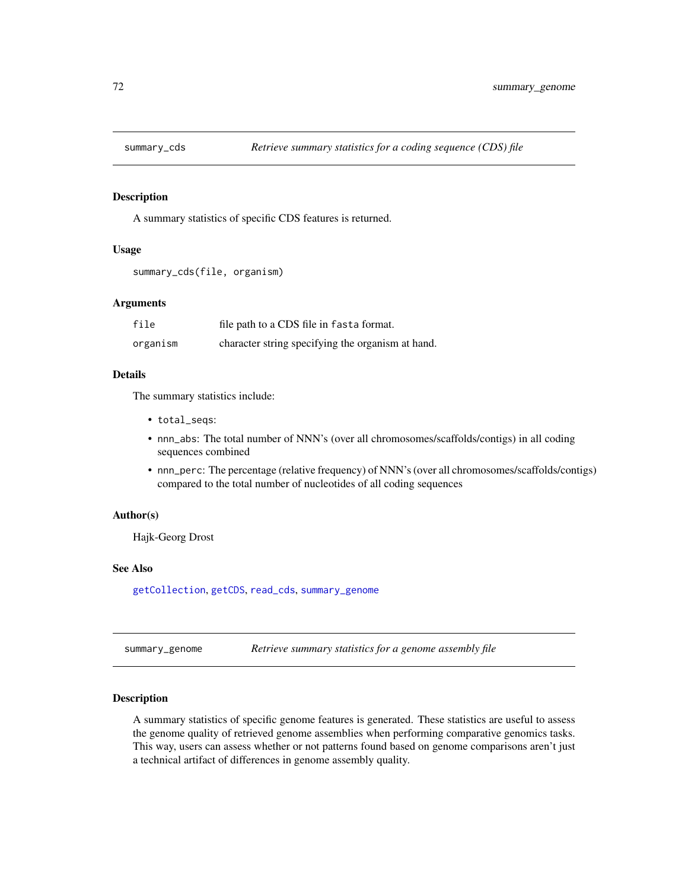A summary statistics of specific CDS features is returned.

#### Usage

```
summary_cds(file, organism)
```
# Arguments

| file     | file path to a CDS file in fasta format.          |
|----------|---------------------------------------------------|
| organism | character string specifying the organism at hand. |

## Details

The summary statistics include:

- total\_seqs:
- nnn\_abs: The total number of NNN's (over all chromosomes/scaffolds/contigs) in all coding sequences combined
- nnn\_perc: The percentage (relative frequency) of NNN's (over all chromosomes/scaffolds/contigs) compared to the total number of nucleotides of all coding sequences

#### Author(s)

Hajk-Georg Drost

#### See Also

[getCollection](#page-14-0), [getCDS](#page-11-0), [read\\_cds](#page-65-0), [summary\\_genome](#page-71-0)

<span id="page-71-0"></span>summary\_genome *Retrieve summary statistics for a genome assembly file*

## Description

A summary statistics of specific genome features is generated. These statistics are useful to assess the genome quality of retrieved genome assemblies when performing comparative genomics tasks. This way, users can assess whether or not patterns found based on genome comparisons aren't just a technical artifact of differences in genome assembly quality.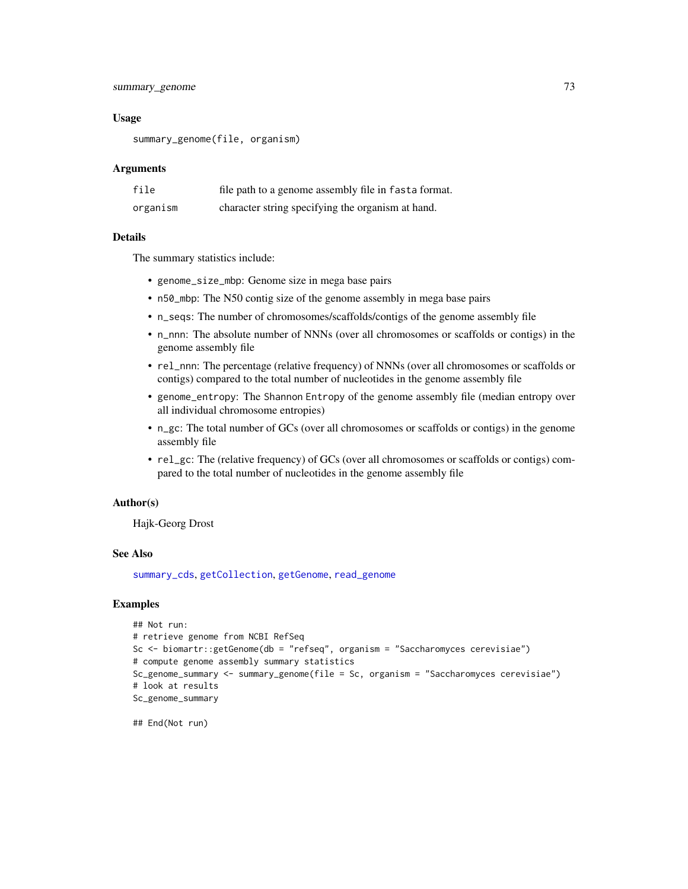<span id="page-72-0"></span>summary\_genome 73

# Usage

summary\_genome(file, organism)

## Arguments

| file     | file path to a genome assembly file in fasta format. |
|----------|------------------------------------------------------|
| organism | character string specifying the organism at hand.    |

### Details

The summary statistics include:

- genome\_size\_mbp: Genome size in mega base pairs
- n50\_mbp: The N50 contig size of the genome assembly in mega base pairs
- n\_seqs: The number of chromosomes/scaffolds/contigs of the genome assembly file
- n\_nnn: The absolute number of NNNs (over all chromosomes or scaffolds or contigs) in the genome assembly file
- rel\_nnn: The percentage (relative frequency) of NNNs (over all chromosomes or scaffolds or contigs) compared to the total number of nucleotides in the genome assembly file
- genome\_entropy: The Shannon Entropy of the genome assembly file (median entropy over all individual chromosome entropies)
- n\_gc: The total number of GCs (over all chromosomes or scaffolds or contigs) in the genome assembly file
- rel\_gc: The (relative frequency) of GCs (over all chromosomes or scaffolds or contigs) compared to the total number of nucleotides in the genome assembly file

#### Author(s)

Hajk-Georg Drost

# See Also

[summary\\_cds](#page-71-0), [getCollection](#page-14-0), [getGenome](#page-23-0), [read\\_genome](#page-66-0)

# Examples

```
## Not run:
# retrieve genome from NCBI RefSeq
Sc <- biomartr::getGenome(db = "refseq", organism = "Saccharomyces cerevisiae")
# compute genome assembly summary statistics
Sc_genome_summary <- summary_genome(file = Sc, organism = "Saccharomyces cerevisiae")
# look at results
Sc_genome_summary
```
## End(Not run)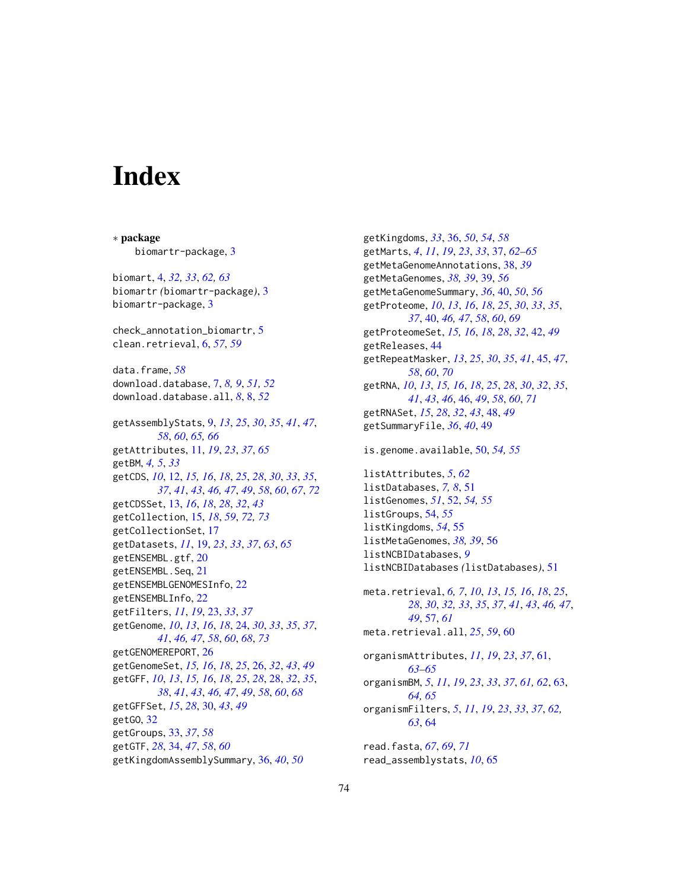# **Index**

∗ package biomartr-package, [3](#page-2-0) biomart, [4,](#page-3-0) *[32,](#page-31-0) [33](#page-32-0)*, *[62,](#page-61-0) [63](#page-62-0)* biomartr *(*biomartr-package*)*, [3](#page-2-0) biomartr-package, [3](#page-2-0) check\_annotation\_biomartr, [5](#page-4-0) clean.retrieval, [6,](#page-5-0) *[57](#page-56-0)*, *[59](#page-58-0)* data.frame, *[58](#page-57-0)* download.database, [7,](#page-6-0) *[8,](#page-7-0) [9](#page-8-0)*, *[51,](#page-50-0) [52](#page-51-0)* download.database.all, *[8](#page-7-0)*, [8,](#page-7-0) *[52](#page-51-0)* getAssemblyStats, [9,](#page-8-0) *[13](#page-12-0)*, *[25](#page-24-0)*, *[30](#page-29-0)*, *[35](#page-34-0)*, *[41](#page-40-0)*, *[47](#page-46-0)*, *[58](#page-57-0)*, *[60](#page-59-0)*, *[65,](#page-64-0) [66](#page-65-0)* getAttributes, [11,](#page-10-0) *[19](#page-18-0)*, *[23](#page-22-0)*, *[37](#page-36-0)*, *[65](#page-64-0)* getBM, *[4,](#page-3-0) [5](#page-4-0)*, *[33](#page-32-0)* getCDS, *[10](#page-9-0)*, [12,](#page-11-0) *[15,](#page-14-1) [16](#page-15-0)*, *[18](#page-17-0)*, *[25](#page-24-0)*, *[28](#page-27-0)*, *[30](#page-29-0)*, *[33](#page-32-0)*, *[35](#page-34-0)*, *[37](#page-36-0)*, *[41](#page-40-0)*, *[43](#page-42-0)*, *[46,](#page-45-0) [47](#page-46-0)*, *[49](#page-48-0)*, *[58](#page-57-0)*, *[60](#page-59-0)*, *[67](#page-66-1)*, *[72](#page-71-1)* getCDSSet, [13,](#page-12-0) *[16](#page-15-0)*, *[18](#page-17-0)*, *[28](#page-27-0)*, *[32](#page-31-0)*, *[43](#page-42-0)* getCollection, [15,](#page-14-1) *[18](#page-17-0)*, *[59](#page-58-0)*, *[72,](#page-71-1) [73](#page-72-0)* getCollectionSet, [17](#page-16-0) getDatasets, *[11](#page-10-0)*, [19,](#page-18-0) *[23](#page-22-0)*, *[33](#page-32-0)*, *[37](#page-36-0)*, *[63](#page-62-0)*, *[65](#page-64-0)* getENSEMBL.gtf, [20](#page-19-0) getENSEMBL.Seq, [21](#page-20-0) getENSEMBLGENOMESInfo, [22](#page-21-0) getENSEMBLInfo, [22](#page-21-0) getFilters, *[11](#page-10-0)*, *[19](#page-18-0)*, [23,](#page-22-0) *[33](#page-32-0)*, *[37](#page-36-0)* getGenome, *[10](#page-9-0)*, *[13](#page-12-0)*, *[16](#page-15-0)*, *[18](#page-17-0)*, [24,](#page-23-1) *[30](#page-29-0)*, *[33](#page-32-0)*, *[35](#page-34-0)*, *[37](#page-36-0)*, *[41](#page-40-0)*, *[46,](#page-45-0) [47](#page-46-0)*, *[58](#page-57-0)*, *[60](#page-59-0)*, *[68](#page-67-0)*, *[73](#page-72-0)* getGENOMEREPORT, [26](#page-25-0) getGenomeSet, *[15,](#page-14-1) [16](#page-15-0)*, *[18](#page-17-0)*, *[25](#page-24-0)*, [26,](#page-25-0) *[32](#page-31-0)*, *[43](#page-42-0)*, *[49](#page-48-0)* getGFF, *[10](#page-9-0)*, *[13](#page-12-0)*, *[15,](#page-14-1) [16](#page-15-0)*, *[18](#page-17-0)*, *[25](#page-24-0)*, *[28](#page-27-0)*, [28,](#page-27-0) *[32](#page-31-0)*, *[35](#page-34-0)*, *[38](#page-37-0)*, *[41](#page-40-0)*, *[43](#page-42-0)*, *[46,](#page-45-0) [47](#page-46-0)*, *[49](#page-48-0)*, *[58](#page-57-0)*, *[60](#page-59-0)*, *[68](#page-67-0)* getGFFSet, *[15](#page-14-1)*, *[28](#page-27-0)*, [30,](#page-29-0) *[43](#page-42-0)*, *[49](#page-48-0)* getGO, [32](#page-31-0) getGroups, [33,](#page-32-0) *[37](#page-36-0)*, *[58](#page-57-0)* getGTF, *[28](#page-27-0)*, [34,](#page-33-0) *[47](#page-46-0)*, *[58](#page-57-0)*, *[60](#page-59-0)* getKingdomAssemblySummary, [36,](#page-35-0) *[40](#page-39-0)*, *[50](#page-49-0)*

getKingdoms, *[33](#page-32-0)*, [36,](#page-35-0) *[50](#page-49-0)*, *[54](#page-53-0)*, *[58](#page-57-0)* getMarts, *[4](#page-3-0)*, *[11](#page-10-0)*, *[19](#page-18-0)*, *[23](#page-22-0)*, *[33](#page-32-0)*, [37,](#page-36-0) *[62](#page-61-0)[–65](#page-64-0)* getMetaGenomeAnnotations, [38,](#page-37-0) *[39](#page-38-0)* getMetaGenomes, *[38,](#page-37-0) [39](#page-38-0)*, [39,](#page-38-0) *[56](#page-55-0)* getMetaGenomeSummary, *[36](#page-35-0)*, [40,](#page-39-0) *[50](#page-49-0)*, *[56](#page-55-0)* getProteome, *[10](#page-9-0)*, *[13](#page-12-0)*, *[16](#page-15-0)*, *[18](#page-17-0)*, *[25](#page-24-0)*, *[30](#page-29-0)*, *[33](#page-32-0)*, *[35](#page-34-0)*, *[37](#page-36-0)*, [40,](#page-39-0) *[46,](#page-45-0) [47](#page-46-0)*, *[58](#page-57-0)*, *[60](#page-59-0)*, *[69](#page-68-0)* getProteomeSet, *[15,](#page-14-1) [16](#page-15-0)*, *[18](#page-17-0)*, *[28](#page-27-0)*, *[32](#page-31-0)*, [42,](#page-41-0) *[49](#page-48-0)* getReleases, [44](#page-43-0) getRepeatMasker, *[13](#page-12-0)*, *[25](#page-24-0)*, *[30](#page-29-0)*, *[35](#page-34-0)*, *[41](#page-40-0)*, [45,](#page-44-0) *[47](#page-46-0)*, *[58](#page-57-0)*, *[60](#page-59-0)*, *[70](#page-69-0)* getRNA, *[10](#page-9-0)*, *[13](#page-12-0)*, *[15,](#page-14-1) [16](#page-15-0)*, *[18](#page-17-0)*, *[25](#page-24-0)*, *[28](#page-27-0)*, *[30](#page-29-0)*, *[32](#page-31-0)*, *[35](#page-34-0)*, *[41](#page-40-0)*, *[43](#page-42-0)*, *[46](#page-45-0)*, [46,](#page-45-0) *[49](#page-48-0)*, *[58](#page-57-0)*, *[60](#page-59-0)*, *[71](#page-70-0)* getRNASet, *[15](#page-14-1)*, *[28](#page-27-0)*, *[32](#page-31-0)*, *[43](#page-42-0)*, [48,](#page-47-0) *[49](#page-48-0)* getSummaryFile, *[36](#page-35-0)*, *[40](#page-39-0)*, [49](#page-48-0) is.genome.available, [50,](#page-49-0) *[54,](#page-53-0) [55](#page-54-0)* listAttributes, *[5](#page-4-0)*, *[62](#page-61-0)* listDatabases, *[7,](#page-6-0) [8](#page-7-0)*, [51](#page-50-0) listGenomes, *[51](#page-50-0)*, [52,](#page-51-0) *[54,](#page-53-0) [55](#page-54-0)* listGroups, [54,](#page-53-0) *[55](#page-54-0)* listKingdoms, *[54](#page-53-0)*, [55](#page-54-0) listMetaGenomes, *[38,](#page-37-0) [39](#page-38-0)*, [56](#page-55-0) listNCBIDatabases, *[9](#page-8-0)* listNCBIDatabases *(*listDatabases*)*, [51](#page-50-0) meta.retrieval, *[6,](#page-5-0) [7](#page-6-0)*, *[10](#page-9-0)*, *[13](#page-12-0)*, *[15,](#page-14-1) [16](#page-15-0)*, *[18](#page-17-0)*, *[25](#page-24-0)*, *[28](#page-27-0)*, *[30](#page-29-0)*, *[32,](#page-31-0) [33](#page-32-0)*, *[35](#page-34-0)*, *[37](#page-36-0)*, *[41](#page-40-0)*, *[43](#page-42-0)*, *[46,](#page-45-0) [47](#page-46-0)*, *[49](#page-48-0)*, [57,](#page-56-0) *[61](#page-60-0)* meta.retrieval.all, *[25](#page-24-0)*, *[59](#page-58-0)*, [60](#page-59-0) organismAttributes, *[11](#page-10-0)*, *[19](#page-18-0)*, *[23](#page-22-0)*, *[37](#page-36-0)*, [61,](#page-60-0) *[63](#page-62-0)[–65](#page-64-0)* organismBM, *[5](#page-4-0)*, *[11](#page-10-0)*, *[19](#page-18-0)*, *[23](#page-22-0)*, *[33](#page-32-0)*, *[37](#page-36-0)*, *[61,](#page-60-0) [62](#page-61-0)*, [63,](#page-62-0) *[64,](#page-63-0) [65](#page-64-0)* organismFilters, *[5](#page-4-0)*, *[11](#page-10-0)*, *[19](#page-18-0)*, *[23](#page-22-0)*, *[33](#page-32-0)*, *[37](#page-36-0)*, *[62,](#page-61-0) [63](#page-62-0)*, [64](#page-63-0) read.fasta, *[67](#page-66-1)*, *[69](#page-68-0)*, *[71](#page-70-0)* read\_assemblystats, *[10](#page-9-0)*, [65](#page-64-0)